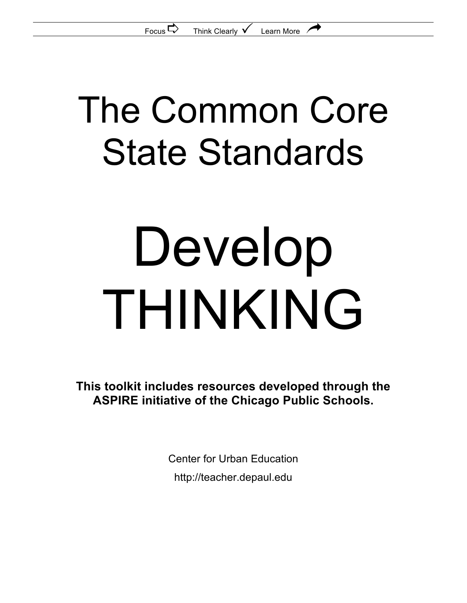## The Common Core State Standards

# Develop THINKING

**This toolkit includes resources developed through the ASPIRE initiative of the Chicago Public Schools.**

> Center for Urban Education http://teacher.depaul.edu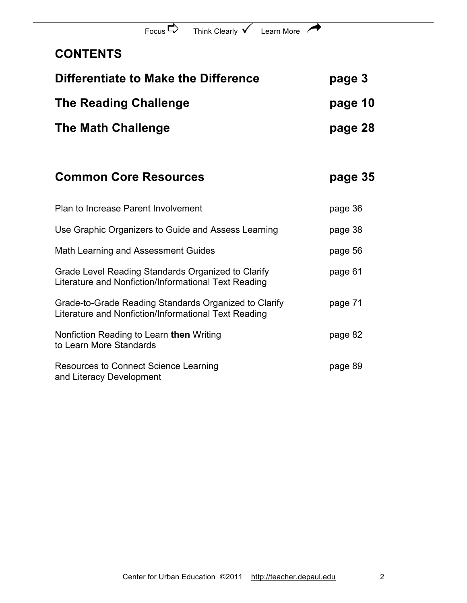#### **CONTENTS**

| <b>Differentiate to Make the Difference</b>                                                                   | page 3  |  |
|---------------------------------------------------------------------------------------------------------------|---------|--|
| <b>The Reading Challenge</b>                                                                                  | page 10 |  |
| <b>The Math Challenge</b>                                                                                     | page 28 |  |
|                                                                                                               |         |  |
| <b>Common Core Resources</b>                                                                                  | page 35 |  |
| Plan to Increase Parent Involvement                                                                           | page 36 |  |
| Use Graphic Organizers to Guide and Assess Learning                                                           | page 38 |  |
| Math Learning and Assessment Guides                                                                           | page 56 |  |
| Grade Level Reading Standards Organized to Clarify<br>Literature and Nonfiction/Informational Text Reading    | page 61 |  |
| Grade-to-Grade Reading Standards Organized to Clarify<br>Literature and Nonfiction/Informational Text Reading | page 71 |  |
| Nonfiction Reading to Learn then Writing<br>to Learn More Standards                                           | page 82 |  |
| Resources to Connect Science Learning<br>and Literacy Development                                             | page 89 |  |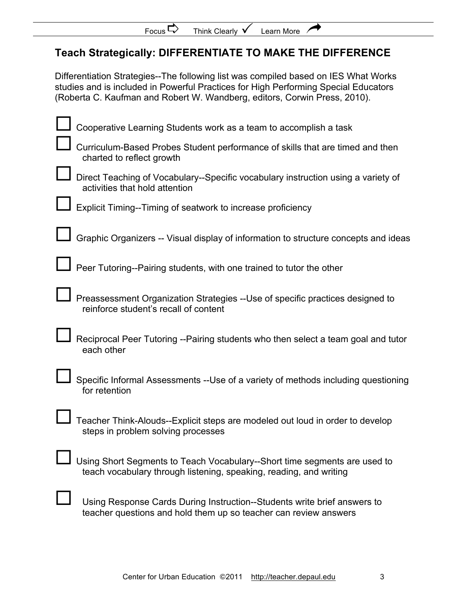#### **Teach Strategically: DIFFERENTIATE TO MAKE THE DIFFERENCE**

Differentiation Strategies--The following list was compiled based on IES What Works studies and is included in Powerful Practices for High Performing Special Educators (Roberta C. Kaufman and Robert W. Wandberg, editors, Corwin Press, 2010).

| Cooperative Learning Students work as a team to accomplish a task                                                                               |
|-------------------------------------------------------------------------------------------------------------------------------------------------|
| Curriculum-Based Probes Student performance of skills that are timed and then<br>charted to reflect growth                                      |
| Direct Teaching of Vocabulary--Specific vocabulary instruction using a variety of<br>activities that hold attention                             |
| Explicit Timing--Timing of seatwork to increase proficiency                                                                                     |
| Graphic Organizers -- Visual display of information to structure concepts and ideas                                                             |
| Peer Tutoring--Pairing students, with one trained to tutor the other                                                                            |
| Preassessment Organization Strategies -- Use of specific practices designed to<br>reinforce student's recall of content                         |
| Reciprocal Peer Tutoring --Pairing students who then select a team goal and tutor<br>each other                                                 |
| Specific Informal Assessments --Use of a variety of methods including questioning<br>for retention                                              |
| Teacher Think-Alouds--Explicit steps are modeled out loud in order to develop<br>steps in problem solving processes                             |
| Using Short Segments to Teach Vocabulary--Short time segments are used to<br>teach vocabulary through listening, speaking, reading, and writing |
| Using Response Cards During Instruction--Students write brief answers to<br>teacher questions and hold them up so teacher can review answers    |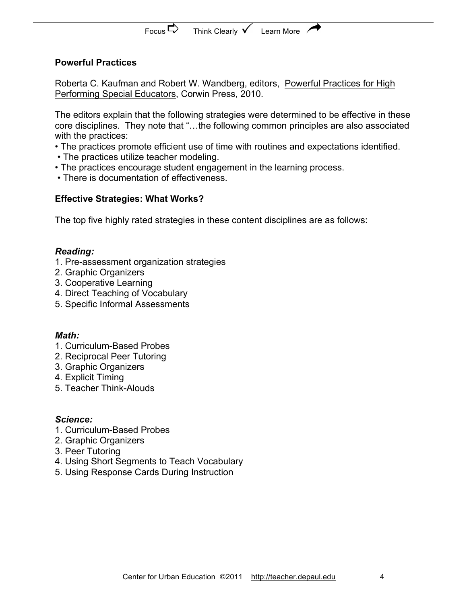#### **Powerful Practices**

Roberta C. Kaufman and Robert W. Wandberg, editors, Powerful Practices for High Performing Special Educators, Corwin Press, 2010.

The editors explain that the following strategies were determined to be effective in these core disciplines. They note that "…the following common principles are also associated with the practices:

- The practices promote efficient use of time with routines and expectations identified.
- The practices utilize teacher modeling.
- The practices encourage student engagement in the learning process.
- There is documentation of effectiveness.

#### **Effective Strategies: What Works?**

The top five highly rated strategies in these content disciplines are as follows:

#### *Reading:*

- 1. Pre-assessment organization strategies
- 2. Graphic Organizers
- 3. Cooperative Learning
- 4. Direct Teaching of Vocabulary
- 5. Specific Informal Assessments

#### *Math:*

- 1. Curriculum-Based Probes
- 2. Reciprocal Peer Tutoring
- 3. Graphic Organizers
- 4. Explicit Timing
- 5. Teacher Think-Alouds

#### *Science:*

- 1. Curriculum-Based Probes
- 2. Graphic Organizers
- 3. Peer Tutoring
- 4. Using Short Segments to Teach Vocabulary
- 5. Using Response Cards During Instruction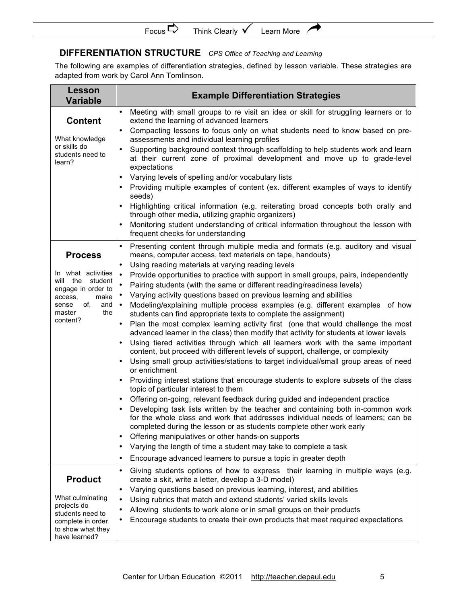#### $Focus \longrightarrow$  Think Clearly  $\checkmark$  Learn More

#### **DIFFERENTIATION STRUCTURE** *CPS Office of Teaching and Learning*

The following are examples of differentiation strategies, defined by lesson variable. These strategies are adapted from work by Carol Ann Tomlinson.

| Lesson<br><b>Variable</b>                                                                                                              | <b>Example Differentiation Strategies</b>                                                                                                                                                                                                                                                                                                                                                                                                                                                                                                                                                                                                                                                                                                                                                                                                                                                                                                                                                                                                                                                                                                                                                                                                                                                                                                                                                                                                                                                                                                                                                                                                                                                            |  |  |
|----------------------------------------------------------------------------------------------------------------------------------------|------------------------------------------------------------------------------------------------------------------------------------------------------------------------------------------------------------------------------------------------------------------------------------------------------------------------------------------------------------------------------------------------------------------------------------------------------------------------------------------------------------------------------------------------------------------------------------------------------------------------------------------------------------------------------------------------------------------------------------------------------------------------------------------------------------------------------------------------------------------------------------------------------------------------------------------------------------------------------------------------------------------------------------------------------------------------------------------------------------------------------------------------------------------------------------------------------------------------------------------------------------------------------------------------------------------------------------------------------------------------------------------------------------------------------------------------------------------------------------------------------------------------------------------------------------------------------------------------------------------------------------------------------------------------------------------------------|--|--|
| <b>Content</b>                                                                                                                         | Meeting with small groups to re visit an idea or skill for struggling learners or to<br>extend the learning of advanced learners                                                                                                                                                                                                                                                                                                                                                                                                                                                                                                                                                                                                                                                                                                                                                                                                                                                                                                                                                                                                                                                                                                                                                                                                                                                                                                                                                                                                                                                                                                                                                                     |  |  |
| What knowledge                                                                                                                         | Compacting lessons to focus only on what students need to know based on pre-<br>٠<br>assessments and individual learning profiles                                                                                                                                                                                                                                                                                                                                                                                                                                                                                                                                                                                                                                                                                                                                                                                                                                                                                                                                                                                                                                                                                                                                                                                                                                                                                                                                                                                                                                                                                                                                                                    |  |  |
| or skills do<br>students need to<br>learn?                                                                                             | Supporting background context through scaffolding to help students work and learn<br>$\bullet$<br>at their current zone of proximal development and move up to grade-level<br>expectations                                                                                                                                                                                                                                                                                                                                                                                                                                                                                                                                                                                                                                                                                                                                                                                                                                                                                                                                                                                                                                                                                                                                                                                                                                                                                                                                                                                                                                                                                                           |  |  |
|                                                                                                                                        | Varying levels of spelling and/or vocabulary lists<br>$\bullet$<br>Providing multiple examples of content (ex. different examples of ways to identify                                                                                                                                                                                                                                                                                                                                                                                                                                                                                                                                                                                                                                                                                                                                                                                                                                                                                                                                                                                                                                                                                                                                                                                                                                                                                                                                                                                                                                                                                                                                                |  |  |
|                                                                                                                                        | seeds)<br>Highlighting critical information (e.g. reiterating broad concepts both orally and<br>through other media, utilizing graphic organizers)                                                                                                                                                                                                                                                                                                                                                                                                                                                                                                                                                                                                                                                                                                                                                                                                                                                                                                                                                                                                                                                                                                                                                                                                                                                                                                                                                                                                                                                                                                                                                   |  |  |
|                                                                                                                                        | Monitoring student understanding of critical information throughout the lesson with<br>frequent checks for understanding                                                                                                                                                                                                                                                                                                                                                                                                                                                                                                                                                                                                                                                                                                                                                                                                                                                                                                                                                                                                                                                                                                                                                                                                                                                                                                                                                                                                                                                                                                                                                                             |  |  |
| <b>Process</b>                                                                                                                         | Presenting content through multiple media and formats (e.g. auditory and visual<br>$\bullet$<br>means, computer access, text materials on tape, handouts)                                                                                                                                                                                                                                                                                                                                                                                                                                                                                                                                                                                                                                                                                                                                                                                                                                                                                                                                                                                                                                                                                                                                                                                                                                                                                                                                                                                                                                                                                                                                            |  |  |
| In what activities<br>will the<br>student<br>engage in order to<br>make<br>access,<br>of.<br>and<br>sense<br>the<br>master<br>content? | $\bullet$<br>Using reading materials at varying reading levels<br>$\bullet$<br>Provide opportunities to practice with support in small groups, pairs, independently<br>$\bullet$<br>Pairing students (with the same or different reading/readiness levels)<br>Varying activity questions based on previous learning and abilities<br>$\bullet$<br>Modeling/explaining multiple process examples (e.g. different examples of how<br>$\bullet$<br>students can find appropriate texts to complete the assignment)<br>Plan the most complex learning activity first (one that would challenge the most<br>$\bullet$<br>advanced learner in the class) then modify that activity for students at lower levels<br>Using tiered activities through which all learners work with the same important<br>$\bullet$<br>content, but proceed with different levels of support, challenge, or complexity<br>Using small group activities/stations to target individual/small group areas of need<br>or enrichment<br>Providing interest stations that encourage students to explore subsets of the class<br>topic of particular interest to them<br>Offering on-going, relevant feedback during guided and independent practice<br>Developing task lists written by the teacher and containing both in-common work<br>for the whole class and work that addresses individual needs of learners; can be<br>completed during the lesson or as students complete other work early<br>Offering manipulatives or other hands-on supports<br>$\bullet$<br>Varying the length of time a student may take to complete a task<br>$\bullet$<br>Encourage advanced learners to pursue a topic in greater depth<br>$\bullet$ |  |  |
| <b>Product</b><br>What culminating<br>projects do<br>students need to<br>complete in order                                             | Giving students options of how to express their learning in multiple ways (e.g.<br>$\bullet$<br>create a skit, write a letter, develop a 3-D model)<br>Varying questions based on previous learning, interest, and abilities<br>$\bullet$<br>Using rubrics that match and extend students' varied skills levels<br>$\bullet$<br>Allowing students to work alone or in small groups on their products<br>$\bullet$<br>Encourage students to create their own products that meet required expectations<br>$\bullet$                                                                                                                                                                                                                                                                                                                                                                                                                                                                                                                                                                                                                                                                                                                                                                                                                                                                                                                                                                                                                                                                                                                                                                                    |  |  |
| to show what they<br>have learned?                                                                                                     |                                                                                                                                                                                                                                                                                                                                                                                                                                                                                                                                                                                                                                                                                                                                                                                                                                                                                                                                                                                                                                                                                                                                                                                                                                                                                                                                                                                                                                                                                                                                                                                                                                                                                                      |  |  |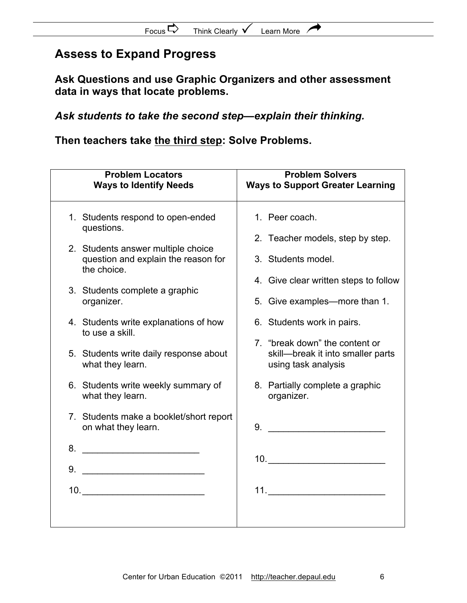#### **Assess to Expand Progress**

**Ask Questions and use Graphic Organizers and other assessment data in ways that locate problems.**

*Ask students to take the second step—explain their thinking.*

**Then teachers take the third step: Solve Problems.**

| <b>Problem Locators</b><br><b>Ways to Identify Needs</b>                                                                                                                                                                                                                                                                                                                                                                                                                                                                         | <b>Problem Solvers</b><br><b>Ways to Support Greater Learning</b>                                                                                                                                                                                                                                                                                                 |
|----------------------------------------------------------------------------------------------------------------------------------------------------------------------------------------------------------------------------------------------------------------------------------------------------------------------------------------------------------------------------------------------------------------------------------------------------------------------------------------------------------------------------------|-------------------------------------------------------------------------------------------------------------------------------------------------------------------------------------------------------------------------------------------------------------------------------------------------------------------------------------------------------------------|
| 1. Students respond to open-ended<br>questions.<br>2. Students answer multiple choice<br>question and explain the reason for<br>the choice.<br>3. Students complete a graphic<br>organizer.<br>4. Students write explanations of how<br>to use a skill.<br>5. Students write daily response about<br>what they learn.<br>6. Students write weekly summary of<br>what they learn.<br>7. Students make a booklet/short report<br>on what they learn.<br>8.<br>$9.$ and $9.$<br>$10. \begin{tabular}{l} \textbf{10.} \end{tabular}$ | 1. Peer coach.<br>2. Teacher models, step by step.<br>3. Students model.<br>4. Give clear written steps to follow<br>5. Give examples—more than 1.<br>6. Students work in pairs.<br>7. "break down" the content or<br>skill-break it into smaller parts<br>using task analysis<br>8. Partially complete a graphic<br>organizer.<br>$10. \underline{\hspace{2cm}}$ |
|                                                                                                                                                                                                                                                                                                                                                                                                                                                                                                                                  |                                                                                                                                                                                                                                                                                                                                                                   |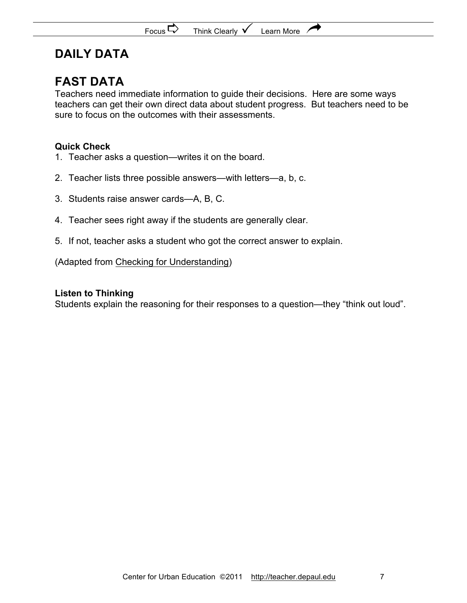#### **DAILY DATA**

#### **FAST DATA**

Teachers need immediate information to guide their decisions. Here are some ways teachers can get their own direct data about student progress. But teachers need to be sure to focus on the outcomes with their assessments.

#### **Quick Check**

- 1. Teacher asks a question—writes it on the board.
- 2. Teacher lists three possible answers—with letters—a, b, c.
- 3. Students raise answer cards—A, B, C.
- 4. Teacher sees right away if the students are generally clear.
- 5. If not, teacher asks a student who got the correct answer to explain.

(Adapted from Checking for Understanding)

#### **Listen to Thinking**

Students explain the reasoning for their responses to a question—they "think out loud".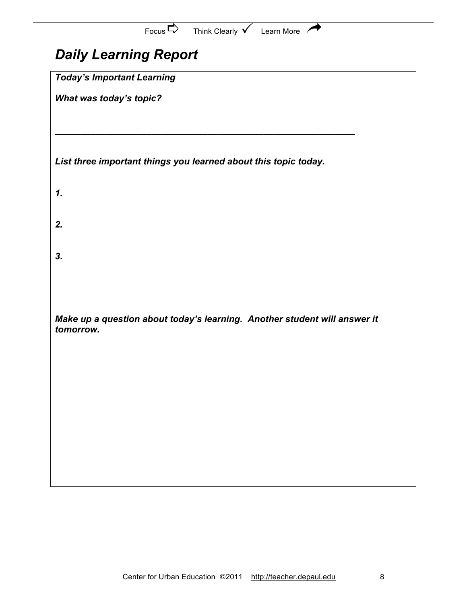|                              | <b>Today's Important Learning</b>                                                      |  |
|------------------------------|----------------------------------------------------------------------------------------|--|
|                              | What was today's topic?                                                                |  |
|                              | List three important things you learned about this topic today.                        |  |
| $\boldsymbol{\mathcal{1}}$ . |                                                                                        |  |
| 2.                           |                                                                                        |  |
| 3.                           |                                                                                        |  |
|                              |                                                                                        |  |
|                              | Make up a question about today's learning. Another student will answer it<br>tomorrow. |  |
|                              |                                                                                        |  |
|                              |                                                                                        |  |
|                              |                                                                                        |  |
|                              |                                                                                        |  |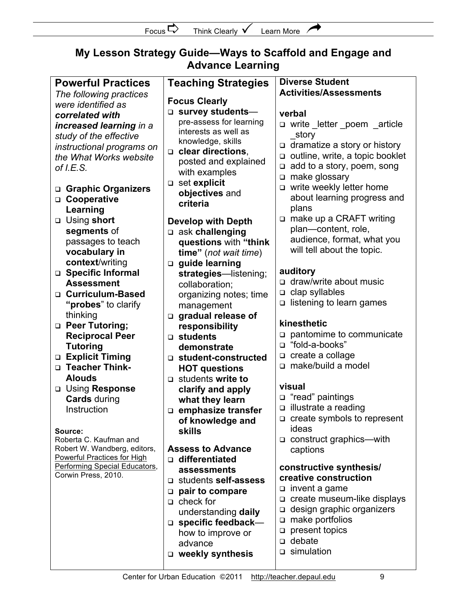| Focus | <b>Think Clearly</b><br>v | Learn More |  |
|-------|---------------------------|------------|--|
|       |                           |            |  |

#### **My Lesson Strategy Guide—Ways to Scaffold and Engage and Advance Learning**

| <b>Powerful Practices</b>                                   | <b>Teaching Strategies</b>                       | <b>Diverse Student</b>                                     |
|-------------------------------------------------------------|--------------------------------------------------|------------------------------------------------------------|
| The following practices                                     |                                                  | <b>Activities/Assessments</b>                              |
| were identified as                                          | <b>Focus Clearly</b>                             |                                                            |
| correlated with                                             | $\square$ survey students-                       | verbal                                                     |
| increased learning in a                                     | pre-assess for learning<br>interests as well as  | □ write letter poem article                                |
| study of the effective                                      | knowledge, skills                                | story                                                      |
| instructional programs on                                   | $\Box$ clear directions,                         | dramatize a story or history                               |
| the What Works website                                      | posted and explained                             | outline, write, a topic booklet<br>$\Box$                  |
| of $I.E.S.$                                                 | with examples                                    | $\Box$ add to a story, poem, song                          |
|                                                             | $\Box$ set explicit                              | make glossary<br>$\Box$<br>$\Box$ write weekly letter home |
| <b>Graphic Organizers</b>                                   | objectives and                                   | about learning progress and                                |
| □ Cooperative<br>Learning                                   | criteria                                         | plans                                                      |
| □ Using short                                               |                                                  | $\Box$ make up a CRAFT writing                             |
| segments of                                                 | <b>Develop with Depth</b><br>ask challenging     | plan-content, role,                                        |
| passages to teach                                           | questions with "think                            | audience, format, what you                                 |
| vocabulary in                                               | time" (not wait time)                            | will tell about the topic.                                 |
| context/writing                                             | guide learning                                   |                                                            |
| □ Specific Informal                                         | strategies-listening;                            | auditory                                                   |
| <b>Assessment</b>                                           | collaboration;                                   | $\Box$ draw/write about music                              |
| □ Curriculum-Based                                          | organizing notes; time                           | clap syllables<br>$\Box$                                   |
| "probes" to clarify                                         | management                                       | listening to learn games<br>□                              |
| thinking                                                    | gradual release of                               |                                                            |
| <b>D</b> Peer Tutoring;                                     | responsibility                                   | kinesthetic                                                |
| <b>Reciprocal Peer</b>                                      | $\Box$ students                                  | pantomime to communicate<br>❏<br>"fold-a-books"            |
| <b>Tutoring</b>                                             | demonstrate                                      | <b>□</b><br>$\Box$ create a collage                        |
| <b>D</b> Explicit Timing<br>□ Teacher Think-                | □ student-constructed                            | make/build a model                                         |
| <b>Alouds</b>                                               | <b>HOT questions</b><br>$\Box$ students write to |                                                            |
| □ Using Response                                            | clarify and apply                                | visual                                                     |
| <b>Cards during</b>                                         | what they learn                                  | □ "read" paintings                                         |
| Instruction                                                 | □ emphasize transfer                             | □ illustrate a reading                                     |
|                                                             | of knowledge and                                 | $\Box$ create symbols to represent                         |
| Source:                                                     | <b>skills</b>                                    | ideas                                                      |
| Roberta C. Kaufman and                                      |                                                  | □ construct graphics—with                                  |
| Robert W. Wandberg, editors,<br>Powerful Practices for High | <b>Assess to Advance</b>                         | captions                                                   |
| Performing Special Educators,                               | $\Box$ differentiated                            | constructive synthesis/                                    |
| Corwin Press, 2010.                                         | assessments<br>$\Box$ students self-assess       | creative construction                                      |
|                                                             |                                                  | $\Box$ invent a game                                       |
|                                                             | pair to compare<br>$\Box$<br>$\Box$ check for    | create museum-like displays                                |
|                                                             | understanding daily                              | design graphic organizers<br>❏                             |
|                                                             | $\square$ specific feedback-                     | make portfolios<br>□                                       |
|                                                             | how to improve or                                | present topics<br>❏                                        |
|                                                             | advance                                          | debate<br>□                                                |
|                                                             | □ weekly synthesis                               | simulation<br><b>□</b>                                     |
|                                                             |                                                  |                                                            |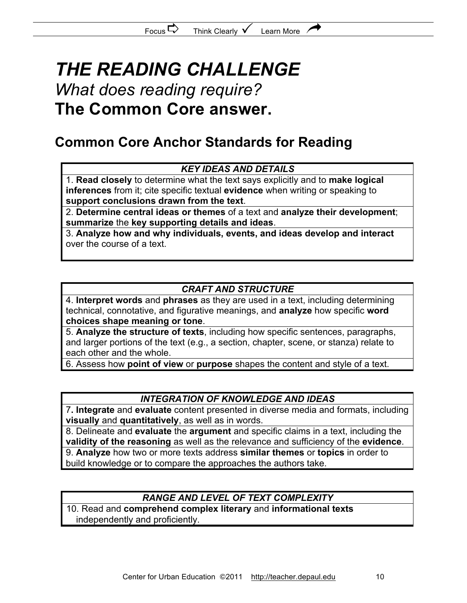#### *THE READING CHALLENGE What does reading require?*  **The Common Core answer.**

#### **Common Core Anchor Standards for Reading**

#### *KEY IDEAS AND DETAILS*

1. **Read closely** to determine what the text says explicitly and to **make logical inferences** from it; cite specific textual **evidence** when writing or speaking to **support conclusions drawn from the text**.

2. **Determine central ideas or themes** of a text and **analyze their development**; **summarize** the **key supporting details and ideas**.

3. **Analyze how and why individuals, events, and ideas develop and interact** over the course of a text.

#### *CRAFT AND STRUCTURE*

4. **Interpret words** and **phrases** as they are used in a text, including determining technical, connotative, and figurative meanings, and **analyze** how specific **word choices shape meaning or tone**.

5. **Analyze the structure of texts**, including how specific sentences, paragraphs, and larger portions of the text (e.g., a section, chapter, scene, or stanza) relate to each other and the whole.

6. Assess how **point of view** or **purpose** shapes the content and style of a text.

#### *INTEGRATION OF KNOWLEDGE AND IDEAS*

7**. Integrate** and **evaluate** content presented in diverse media and formats, including **visually** and **quantitatively**, as well as in words.

8. Delineate and **evaluate** the **argument** and specific claims in a text, including the **validity of the reasoning** as well as the relevance and sufficiency of the **evidence**.

9. **Analyze** how two or more texts address **similar themes** or **topics** in order to build knowledge or to compare the approaches the authors take.

#### *RANGE AND LEVEL OF TEXT COMPLEXITY*

10. Read and **comprehend complex literary** and **informational texts** independently and proficiently.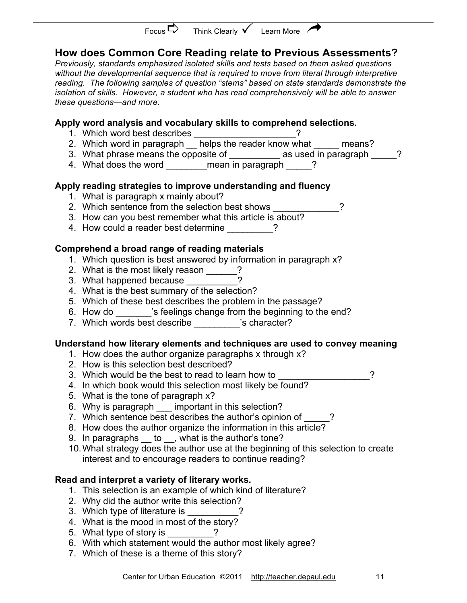#### **How does Common Core Reading relate to Previous Assessments?**

Focus  $\overline{\mathsf{L}}$  Think Clearly  $\checkmark$  Learn More

*Previously, standards emphasized isolated skills and tests based on them asked questions without the developmental sequence that is required to move from literal through interpretive reading. The following samples of question "stems" based on state standards demonstrate the isolation of skills. However, a student who has read comprehensively will be able to answer these questions—and more.*

#### **Apply word analysis and vocabulary skills to comprehend selections.**

- 1. Which word best describes \_\_\_\_\_\_\_\_\_\_\_\_\_\_\_\_\_\_\_?
- 2. Which word in paragraph Lelps the reader know what Letter means?
- 3. What phrase means the opposite of as used in paragraph ?
- 4. What does the word **Example 2** mean in paragraph 2

#### **Apply reading strategies to improve understanding and fluency**

- 1. What is paragraph x mainly about?
- 2. Which sentence from the selection best shows \_\_\_\_\_\_\_\_\_\_\_\_\_\_\_\_\_\_\_\_\_\_\_\_\_\_\_\_\_\_\_\_
- 3. How can you best remember what this article is about?
- 4. How could a reader best determine  $\overline{?}$

#### **Comprehend a broad range of reading materials**

- 1. Which question is best answered by information in paragraph x?
- 2. What is the most likely reason 2
- 3. What happened because
- 4. What is the best summary of the selection?
- 5. Which of these best describes the problem in the passage?
- 6. How do \_\_\_\_\_\_\_\_'s feelings change from the beginning to the end?
- 7. Which words best describe **Example 23** is character?

#### **Understand how literary elements and techniques are used to convey meaning**

- 1. How does the author organize paragraphs x through x?
- 2. How is this selection best described?
- 3. Which would be the best to read to learn how to  $\sim$  .
- 4. In which book would this selection most likely be found?
- 5. What is the tone of paragraph x?
- 6. Why is paragraph important in this selection?
- 7. Which sentence best describes the author's opinion of
- 8. How does the author organize the information in this article?
- 9. In paragraphs \_\_ to \_\_, what is the author's tone?
- 10.What strategy does the author use at the beginning of this selection to create interest and to encourage readers to continue reading?

#### **Read and interpret a variety of literary works.**

- 1. This selection is an example of which kind of literature?
- 2. Why did the author write this selection?
- 3. Which type of literature is 2
- 4. What is the mood in most of the story?
- 5. What type of story is 2
- 6. With which statement would the author most likely agree?
- 7. Which of these is a theme of this story?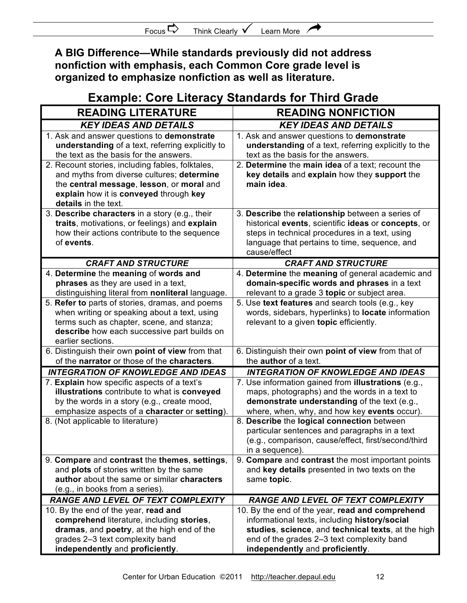#### Focus  $\overrightarrow{C}$  Think Clearly  $\overrightarrow{C}$  Learn More

**A BIG Difference—While standards previously did not address nonfiction with emphasis, each Common Core grade level is organized to emphasize nonfiction as well as literature.**

#### **Example: Core Literacy Standards for Third Grade**

| <b>READING LITERATURE</b>                                                                                                                                                                                                                                                                                                                                 | <b>READING NONFICTION</b>                                                                                                                                                                                                                                   |  |
|-----------------------------------------------------------------------------------------------------------------------------------------------------------------------------------------------------------------------------------------------------------------------------------------------------------------------------------------------------------|-------------------------------------------------------------------------------------------------------------------------------------------------------------------------------------------------------------------------------------------------------------|--|
| <b>KEY IDEAS AND DETAILS</b>                                                                                                                                                                                                                                                                                                                              | <b>KEY IDEAS AND DETAILS</b>                                                                                                                                                                                                                                |  |
| 1. Ask and answer questions to demonstrate<br>understanding of a text, referring explicitly to<br>the text as the basis for the answers.<br>2. Recount stories, including fables, folktales,<br>and myths from diverse cultures; determine<br>the central message, lesson, or moral and<br>explain how it is conveyed through key<br>details in the text. | 1. Ask and answer questions to demonstrate<br>understanding of a text, referring explicitly to the<br>text as the basis for the answers.<br>2. Determine the main idea of a text; recount the<br>key details and explain how they support the<br>main idea. |  |
| 3. Describe characters in a story (e.g., their<br>traits, motivations, or feelings) and explain<br>how their actions contribute to the sequence<br>of events.                                                                                                                                                                                             | 3. Describe the relationship between a series of<br>historical events, scientific ideas or concepts, or<br>steps in technical procedures in a text, using<br>language that pertains to time, sequence, and<br>cause/effect                                  |  |
| <b>CRAFT AND STRUCTURE</b>                                                                                                                                                                                                                                                                                                                                | <b>CRAFT AND STRUCTURE</b>                                                                                                                                                                                                                                  |  |
| 4. Determine the meaning of words and<br>phrases as they are used in a text,<br>distinguishing literal from nonliteral language.<br>5. Refer to parts of stories, dramas, and poems                                                                                                                                                                       | 4. Determine the meaning of general academic and<br>domain-specific words and phrases in a text<br>relevant to a grade 3 topic or subject area.<br>5. Use text features and search tools (e.g., key                                                         |  |
| when writing or speaking about a text, using<br>terms such as chapter, scene, and stanza;<br>describe how each successive part builds on<br>earlier sections.                                                                                                                                                                                             | words, sidebars, hyperlinks) to locate information<br>relevant to a given topic efficiently.                                                                                                                                                                |  |
| 6. Distinguish their own point of view from that<br>of the narrator or those of the characters.                                                                                                                                                                                                                                                           | 6. Distinguish their own point of view from that of<br>the <b>author</b> of a text.                                                                                                                                                                         |  |
| <b>INTEGRATION OF KNOWLEDGE AND IDEAS</b>                                                                                                                                                                                                                                                                                                                 | <b>INTEGRATION OF KNOWLEDGE AND IDEAS</b>                                                                                                                                                                                                                   |  |
| 7. Explain how specific aspects of a text's<br>illustrations contribute to what is conveyed<br>by the words in a story (e.g., create mood,<br>emphasize aspects of a character or setting).                                                                                                                                                               | 7. Use information gained from illustrations (e.g.,<br>maps, photographs) and the words in a text to<br>demonstrate understanding of the text (e.g.,<br>where, when, why, and how key events occur).                                                        |  |
| 8. (Not applicable to literature)                                                                                                                                                                                                                                                                                                                         | 8. Describe the logical connection between<br>particular sentences and paragraphs in a text<br>(e.g., comparison, cause/effect, first/second/third<br>in a sequence).                                                                                       |  |
| 9. Compare and contrast the themes, settings,<br>and plots of stories written by the same<br>author about the same or similar characters<br>(e.g., in books from a series).                                                                                                                                                                               | 9. Compare and contrast the most important points<br>and key details presented in two texts on the<br>same topic.                                                                                                                                           |  |
| RANGE AND LEVEL OF TEXT COMPLEXITY                                                                                                                                                                                                                                                                                                                        | RANGE AND LEVEL OF TEXT COMPLEXITY                                                                                                                                                                                                                          |  |
| 10. By the end of the year, read and<br>comprehend literature, including stories,<br>dramas, and poetry, at the high end of the<br>grades 2-3 text complexity band<br>independently and proficiently.                                                                                                                                                     | 10. By the end of the year, read and comprehend<br>informational texts, including history/social<br>studies, science, and technical texts, at the high<br>end of the grades 2-3 text complexity band<br>independently and proficiently.                     |  |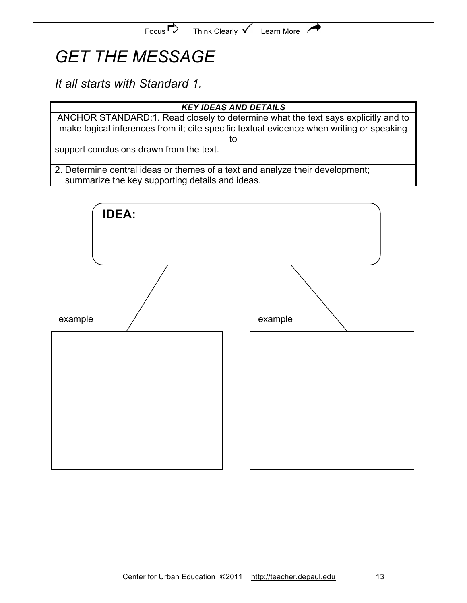#### *GET THE MESSAGE*

*It all starts with Standard 1.*

#### *KEY IDEAS AND DETAILS*

ANCHOR STANDARD:1. Read closely to determine what the text says explicitly and to make logical inferences from it; cite specific textual evidence when writing or speaking to

support conclusions drawn from the text.

2. Determine central ideas or themes of a text and analyze their development; summarize the key supporting details and ideas.

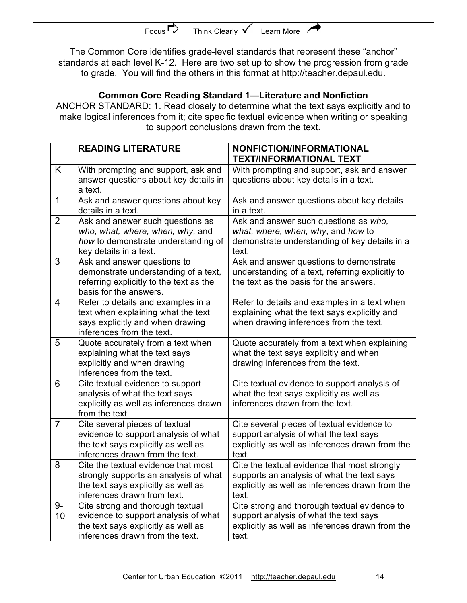#### $Focus \rightarrow$  Think Clearly  $\checkmark$  Learn More

The Common Core identifies grade-level standards that represent these "anchor" standards at each level K-12. Here are two set up to show the progression from grade to grade. You will find the others in this format at http://teacher.depaul.edu.

#### **Common Core Reading Standard 1—Literature and Nonfiction**

ANCHOR STANDARD: 1. Read closely to determine what the text says explicitly and to make logical inferences from it; cite specific textual evidence when writing or speaking to support conclusions drawn from the text.

|                | <b>READING LITERATURE</b>                                                                                                                          | NONFICTION/INFORMATIONAL<br><b>TEXT/INFORMATIONAL TEXT</b>                                                                                             |
|----------------|----------------------------------------------------------------------------------------------------------------------------------------------------|--------------------------------------------------------------------------------------------------------------------------------------------------------|
| K              | With prompting and support, ask and<br>answer questions about key details in<br>a text.                                                            | With prompting and support, ask and answer<br>questions about key details in a text.                                                                   |
| $\mathbf{1}$   | Ask and answer questions about key<br>details in a text.                                                                                           | Ask and answer questions about key details<br>in a text.                                                                                               |
| $\overline{2}$ | Ask and answer such questions as<br>who, what, where, when, why, and<br>how to demonstrate understanding of<br>key details in a text.              | Ask and answer such questions as who,<br>what, where, when, why, and how to<br>demonstrate understanding of key details in a<br>text.                  |
| 3              | Ask and answer questions to<br>demonstrate understanding of a text,<br>referring explicitly to the text as the<br>basis for the answers.           | Ask and answer questions to demonstrate<br>understanding of a text, referring explicitly to<br>the text as the basis for the answers.                  |
| $\overline{4}$ | Refer to details and examples in a<br>text when explaining what the text<br>says explicitly and when drawing<br>inferences from the text.          | Refer to details and examples in a text when<br>explaining what the text says explicitly and<br>when drawing inferences from the text.                 |
| 5              | Quote accurately from a text when<br>explaining what the text says<br>explicitly and when drawing<br>inferences from the text.                     | Quote accurately from a text when explaining<br>what the text says explicitly and when<br>drawing inferences from the text.                            |
| 6              | Cite textual evidence to support<br>analysis of what the text says<br>explicitly as well as inferences drawn<br>from the text.                     | Cite textual evidence to support analysis of<br>what the text says explicitly as well as<br>inferences drawn from the text.                            |
| $\overline{7}$ | Cite several pieces of textual<br>evidence to support analysis of what<br>the text says explicitly as well as<br>inferences drawn from the text.   | Cite several pieces of textual evidence to<br>support analysis of what the text says<br>explicitly as well as inferences drawn from the<br>text.       |
| 8              | Cite the textual evidence that most<br>strongly supports an analysis of what<br>the text says explicitly as well as<br>inferences drawn from text. | Cite the textual evidence that most strongly<br>supports an analysis of what the text says<br>explicitly as well as inferences drawn from the<br>text. |
| 9-<br>10       | Cite strong and thorough textual<br>evidence to support analysis of what<br>the text says explicitly as well as<br>inferences drawn from the text. | Cite strong and thorough textual evidence to<br>support analysis of what the text says<br>explicitly as well as inferences drawn from the<br>text.     |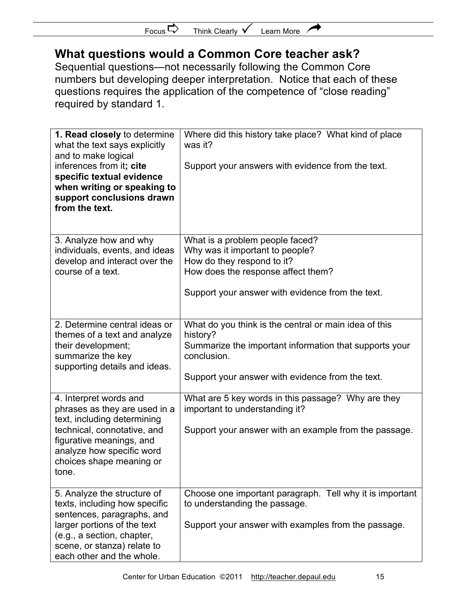#### **What questions would a Common Core teacher ask?**

Sequential questions—not necessarily following the Common Core numbers but developing deeper interpretation. Notice that each of these questions requires the application of the competence of "close reading" required by standard 1.

Focus  $\overline{\mathbf{C}}$  Think Clearly  $\checkmark$  Learn More  $\checkmark$ 

| 1. Read closely to determine<br>what the text says explicitly<br>and to make logical<br>inferences from it; cite<br>specific textual evidence<br>when writing or speaking to<br>support conclusions drawn<br>from the text. | Where did this history take place? What kind of place<br>was it?<br>Support your answers with evidence from the text.                                                                          |
|-----------------------------------------------------------------------------------------------------------------------------------------------------------------------------------------------------------------------------|------------------------------------------------------------------------------------------------------------------------------------------------------------------------------------------------|
| 3. Analyze how and why<br>individuals, events, and ideas<br>develop and interact over the<br>course of a text.                                                                                                              | What is a problem people faced?<br>Why was it important to people?<br>How do they respond to it?<br>How does the response affect them?<br>Support your answer with evidence from the text.     |
| 2. Determine central ideas or<br>themes of a text and analyze<br>their development;<br>summarize the key<br>supporting details and ideas.                                                                                   | What do you think is the central or main idea of this<br>history?<br>Summarize the important information that supports your<br>conclusion.<br>Support your answer with evidence from the text. |
| 4. Interpret words and<br>phrases as they are used in a<br>text, including determining<br>technical, connotative, and<br>figurative meanings, and<br>analyze how specific word<br>choices shape meaning or<br>tone.         | What are 5 key words in this passage? Why are they<br>important to understanding it?<br>Support your answer with an example from the passage.                                                  |
| 5. Analyze the structure of<br>texts, including how specific<br>sentences, paragraphs, and<br>larger portions of the text<br>(e.g., a section, chapter,<br>scene, or stanza) relate to<br>each other and the whole.         | Choose one important paragraph. Tell why it is important<br>to understanding the passage.<br>Support your answer with examples from the passage.                                               |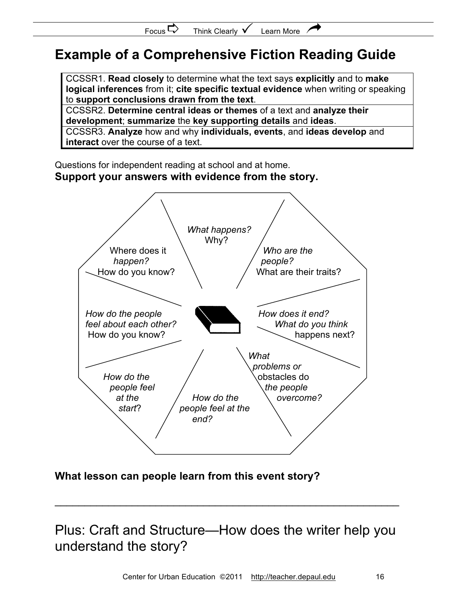#### **Example of a Comprehensive Fiction Reading Guide**

CCSSR1. **Read closely** to determine what the text says **explicitly** and to **make logical inferences** from it; **cite specific textual evidence** when writing or speaking to **support conclusions drawn from the text**.

CCSSR2. **Determine central ideas or themes** of a text and **analyze their development**; **summarize** the **key supporting details** and **ideas**.

CCSSR3. **Analyze** how and why **individuals, events**, and **ideas develop** and **interact** over the course of a text.

Questions for independent reading at school and at home.

**Support your answers with evidence from the story.**



#### **What lesson can people learn from this event story?**

Plus: Craft and Structure—How does the writer help you understand the story?

\_\_\_\_\_\_\_\_\_\_\_\_\_\_\_\_\_\_\_\_\_\_\_\_\_\_\_\_\_\_\_\_\_\_\_\_\_\_\_\_\_\_\_\_\_\_\_\_\_\_\_\_\_\_\_\_\_\_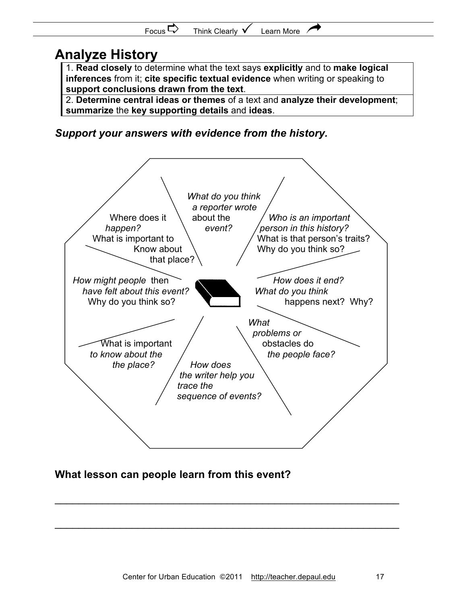

#### **Analyze History**

1. **Read closely** to determine what the text says **explicitly** and to **make logical inferences** from it; **cite specific textual evidence** when writing or speaking to **support conclusions drawn from the text**.

2. **Determine central ideas or themes** of a text and **analyze their development**; **summarize** the **key supporting details** and **ideas**.

#### *Support your answers with evidence from the history.*



#### **What lesson can people learn from this event?**

\_\_\_\_\_\_\_\_\_\_\_\_\_\_\_\_\_\_\_\_\_\_\_\_\_\_\_\_\_\_\_\_\_\_\_\_\_\_\_\_\_\_\_\_\_\_\_\_\_\_\_\_\_\_\_\_\_\_

 $\mathcal{L}_\text{max}$  , and the contract of the contract of the contract of the contract of the contract of the contract of the contract of the contract of the contract of the contract of the contract of the contract of the contr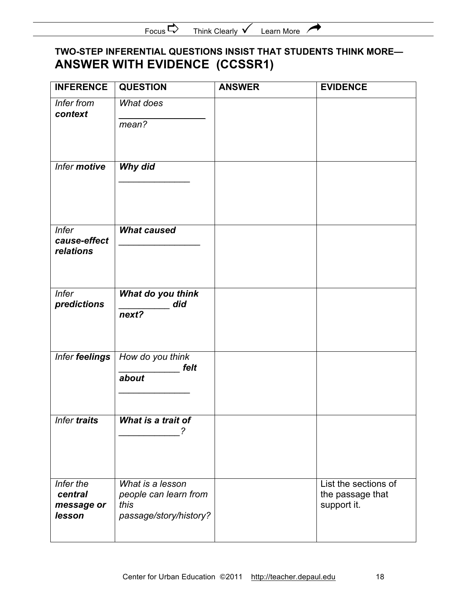| $\sim\cdot\cdot$<br>.<br>ж<br>Juua | Think $\overline{\mathbf{r}}$<br>. learlvات | Learr<br>More |
|------------------------------------|---------------------------------------------|---------------|
|                                    |                                             |               |

#### **TWO-STEP INFERENTIAL QUESTIONS INSIST THAT STUDENTS THINK MORE— ANSWER WITH EVIDENCE (CCSSR1)**

| <b>INFERENCE</b>                             | <b>QUESTION</b>                                                             | <b>ANSWER</b> | <b>EVIDENCE</b>                                         |
|----------------------------------------------|-----------------------------------------------------------------------------|---------------|---------------------------------------------------------|
| Infer from<br>context                        | What does<br>mean?                                                          |               |                                                         |
| Infer motive                                 | Why did                                                                     |               |                                                         |
| <b>Infer</b><br>cause-effect<br>relations    | <b>What caused</b>                                                          |               |                                                         |
| <b>Infer</b><br>predictions                  | What do you think<br>did<br>next?                                           |               |                                                         |
| <b>Infer feelings</b>                        | How do you think<br>felt<br>about                                           |               |                                                         |
| Infer traits                                 | What is a trait of<br>2                                                     |               |                                                         |
| Infer the<br>central<br>message or<br>lesson | What is a lesson<br>people can learn from<br>this<br>passage/story/history? |               | List the sections of<br>the passage that<br>support it. |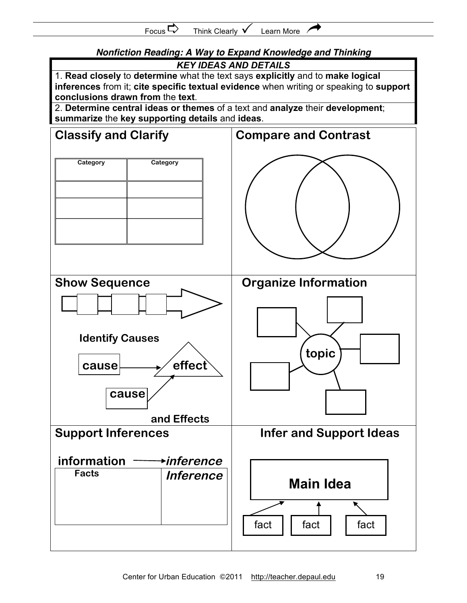|                                                                                                                                                                                                                                                                                                                                                  |          | <b>Nonfiction Reading: A Way to Expand Knowledge and Thinking</b><br><b>KEY IDEAS AND DETAILS</b> |  |  |
|--------------------------------------------------------------------------------------------------------------------------------------------------------------------------------------------------------------------------------------------------------------------------------------------------------------------------------------------------|----------|---------------------------------------------------------------------------------------------------|--|--|
| 1. Read closely to determine what the text says explicitly and to make logical<br>inferences from it; cite specific textual evidence when writing or speaking to support<br>conclusions drawn from the text.<br>2. Determine central ideas or themes of a text and analyze their development;<br>summarize the key supporting details and ideas. |          |                                                                                                   |  |  |
| <b>Classify and Clarify</b>                                                                                                                                                                                                                                                                                                                      |          | <b>Compare and Contrast</b>                                                                       |  |  |
| Category                                                                                                                                                                                                                                                                                                                                         | Category |                                                                                                   |  |  |

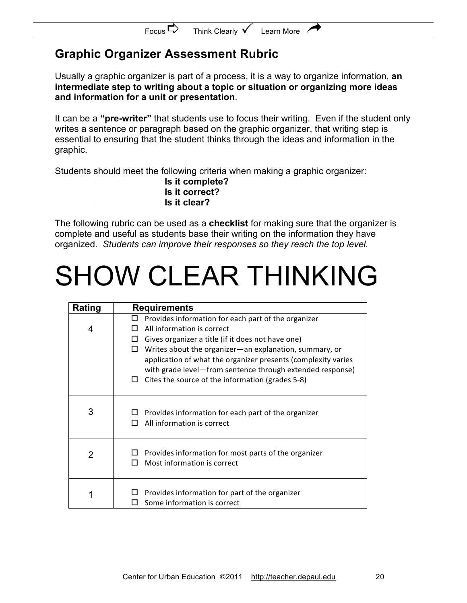#### **Graphic Organizer Assessment Rubric**

Usually a graphic organizer is part of a process, it is a way to organize information, **an intermediate step to writing about a topic or situation or organizing more ideas and information for a unit or presentation**.

It can be a **"pre-writer"** that students use to focus their writing. Even if the student only writes a sentence or paragraph based on the graphic organizer, that writing step is essential to ensuring that the student thinks through the ideas and information in the graphic.

Students should meet the following criteria when making a graphic organizer:

! **Is it complete?** Is it correct? ! **Is it clear?**

The following rubric can be used as a **checklist** for making sure that the organizer is complete and useful as students base their writing on the information they have organized. *Students can improve their responses so they reach the top level.*

## SHOW CLEAR THINKING

| Rating | <b>Requirements</b>                                           |
|--------|---------------------------------------------------------------|
|        | Provides information for each part of the organizer           |
| 4      | All information is correct                                    |
|        | Gives organizer a title (if it does not have one)<br>ΙI       |
|        | Writes about the organizer-an explanation, summary, or        |
|        | application of what the organizer presents (complexity varies |
|        | with grade level-from sentence through extended response)     |
|        | Cites the source of the information (grades 5-8)<br>□         |
|        |                                                               |
|        |                                                               |
| 3      | Provides information for each part of the organizer           |
|        | All information is correct                                    |
|        |                                                               |
|        |                                                               |
| 2      | Provides information for most parts of the organizer          |
|        | Most information is correct                                   |
|        |                                                               |
|        | Provides information for part of the organizer                |
|        |                                                               |
|        | Some information is correct                                   |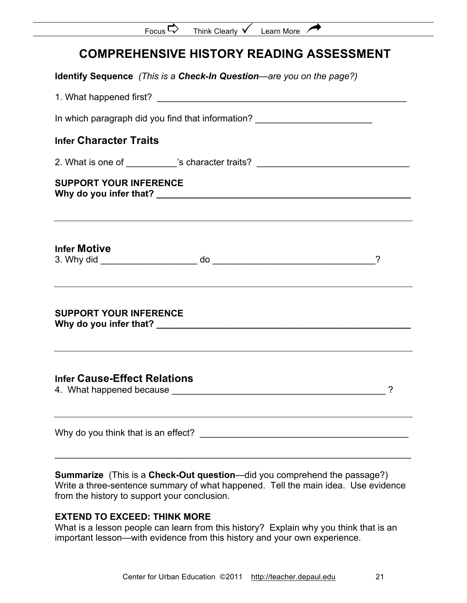| Focus $\overline{\mathsf{C}}$       | Think Clearly $\sqrt{\phantom{a}}$ Learn More $\sqrt{\phantom{a}}$                                                                                                                                                            |
|-------------------------------------|-------------------------------------------------------------------------------------------------------------------------------------------------------------------------------------------------------------------------------|
|                                     | <b>COMPREHENSIVE HISTORY READING ASSESSMENT</b>                                                                                                                                                                               |
|                                     | <b>Identify Sequence</b> (This is a Check-In Question—are you on the page?)                                                                                                                                                   |
|                                     |                                                                                                                                                                                                                               |
|                                     | In which paragraph did you find that information? ______________________________                                                                                                                                              |
| <b>Infer Character Traits</b>       |                                                                                                                                                                                                                               |
|                                     | 2. What is one of ____________'s character traits? _____________________________                                                                                                                                              |
| <b>SUPPORT YOUR INFERENCE</b>       |                                                                                                                                                                                                                               |
| <b>Infer Motive</b>                 |                                                                                                                                                                                                                               |
| <b>SUPPORT YOUR INFERENCE</b>       | Why do you infer that? The state of the state of the state of the state of the state of the state of the state of the state of the state of the state of the state of the state of the state of the state of the state of the |
| <b>Infer Cause-Effect Relations</b> | 7                                                                                                                                                                                                                             |
|                                     |                                                                                                                                                                                                                               |

**Summarize** (This is a **Check-Out question**—did you comprehend the passage?) Write a three-sentence summary of what happened. Tell the main idea. Use evidence from the history to support your conclusion.

#### **EXTEND TO EXCEED: THINK MORE**

What is a lesson people can learn from this history? Explain why you think that is an important lesson—with evidence from this history and your own experience.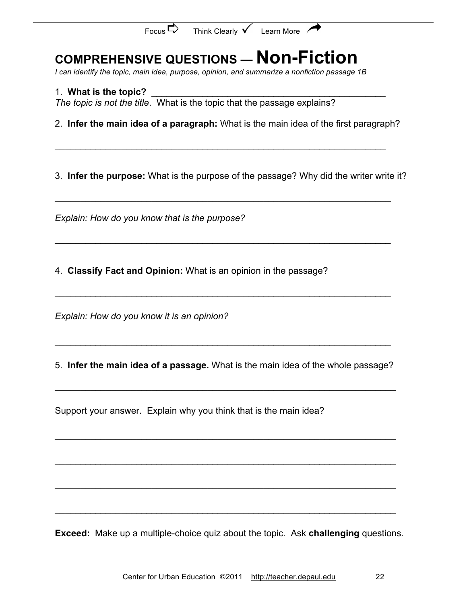| 31 I.S<br>n | -<br>.<br>.<br>Jearly<br>шк | More<br>$\sim$<br>. .<br><u>та</u> н<br>___<br>________ |  |
|-------------|-----------------------------|---------------------------------------------------------|--|
|             |                             |                                                         |  |

#### **COMPREHENSIVE QUESTIONS — Non-Fiction**

*I can identify the topic, main idea, purpose, opinion, and summarize a nonfiction passage 1B*

1. **What is the topic?** \_\_\_\_\_\_\_\_\_\_\_\_\_\_\_\_\_\_\_\_\_\_\_\_\_\_\_\_\_\_\_\_\_\_\_\_\_\_\_\_\_\_\_\_\_\_

*The topic is not the title*. What is the topic that the passage explains?

2. **Infer the main idea of a paragraph:** What is the main idea of the first paragraph?

 $\mathcal{L}_\text{max} = \mathcal{L}_\text{max} = \mathcal{L}_\text{max} = \mathcal{L}_\text{max} = \mathcal{L}_\text{max} = \mathcal{L}_\text{max} = \mathcal{L}_\text{max} = \mathcal{L}_\text{max} = \mathcal{L}_\text{max} = \mathcal{L}_\text{max} = \mathcal{L}_\text{max} = \mathcal{L}_\text{max} = \mathcal{L}_\text{max} = \mathcal{L}_\text{max} = \mathcal{L}_\text{max} = \mathcal{L}_\text{max} = \mathcal{L}_\text{max} = \mathcal{L}_\text{max} = \mathcal{$ 

3. **Infer the purpose:** What is the purpose of the passage? Why did the writer write it?

 $\mathcal{L}_\mathcal{L} = \mathcal{L}_\mathcal{L} = \mathcal{L}_\mathcal{L} = \mathcal{L}_\mathcal{L} = \mathcal{L}_\mathcal{L} = \mathcal{L}_\mathcal{L} = \mathcal{L}_\mathcal{L} = \mathcal{L}_\mathcal{L} = \mathcal{L}_\mathcal{L} = \mathcal{L}_\mathcal{L} = \mathcal{L}_\mathcal{L} = \mathcal{L}_\mathcal{L} = \mathcal{L}_\mathcal{L} = \mathcal{L}_\mathcal{L} = \mathcal{L}_\mathcal{L} = \mathcal{L}_\mathcal{L} = \mathcal{L}_\mathcal{L}$ 

 $\mathcal{L}_\text{max} = \mathcal{L}_\text{max} = \mathcal{L}_\text{max} = \mathcal{L}_\text{max} = \mathcal{L}_\text{max} = \mathcal{L}_\text{max} = \mathcal{L}_\text{max} = \mathcal{L}_\text{max} = \mathcal{L}_\text{max} = \mathcal{L}_\text{max} = \mathcal{L}_\text{max} = \mathcal{L}_\text{max} = \mathcal{L}_\text{max} = \mathcal{L}_\text{max} = \mathcal{L}_\text{max} = \mathcal{L}_\text{max} = \mathcal{L}_\text{max} = \mathcal{L}_\text{max} = \mathcal{$ 

 $\mathcal{L}_\text{max}$  and  $\mathcal{L}_\text{max}$  and  $\mathcal{L}_\text{max}$  and  $\mathcal{L}_\text{max}$  and  $\mathcal{L}_\text{max}$  and  $\mathcal{L}_\text{max}$ 

*Explain: How do you know that is the purpose?*

4. **Classify Fact and Opinion:** What is an opinion in the passage?

*Explain: How do you know it is an opinion?*

5. **Infer the main idea of a passage.** What is the main idea of the whole passage?

 $\mathcal{L}_\mathcal{L} = \mathcal{L}_\mathcal{L} = \mathcal{L}_\mathcal{L} = \mathcal{L}_\mathcal{L} = \mathcal{L}_\mathcal{L} = \mathcal{L}_\mathcal{L} = \mathcal{L}_\mathcal{L} = \mathcal{L}_\mathcal{L} = \mathcal{L}_\mathcal{L} = \mathcal{L}_\mathcal{L} = \mathcal{L}_\mathcal{L} = \mathcal{L}_\mathcal{L} = \mathcal{L}_\mathcal{L} = \mathcal{L}_\mathcal{L} = \mathcal{L}_\mathcal{L} = \mathcal{L}_\mathcal{L} = \mathcal{L}_\mathcal{L}$ 

 $\mathcal{L}_\mathcal{L} = \mathcal{L}_\mathcal{L} = \mathcal{L}_\mathcal{L} = \mathcal{L}_\mathcal{L} = \mathcal{L}_\mathcal{L} = \mathcal{L}_\mathcal{L} = \mathcal{L}_\mathcal{L} = \mathcal{L}_\mathcal{L} = \mathcal{L}_\mathcal{L} = \mathcal{L}_\mathcal{L} = \mathcal{L}_\mathcal{L} = \mathcal{L}_\mathcal{L} = \mathcal{L}_\mathcal{L} = \mathcal{L}_\mathcal{L} = \mathcal{L}_\mathcal{L} = \mathcal{L}_\mathcal{L} = \mathcal{L}_\mathcal{L}$ 

 $\mathcal{L}_\mathcal{L} = \mathcal{L}_\mathcal{L} = \mathcal{L}_\mathcal{L} = \mathcal{L}_\mathcal{L} = \mathcal{L}_\mathcal{L} = \mathcal{L}_\mathcal{L} = \mathcal{L}_\mathcal{L} = \mathcal{L}_\mathcal{L} = \mathcal{L}_\mathcal{L} = \mathcal{L}_\mathcal{L} = \mathcal{L}_\mathcal{L} = \mathcal{L}_\mathcal{L} = \mathcal{L}_\mathcal{L} = \mathcal{L}_\mathcal{L} = \mathcal{L}_\mathcal{L} = \mathcal{L}_\mathcal{L} = \mathcal{L}_\mathcal{L}$ 

 $\mathcal{L}_\mathcal{L} = \mathcal{L}_\mathcal{L} = \mathcal{L}_\mathcal{L} = \mathcal{L}_\mathcal{L} = \mathcal{L}_\mathcal{L} = \mathcal{L}_\mathcal{L} = \mathcal{L}_\mathcal{L} = \mathcal{L}_\mathcal{L} = \mathcal{L}_\mathcal{L} = \mathcal{L}_\mathcal{L} = \mathcal{L}_\mathcal{L} = \mathcal{L}_\mathcal{L} = \mathcal{L}_\mathcal{L} = \mathcal{L}_\mathcal{L} = \mathcal{L}_\mathcal{L} = \mathcal{L}_\mathcal{L} = \mathcal{L}_\mathcal{L}$ 

 $\mathcal{L}_\mathcal{L} = \mathcal{L}_\mathcal{L} = \mathcal{L}_\mathcal{L} = \mathcal{L}_\mathcal{L} = \mathcal{L}_\mathcal{L} = \mathcal{L}_\mathcal{L} = \mathcal{L}_\mathcal{L} = \mathcal{L}_\mathcal{L} = \mathcal{L}_\mathcal{L} = \mathcal{L}_\mathcal{L} = \mathcal{L}_\mathcal{L} = \mathcal{L}_\mathcal{L} = \mathcal{L}_\mathcal{L} = \mathcal{L}_\mathcal{L} = \mathcal{L}_\mathcal{L} = \mathcal{L}_\mathcal{L} = \mathcal{L}_\mathcal{L}$ 

 $\mathcal{L}_\text{max}$  and  $\mathcal{L}_\text{max}$  and  $\mathcal{L}_\text{max}$  and  $\mathcal{L}_\text{max}$  and  $\mathcal{L}_\text{max}$  and  $\mathcal{L}_\text{max}$ 

Support your answer. Explain why you think that is the main idea?

**Exceed:** Make up a multiple-choice quiz about the topic. Ask **challenging** questions.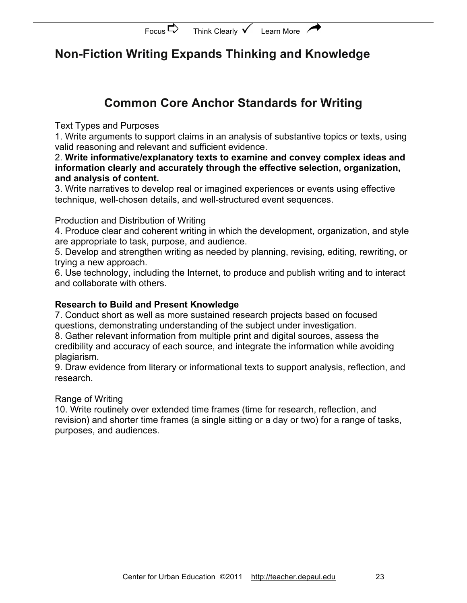#### **Non-Fiction Writing Expands Thinking and Knowledge**

#### **Common Core Anchor Standards for Writing**

#### Text Types and Purposes

1. Write arguments to support claims in an analysis of substantive topics or texts, using valid reasoning and relevant and sufficient evidence.

2. **Write informative/explanatory texts to examine and convey complex ideas and information clearly and accurately through the effective selection, organization, and analysis of content.**

3. Write narratives to develop real or imagined experiences or events using effective technique, well-chosen details, and well-structured event sequences.

#### Production and Distribution of Writing

4. Produce clear and coherent writing in which the development, organization, and style are appropriate to task, purpose, and audience.

5. Develop and strengthen writing as needed by planning, revising, editing, rewriting, or trying a new approach.

6. Use technology, including the Internet, to produce and publish writing and to interact and collaborate with others.

#### **Research to Build and Present Knowledge**

7. Conduct short as well as more sustained research projects based on focused questions, demonstrating understanding of the subject under investigation.

8. Gather relevant information from multiple print and digital sources, assess the credibility and accuracy of each source, and integrate the information while avoiding plagiarism.

9. Draw evidence from literary or informational texts to support analysis, reflection, and research.

#### Range of Writing

10. Write routinely over extended time frames (time for research, reflection, and revision) and shorter time frames (a single sitting or a day or two) for a range of tasks, purposes, and audiences.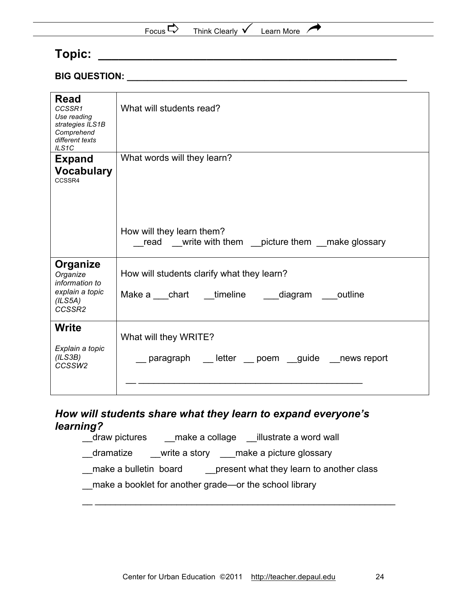| יי י<br>м<br>– | Think<br>.<br>Jearly<br>______ | ----<br>More<br>$\sim$ $\sim$ $\sim$ $\sim$ $\sim$ $\sim$ |  |
|----------------|--------------------------------|-----------------------------------------------------------|--|
|                |                                |                                                           |  |

#### **Topic: \_\_\_\_\_\_\_\_\_\_\_\_\_\_\_\_\_\_\_\_\_\_\_\_\_\_\_\_\_\_\_\_\_\_\_\_\_\_\_\_\_\_\_\_**

#### **BIG QUESTION: \_\_\_\_\_\_\_\_\_\_\_\_\_\_\_\_\_\_\_\_\_\_\_\_\_\_\_\_\_\_\_\_\_\_\_\_\_\_\_\_\_\_\_\_\_\_\_\_\_\_\_\_\_\_\_**

| <b>Read</b><br>CCSSR1<br>Use reading<br>strategies ILS1B<br>Comprehend<br>different texts<br>ILS1C | What will students read?                                                           |
|----------------------------------------------------------------------------------------------------|------------------------------------------------------------------------------------|
| <b>Expand</b>                                                                                      | What words will they learn?                                                        |
| <b>Vocabulary</b><br>CCSSR4                                                                        |                                                                                    |
|                                                                                                    |                                                                                    |
|                                                                                                    |                                                                                    |
|                                                                                                    | How will they learn them?<br>read __write with them __picture them __make glossary |
| Organize                                                                                           |                                                                                    |
| Organize<br>information to                                                                         | How will students clarify what they learn?                                         |
| explain a topic<br>(ILS5A)<br>CCSSR2                                                               | Make a chart timeline diagram outline                                              |
| <b>Write</b>                                                                                       |                                                                                    |
| Explain a topic                                                                                    | What will they WRITE?                                                              |
| (ILS3B)<br>CCSSW <sub>2</sub>                                                                      | __ paragraph __ letter __ poem __ guide __ news report                             |
|                                                                                                    |                                                                                    |

#### *How will students share what they learn to expand everyone's learning?*

\_\_draw pictures \_\_make a collage \_\_illustrate a word wall

\_\_dramatize \_\_write a story \_\_\_make a picture glossary

\_\_make a bulletin board \_\_present what they learn to another class

 $\overline{\phantom{a}}$  , and the contribution of the contribution of the contribution of the contribution of the contribution of the contribution of the contribution of the contribution of the contribution of the contribution of the

\_\_make a booklet for another grade—or the school library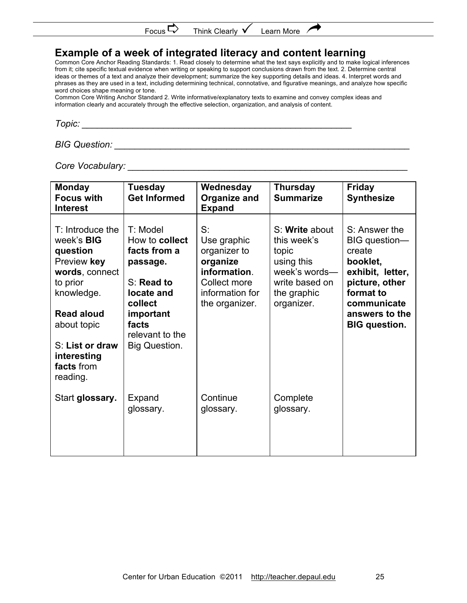

#### **Example of a week of integrated literacy and content learning**

Common Core Anchor Reading Standards: 1. Read closely to determine what the text says explicitly and to make logical inferences from it; cite specific textual evidence when writing or speaking to support conclusions drawn from the text. 2. Determine central ideas or themes of a text and analyze their development; summarize the key supporting details and ideas. 4. Interpret words and phrases as they are used in a text, including determining technical, connotative, and figurative meanings, and analyze how specific word choices shape meaning or tone.

Common Core Writing Anchor Standard 2. Write informative/explanatory texts to examine and convey complex ideas and information clearly and accurately through the effective selection, organization, and analysis of content.

*Topic: \_\_\_\_\_\_\_\_\_\_\_\_\_\_\_\_\_\_\_\_\_\_\_\_\_\_\_\_\_\_\_\_\_\_\_\_\_\_\_\_\_\_\_\_\_\_\_\_\_\_\_\_\_*

*BIG Question: \_\_\_\_\_\_\_\_\_\_\_\_\_\_\_\_\_\_\_\_\_\_\_\_\_\_\_\_\_\_\_\_\_\_\_\_\_\_\_\_\_\_\_\_\_\_\_\_\_\_\_\_\_\_\_\_\_\_*

*Core Vocabulary: \_\_\_\_\_\_\_\_\_\_\_\_\_\_\_\_\_\_\_\_\_\_\_\_\_\_\_\_\_\_\_\_\_\_\_\_\_\_\_\_\_\_\_\_\_\_\_\_\_\_\_\_\_\_\_*

| <b>Monday</b><br><b>Focus with</b><br><b>Interest</b>                                                                             | <b>Tuesday</b><br><b>Get Informed</b>                                                                               | Wednesday<br>Organize and<br><b>Expand</b>                                                                         | <b>Thursday</b><br><b>Summarize</b>                                                                                  | <b>Friday</b><br><b>Synthesize</b>                                                                                                       |
|-----------------------------------------------------------------------------------------------------------------------------------|---------------------------------------------------------------------------------------------------------------------|--------------------------------------------------------------------------------------------------------------------|----------------------------------------------------------------------------------------------------------------------|------------------------------------------------------------------------------------------------------------------------------------------|
| T: Introduce the<br>week's <b>BIG</b><br>question<br>Preview key<br>words, connect<br>to prior<br>knowledge.<br><b>Read aloud</b> | T: Model<br>How to collect<br>facts from a<br>passage.<br>S: Read to<br>locate and<br>collect<br>important<br>facts | S:<br>Use graphic<br>organizer to<br>organize<br>information.<br>Collect more<br>information for<br>the organizer. | S: Write about<br>this week's<br>topic<br>using this<br>week's words-<br>write based on<br>the graphic<br>organizer. | S: Answer the<br>BIG question-<br>create<br>booklet,<br>exhibit, letter,<br>picture, other<br>format to<br>communicate<br>answers to the |
| about topic<br>S: List or draw<br>interesting<br>facts from<br>reading.                                                           | relevant to the<br>Big Question.                                                                                    |                                                                                                                    |                                                                                                                      | <b>BIG</b> question.                                                                                                                     |
| Start glossary.                                                                                                                   | Expand<br>glossary.                                                                                                 | Continue<br>glossary.                                                                                              | Complete<br>glossary.                                                                                                |                                                                                                                                          |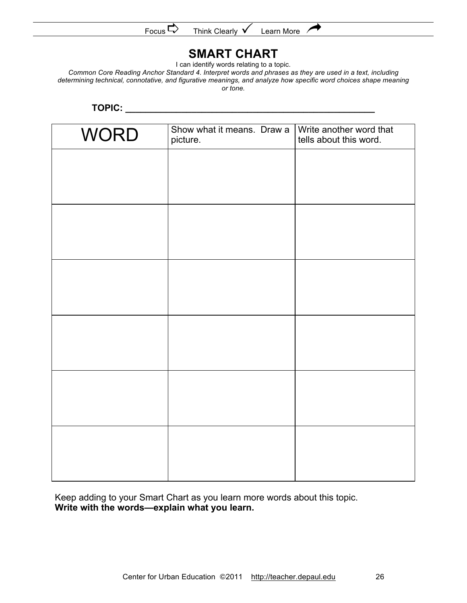| n<br>_____ | .<br>arlv<br>107 | $\sim$ $\sim$ $\sim$<br>More<br>.<br>— <b>—</b> — — |  |
|------------|------------------|-----------------------------------------------------|--|
|            |                  |                                                     |  |

#### **SMART CHART**

I can identify words relating to a topic.

*Common Core Reading Anchor Standard 4. Interpret words and phrases as they are used in a text, including determining technical, connotative, and figurative meanings, and analyze how specific word choices shape meaning or tone.*

**TOPIC: \_\_\_\_\_\_\_\_\_\_\_\_\_\_\_\_\_\_\_\_\_\_\_\_\_\_\_\_\_\_\_\_\_\_\_\_\_\_\_\_\_\_\_\_\_\_\_\_\_**

| <b>WORD</b> | Show what it means. Draw a<br>picture. | Write another word that<br>tells about this word. |
|-------------|----------------------------------------|---------------------------------------------------|
|             |                                        |                                                   |
|             |                                        |                                                   |
|             |                                        |                                                   |
|             |                                        |                                                   |
|             |                                        |                                                   |
|             |                                        |                                                   |
|             |                                        |                                                   |
|             |                                        |                                                   |
|             |                                        |                                                   |
|             |                                        |                                                   |
|             |                                        |                                                   |
|             |                                        |                                                   |

Keep adding to your Smart Chart as you learn more words about this topic. **Write with the words—explain what you learn.**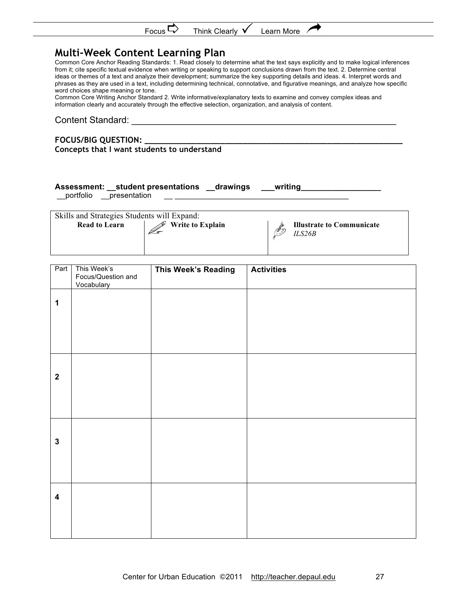|                         |                                                                     | Focus $\overrightarrow{\phantom{w}}$ Think Clearly $\checkmark$ Learn More /                               |                                                                                                                                                                                                                                                                                                                                                                                                                                                                                                                                                                                                                                                                      |
|-------------------------|---------------------------------------------------------------------|------------------------------------------------------------------------------------------------------------|----------------------------------------------------------------------------------------------------------------------------------------------------------------------------------------------------------------------------------------------------------------------------------------------------------------------------------------------------------------------------------------------------------------------------------------------------------------------------------------------------------------------------------------------------------------------------------------------------------------------------------------------------------------------|
|                         |                                                                     | <b>Multi-Week Content Learning Plan</b>                                                                    |                                                                                                                                                                                                                                                                                                                                                                                                                                                                                                                                                                                                                                                                      |
|                         | word choices shape meaning or tone.                                 | information clearly and accurately through the effective selection, organization, and analysis of content. | Common Core Anchor Reading Standards: 1. Read closely to determine what the text says explicitly and to make logical inferences<br>from it; cite specific textual evidence when writing or speaking to support conclusions drawn from the text. 2. Determine central<br>ideas or themes of a text and analyze their development; summarize the key supporting details and ideas. 4. Interpret words and<br>phrases as they are used in a text, including determining technical, connotative, and figurative meanings, and analyze how specific<br>Common Core Writing Anchor Standard 2. Write informative/explanatory texts to examine and convey complex ideas and |
|                         |                                                                     | Content Standard: University of the Content Standard:                                                      |                                                                                                                                                                                                                                                                                                                                                                                                                                                                                                                                                                                                                                                                      |
|                         |                                                                     |                                                                                                            |                                                                                                                                                                                                                                                                                                                                                                                                                                                                                                                                                                                                                                                                      |
|                         |                                                                     |                                                                                                            |                                                                                                                                                                                                                                                                                                                                                                                                                                                                                                                                                                                                                                                                      |
|                         | portfolio presentation                                              |                                                                                                            | Assessment: __student presentations  __drawings  ___writing  ___________________<br><u> 1989 - Johann Barbara, martxa alemaniar amerikan basar da da a shekara a shekara a shekara a shekara a shekar</u>                                                                                                                                                                                                                                                                                                                                                                                                                                                            |
|                         |                                                                     |                                                                                                            |                                                                                                                                                                                                                                                                                                                                                                                                                                                                                                                                                                                                                                                                      |
|                         | Skills and Strategies Students will Expand:<br><b>Read to Learn</b> | Write to Explain                                                                                           | <b>Illustrate to Communicate</b><br>ILS26B                                                                                                                                                                                                                                                                                                                                                                                                                                                                                                                                                                                                                           |
|                         |                                                                     |                                                                                                            |                                                                                                                                                                                                                                                                                                                                                                                                                                                                                                                                                                                                                                                                      |
| Part                    | This Week's<br>Focus/Question and<br>Vocabulary                     | This Week's Reading                                                                                        | <b>Activities</b>                                                                                                                                                                                                                                                                                                                                                                                                                                                                                                                                                                                                                                                    |
| 1                       |                                                                     |                                                                                                            |                                                                                                                                                                                                                                                                                                                                                                                                                                                                                                                                                                                                                                                                      |
|                         |                                                                     |                                                                                                            |                                                                                                                                                                                                                                                                                                                                                                                                                                                                                                                                                                                                                                                                      |
|                         |                                                                     |                                                                                                            |                                                                                                                                                                                                                                                                                                                                                                                                                                                                                                                                                                                                                                                                      |
|                         |                                                                     |                                                                                                            |                                                                                                                                                                                                                                                                                                                                                                                                                                                                                                                                                                                                                                                                      |
|                         |                                                                     |                                                                                                            |                                                                                                                                                                                                                                                                                                                                                                                                                                                                                                                                                                                                                                                                      |
| $\mathbf{2}$            |                                                                     |                                                                                                            |                                                                                                                                                                                                                                                                                                                                                                                                                                                                                                                                                                                                                                                                      |
|                         |                                                                     |                                                                                                            |                                                                                                                                                                                                                                                                                                                                                                                                                                                                                                                                                                                                                                                                      |
|                         |                                                                     |                                                                                                            |                                                                                                                                                                                                                                                                                                                                                                                                                                                                                                                                                                                                                                                                      |
|                         |                                                                     |                                                                                                            |                                                                                                                                                                                                                                                                                                                                                                                                                                                                                                                                                                                                                                                                      |
| $\mathbf{3}$            |                                                                     |                                                                                                            |                                                                                                                                                                                                                                                                                                                                                                                                                                                                                                                                                                                                                                                                      |
|                         |                                                                     |                                                                                                            |                                                                                                                                                                                                                                                                                                                                                                                                                                                                                                                                                                                                                                                                      |
|                         |                                                                     |                                                                                                            |                                                                                                                                                                                                                                                                                                                                                                                                                                                                                                                                                                                                                                                                      |
|                         |                                                                     |                                                                                                            |                                                                                                                                                                                                                                                                                                                                                                                                                                                                                                                                                                                                                                                                      |
| $\overline{\mathbf{4}}$ |                                                                     |                                                                                                            |                                                                                                                                                                                                                                                                                                                                                                                                                                                                                                                                                                                                                                                                      |
|                         |                                                                     |                                                                                                            |                                                                                                                                                                                                                                                                                                                                                                                                                                                                                                                                                                                                                                                                      |
|                         |                                                                     |                                                                                                            |                                                                                                                                                                                                                                                                                                                                                                                                                                                                                                                                                                                                                                                                      |
|                         |                                                                     |                                                                                                            |                                                                                                                                                                                                                                                                                                                                                                                                                                                                                                                                                                                                                                                                      |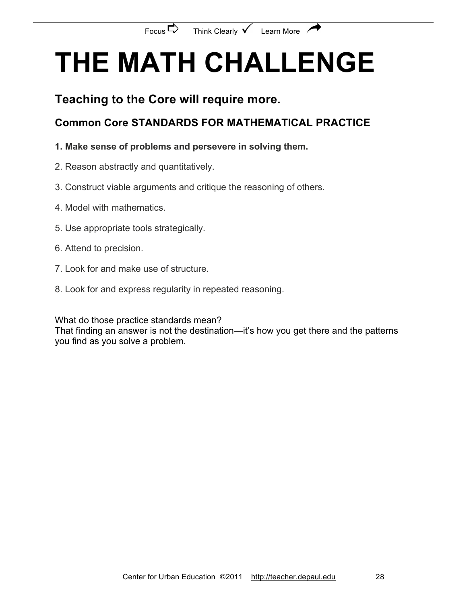Focus  $\blacktriangle$  Think Clearly  $\checkmark$  Learn More

#### **Teaching to the Core will require more.**

#### **Common Core STANDARDS FOR MATHEMATICAL PRACTICE**

- **1. Make sense of problems and persevere in solving them.**
- 2. Reason abstractly and quantitatively.
- 3. Construct viable arguments and critique the reasoning of others.
- 4. Model with mathematics.
- 5. Use appropriate tools strategically.
- 6. Attend to precision.
- 7. Look for and make use of structure.
- 8. Look for and express regularity in repeated reasoning.

What do those practice standards mean? That finding an answer is not the destination—it's how you get there and the patterns you find as you solve a problem.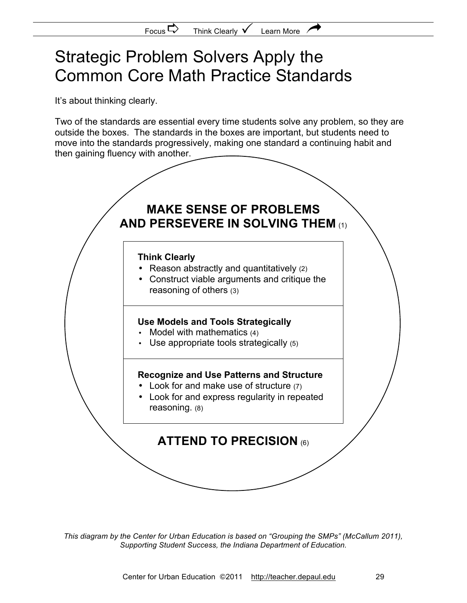#### Strategic Problem Solvers Apply the Common Core Math Practice Standards

It's about thinking clearly.

Two of the standards are essential every time students solve any problem, so they are outside the boxes. The standards in the boxes are important, but students need to move into the standards progressively, making one standard a continuing habit and then gaining fluency with another.



*This diagram by the Center for Urban Education is based on "Grouping the SMPs" (McCallum 2011), Supporting Student Success, the Indiana Department of Education.*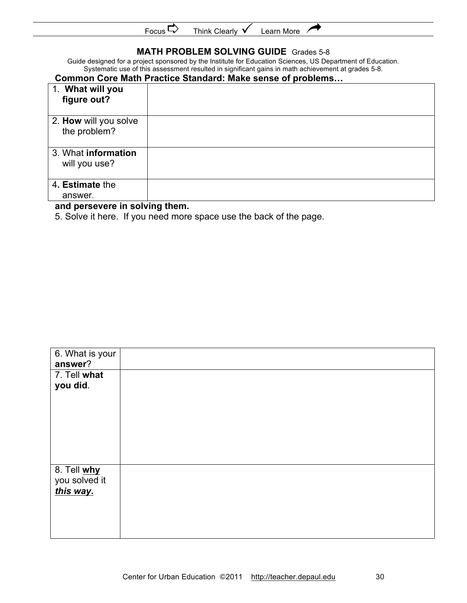|                                                                                                             | Think Clearly $\sqrt{\phantom{a}}$ Learn More<br>Focus $\bigtriangledown$ |  |  |
|-------------------------------------------------------------------------------------------------------------|---------------------------------------------------------------------------|--|--|
|                                                                                                             |                                                                           |  |  |
| <b>MATH PROBLEM SOLVING GUIDE</b> Grades 5-8                                                                |                                                                           |  |  |
| Guide designed for a project sponsored by the Institute for Education Sciences, US Department of Education. |                                                                           |  |  |

#### Systematic use of this assessment resulted in significant gains in math achievement at grades 5-8. **Common Core Math Practice Standard: Make sense of problems…**

| 1. What will you<br>figure out?       |  |
|---------------------------------------|--|
| 2. How will you solve<br>the problem? |  |
| 3. What information<br>will you use?  |  |
| 4. Estimate the                       |  |
| answer.                               |  |

#### **and persevere in solving them.**

5. Solve it here. If you need more space use the back of the page.

| 6. What is your |  |
|-----------------|--|
| answer?         |  |
| 7. Tell what    |  |
| you did.        |  |
|                 |  |
|                 |  |
|                 |  |
|                 |  |
|                 |  |
|                 |  |
|                 |  |
| 8. Tell why     |  |
| you solved it   |  |
| this way.       |  |
|                 |  |
|                 |  |
|                 |  |
|                 |  |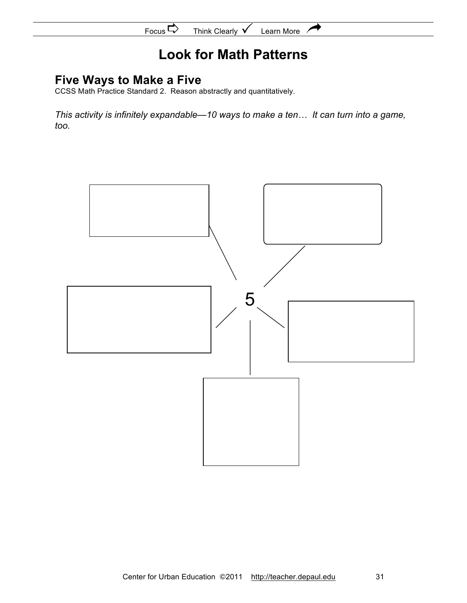

#### **Look for Math Patterns**

#### **Five Ways to Make a Five**

CCSS Math Practice Standard 2. Reason abstractly and quantitatively.

*This activity is infinitely expandable—10 ways to make a ten… It can turn into a game, too.*

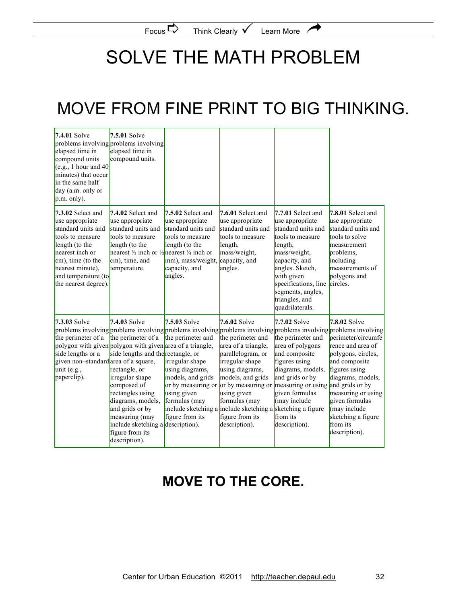### SOLVE THE MATH PROBLEM

#### MOVE FROM FINE PRINT TO BIG THINKING.

| $7.4.01$ Solve<br>problems involving problems involving<br>elapsed time in<br>compound units<br>(e.g., 1 hour and 40)<br>minutes) that occur<br>in the same half<br>day (a.m. only or<br>p.m. only).          | $7.5.01$ Solve<br>elapsed time in<br>compound units.                                                                                                                                                                                                                               |                                                                                                                                                                         |                                                                                                                                                                                                                                                                                                                                                                                                                         |                                                                                                                                                                                                                                                        |                                                                                                                                                                                                                                                   |
|---------------------------------------------------------------------------------------------------------------------------------------------------------------------------------------------------------------|------------------------------------------------------------------------------------------------------------------------------------------------------------------------------------------------------------------------------------------------------------------------------------|-------------------------------------------------------------------------------------------------------------------------------------------------------------------------|-------------------------------------------------------------------------------------------------------------------------------------------------------------------------------------------------------------------------------------------------------------------------------------------------------------------------------------------------------------------------------------------------------------------------|--------------------------------------------------------------------------------------------------------------------------------------------------------------------------------------------------------------------------------------------------------|---------------------------------------------------------------------------------------------------------------------------------------------------------------------------------------------------------------------------------------------------|
| $7.3.02$ Select and<br>use appropriate<br>standard units and<br>tools to measure<br>length (to the<br>nearest inch or<br>cm), time (to the<br>nearest minute),<br>and temperature (to<br>the nearest degree). | 7.4.02 Select and<br>use appropriate<br>standard units and<br>tools to measure<br>length (to the<br>nearest $\frac{1}{2}$ inch or $\frac{1}{2}$ nearest $\frac{1}{4}$ inch or<br>cm), time, and<br>temperature.                                                                    | $7.5.02$ Select and<br>use appropriate<br>standard units and<br>tools to measure<br>length (to the<br>mm), mass/weight,<br>capacity, and<br>angles.                     | 7.6.01 Select and<br>use appropriate<br>standard units and<br>tools to measure<br>length,<br>mass/weight,<br>capacity, and<br>angles.                                                                                                                                                                                                                                                                                   | 7.7.01 Select and<br>use appropriate<br>standard units and<br>tools to measure<br>length,<br>mass/weight,<br>capacity, and<br>angles. Sketch,<br>with given<br>specifications, line circles.<br>segments, angles,<br>triangles, and<br>quadrilaterals. | $7.8.01$ Select and<br>use appropriate<br>standard units and<br>tools to solve<br>measurement<br>problems,<br>including<br>measurements of<br>polygons and                                                                                        |
| $7.3.03$ Solve<br>the perimeter of a<br>polygon with given polygon with given area of a triangle,<br>side lengths or a<br>given non-standardarea of a square,<br>unit $(e.g.,$<br>paperclip).                 | 7.4.03 Solve<br>the perimeter of a<br>side lengths and the rectangle, or<br>rectangle, or<br>irregular shape<br>composed of<br>rectangles using<br>diagrams, models,<br>and grids or by<br>measuring (may<br>include sketching a description).<br>figure from its<br>description). | $7.5.03$ Solve<br>the perimeter and<br>irregular shape<br>using diagrams,<br>models, and grids<br>or by measuring or<br>using given<br>formulas (may<br>figure from its | $7.6.02$ Solve<br>problems involving problems involving problems involving problems involving problems involving problems involving<br>the perimeter and<br>area of a triangle,<br>parallelogram, or<br>irregular shape<br>using diagrams,<br>models, and grids<br>or by measuring or<br>using given<br>formulas (may<br>include sketching a include sketching a sketching a figure<br>figure from its<br>description). | $7.7.02$ Solve<br>the perimeter and<br>area of polygons<br>and composite<br>figures using<br>diagrams, models,<br>and grids or by<br>measuring or using and grids or by<br>given formulas<br>(may include<br>from its<br>description).                 | $7.8.02$ Solve<br>perimeter/circumfe<br>rence and area of<br>polygons, circles,<br>and composite<br>figures using<br>diagrams, models,<br>measuring or using<br>given formulas<br>(may include<br>sketching a figure<br>from its<br>description). |

#### **MOVE TO THE CORE.**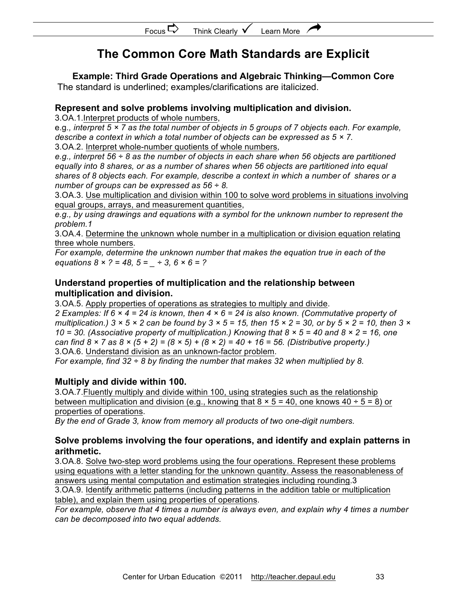#### **The Common Core Math Standards are Explicit**

**Example: Third Grade Operations and Algebraic Thinking—Common Core** The standard is underlined; examples/clarifications are italicized.

#### **Represent and solve problems involving multiplication and division.**

3.OA.1.Interpret products of whole numbers,

e.g*., interpret 5 × 7 as the total number of objects in 5 groups of 7 objects each. For example, describe a context in which a total number of objects can be expressed as 5 × 7.* 3.OA.2. Interpret whole-number quotients of whole numbers,

*e.g., interpret 56 ÷ 8 as the number of objects in each share when 56 objects are partitioned equally into 8 shares, or as a number of shares when 56 objects are partitioned into equal shares of 8 objects each. For example, describe a context in which a number of shares or a number of groups can be expressed as 56 ÷ 8.*

3.OA.3. Use multiplication and division within 100 to solve word problems in situations involving equal groups, arrays, and measurement quantities,

*e.g., by using drawings and equations with a symbol for the unknown number to represent the problem.1*

3.OA.4. Determine the unknown whole number in a multiplication or division equation relating three whole numbers.

*For example, determine the unknown number that makes the equation true in each of the equations*  $8 \times ? = 48, 5 = ÷ 3, 6 \times 6 = ?$ 

#### **Understand properties of multiplication and the relationship between multiplication and division.**

3.OA.5. Apply properties of operations as strategies to multiply and divide.

*2 Examples: If 6 × 4 = 24 is known, then 4 × 6 = 24 is also known. (Commutative property of multiplication.) 3 × 5 × 2 can be found by 3 × 5 = 15, then 15 × 2 = 30, or by 5 × 2 = 10, then 3 × 10 = 30. (Associative property of multiplication.) Knowing that 8 × 5 = 40 and 8 × 2 = 16, one can find 8 × 7 as 8 × (5 + 2) = (8 × 5) + (8 × 2) = 40 + 16 = 56. (Distributive property.)* 3.OA.6. Understand division as an unknown-factor problem.

*For example, find 32 ÷ 8 by finding the number that makes 32 when multiplied by 8.*

#### **Multiply and divide within 100.**

3.OA.7.Fluently multiply and divide within 100, using strategies such as the relationship between multiplication and division (e.g., knowing that  $8 \times 5 = 40$ , one knows  $40 \div 5 = 8$ ) or properties of operations.

*By the end of Grade 3, know from memory all products of two one-digit numbers.*

#### **Solve problems involving the four operations, and identify and explain patterns in arithmetic.**

3.OA.8. Solve two-step word problems using the four operations. Represent these problems using equations with a letter standing for the unknown quantity. Assess the reasonableness of answers using mental computation and estimation strategies including rounding.3 3.OA.9. Identify arithmetic patterns (including patterns in the addition table or multiplication table), and explain them using properties of operations.

*For example, observe that 4 times a number is always even, and explain why 4 times a number can be decomposed into two equal addends.*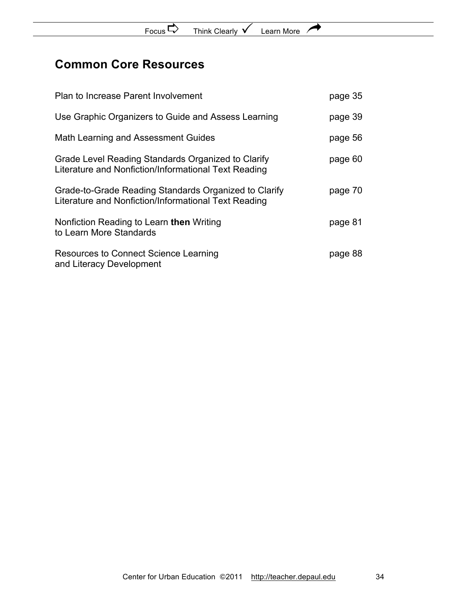#### **Common Core Resources**

| Plan to Increase Parent Involvement                                                                           | page 35 |
|---------------------------------------------------------------------------------------------------------------|---------|
| Use Graphic Organizers to Guide and Assess Learning                                                           | page 39 |
| Math Learning and Assessment Guides                                                                           | page 56 |
| Grade Level Reading Standards Organized to Clarify<br>Literature and Nonfiction/Informational Text Reading    | page 60 |
| Grade-to-Grade Reading Standards Organized to Clarify<br>Literature and Nonfiction/Informational Text Reading | page 70 |
| Nonfiction Reading to Learn then Writing<br>to Learn More Standards                                           | page 81 |
| Resources to Connect Science Learning<br>and Literacy Development                                             | page 88 |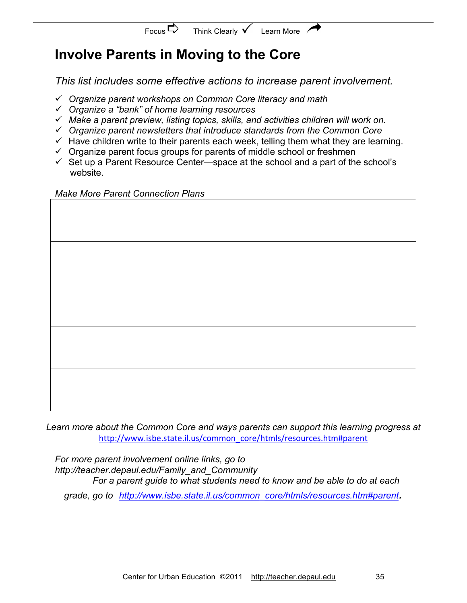#### **Involve Parents in Moving to the Core**

*This list includes some effective actions to increase parent involvement.*

- ! *Organize parent workshops on Common Core literacy and math*
- ! *Organize a "bank" of home learning resources*
- ! *Make a parent preview, listing topics, skills, and activities children will work on.*
- ! *Organize parent newsletters that introduce standards from the Common Core*
- $\checkmark$  Have children write to their parents each week, telling them what they are learning.
- $\checkmark$  Organize parent focus groups for parents of middle school or freshmen
- $\checkmark$  Set up a Parent Resource Center—space at the school and a part of the school's website.

#### *Make More Parent Connection Plans*

*Learn more about the Common Core and ways parents can support this learning progress at*  http://www.isbe.state.il.us/common\_core/htmls/resources.htm#parent

*For more parent involvement online links, go to http://teacher.depaul.edu/Family\_and\_Community For a parent guide to what students need to know and be able to do at each grade, go to http://www.isbe.state.il.us/common\_core/htmls/resources.htm#parent.*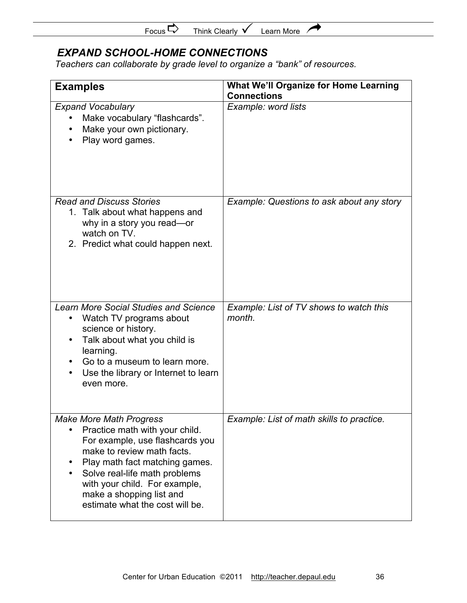| $-$<br>.<br>טש | — L<br><b>hink</b><br>. . Is<br><b>Jeanv</b> | More<br><u>. .</u><br>- |  |
|----------------|----------------------------------------------|-------------------------|--|
|                |                                              |                         |  |

#### *EXPAND SCHOOL-HOME CONNECTIONS*

*Teachers can collaborate by grade level to organize a "bank" of resources.*

| <b>Examples</b>                                                                                                                                                                                                                                                                                      | <b>What We'll Organize for Home Learning</b><br><b>Connections</b> |
|------------------------------------------------------------------------------------------------------------------------------------------------------------------------------------------------------------------------------------------------------------------------------------------------------|--------------------------------------------------------------------|
| <b>Expand Vocabulary</b><br>Make vocabulary "flashcards".<br>Make your own pictionary.<br>Play word games.                                                                                                                                                                                           | Example: word lists                                                |
| <b>Read and Discuss Stories</b><br>1. Talk about what happens and<br>why in a story you read-or<br>watch on TV.<br>2. Predict what could happen next.                                                                                                                                                | Example: Questions to ask about any story                          |
| <b>Learn More Social Studies and Science</b><br>Watch TV programs about<br>science or history.<br>Talk about what you child is<br>learning.<br>Go to a museum to learn more.<br>Use the library or Internet to learn<br>even more.                                                                   | Example: List of TV shows to watch this<br>month.                  |
| <b>Make More Math Progress</b><br>Practice math with your child.<br>For example, use flashcards you<br>make to review math facts.<br>Play math fact matching games.<br>Solve real-life math problems<br>with your child. For example,<br>make a shopping list and<br>estimate what the cost will be. | Example: List of math skills to practice.                          |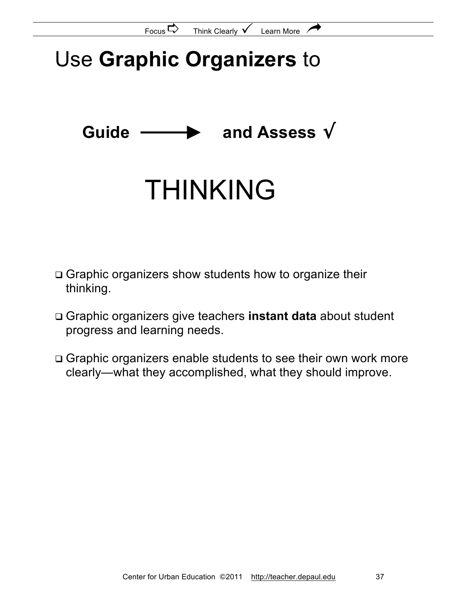

- $\Box$  Graphic organizers show students how to organize their thinking.
- # Graphic organizers give teachers **instant data** about student progress and learning needs.
- $\Box$  Graphic organizers enable students to see their own work more clearly—what they accomplished, what they should improve.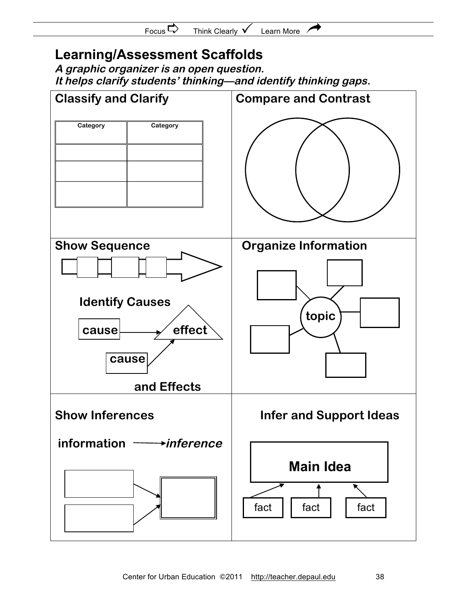

## **Learning/Assessment Scaffolds**

**A graphic organizer is an open question. It helps clarify students' thinking—and identify thinking gaps.**

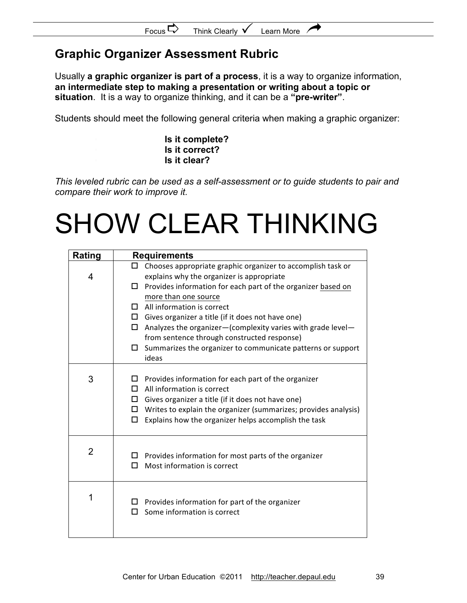#### **Graphic Organizer Assessment Rubric**

Usually **a graphic organizer is part of a process**, it is a way to organize information, **an intermediate step to making a presentation or writing about a topic or situation**. It is a way to organize thinking, and it can be a **"pre-writer"**.

Students should meet the following general criteria when making a graphic organizer:

! **Is it complete?** Is it correct? ! **Is it clear?**

*This leveled rubric can be used as a self-assessment or to guide students to pair and compare their work to improve it.* 

# SHOW CLEAR THINKING

| <b>Rating</b>  | <b>Requirements</b>                                                                                                                                                                                                                                                                                                                                                                                                                                                                                                      |
|----------------|--------------------------------------------------------------------------------------------------------------------------------------------------------------------------------------------------------------------------------------------------------------------------------------------------------------------------------------------------------------------------------------------------------------------------------------------------------------------------------------------------------------------------|
| 4              | Chooses appropriate graphic organizer to accomplish task or<br>□<br>explains why the organizer is appropriate<br>$\Box$ Provides information for each part of the organizer based on<br>more than one source<br>All information is correct<br>$\mathbf{L}$<br>$\Box$ Gives organizer a title (if it does not have one)<br>$\Box$ Analyzes the organizer-(complexity varies with grade level-<br>from sentence through constructed response)<br>Summarizes the organizer to communicate patterns or support<br>◻<br>ideas |
| 3              | Provides information for each part of the organizer<br>All information is correct<br>п<br>Gives organizer a title (if it does not have one)<br>□<br>Writes to explain the organizer (summarizes; provides analysis)<br>◻<br>Explains how the organizer helps accomplish the task<br>□                                                                                                                                                                                                                                    |
| $\overline{2}$ | Provides information for most parts of the organizer<br>□<br>Most information is correct<br>п                                                                                                                                                                                                                                                                                                                                                                                                                            |
| 1              | Provides information for part of the organizer<br>Some information is correct<br>п                                                                                                                                                                                                                                                                                                                                                                                                                                       |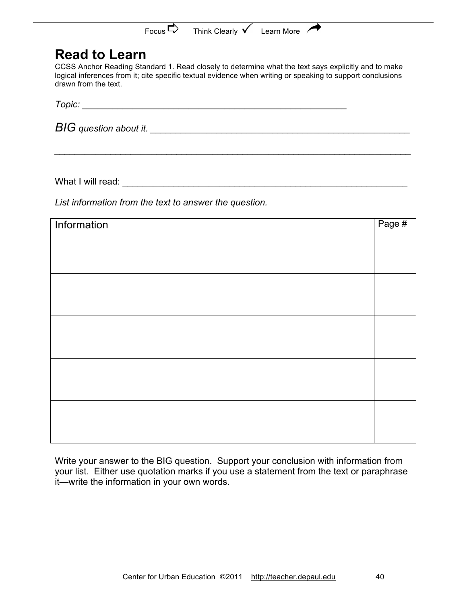| Focus | $\sim$<br>$\tau$ hink $\sqrt{ }$<br>∴learlv | _earn<br>More |  |
|-------|---------------------------------------------|---------------|--|
|       |                                             |               |  |

### **Read to Learn**

CCSS Anchor Reading Standard 1. Read closely to determine what the text says explicitly and to make logical inferences from it; cite specific textual evidence when writing or speaking to support conclusions drawn from the text.

*\_\_\_\_\_\_\_\_\_\_\_\_\_\_\_\_\_\_\_\_\_\_\_\_\_\_\_\_\_\_\_\_\_\_\_\_\_\_\_\_\_\_\_\_\_\_\_\_\_\_\_\_\_\_\_\_\_\_\_\_\_\_\_\_\_\_\_\_\_\_*

*Topic: \_\_\_\_\_\_\_\_\_\_\_\_\_\_\_\_\_\_\_\_\_\_\_\_\_\_\_\_\_\_\_\_\_\_\_\_\_\_\_\_\_\_\_\_\_\_\_\_\_\_\_\_*

*BIG question about it. \_\_\_\_\_\_\_\_\_\_\_\_\_\_\_\_\_\_\_\_\_\_\_\_\_\_\_\_\_\_\_\_\_\_\_\_\_\_\_\_\_\_\_\_\_\_\_\_\_\_\_*

What I will read:  $\blacksquare$ 

*List information from the text to answer the question.*

| Information | Page # |
|-------------|--------|
|             |        |
|             |        |
|             |        |
|             |        |
|             |        |
|             |        |
|             |        |
|             |        |
|             |        |
|             |        |
|             |        |
|             |        |
|             |        |
|             |        |
|             |        |

Write your answer to the BIG question. Support your conclusion with information from your list. Either use quotation marks if you use a statement from the text or paraphrase it—write the information in your own words.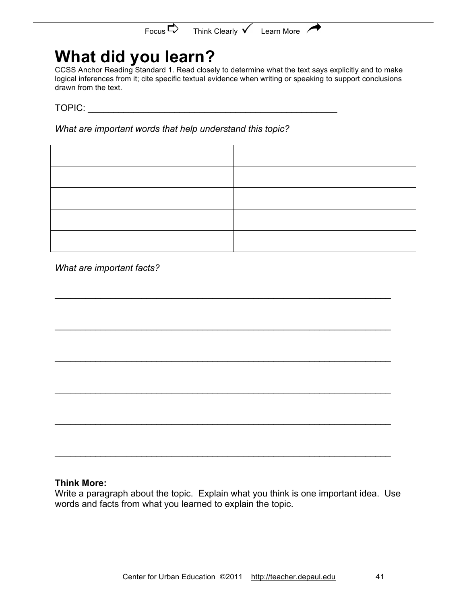

## **What did you learn?**

CCSS Anchor Reading Standard 1. Read closely to determine what the text says explicitly and to make logical inferences from it; cite specific textual evidence when writing or speaking to support conclusions drawn from the text.

TOPIC: \_\_\_\_\_\_\_\_\_\_\_\_\_\_\_\_\_\_\_\_\_\_\_\_\_\_\_\_\_\_\_\_\_\_\_\_\_\_\_\_\_\_\_\_\_\_\_\_\_

*What are important words that help understand this topic?*

 $\mathcal{L}_\text{max} = \mathcal{L}_\text{max} = \mathcal{L}_\text{max} = \mathcal{L}_\text{max} = \mathcal{L}_\text{max} = \mathcal{L}_\text{max} = \mathcal{L}_\text{max} = \mathcal{L}_\text{max} = \mathcal{L}_\text{max} = \mathcal{L}_\text{max} = \mathcal{L}_\text{max} = \mathcal{L}_\text{max} = \mathcal{L}_\text{max} = \mathcal{L}_\text{max} = \mathcal{L}_\text{max} = \mathcal{L}_\text{max} = \mathcal{L}_\text{max} = \mathcal{L}_\text{max} = \mathcal{$ 

 $\mathcal{L}_\text{max}$  and  $\mathcal{L}_\text{max}$  and  $\mathcal{L}_\text{max}$  and  $\mathcal{L}_\text{max}$  and  $\mathcal{L}_\text{max}$  and  $\mathcal{L}_\text{max}$ 

 $\mathcal{L}_\text{max}$  and  $\mathcal{L}_\text{max}$  and  $\mathcal{L}_\text{max}$  and  $\mathcal{L}_\text{max}$  and  $\mathcal{L}_\text{max}$  and  $\mathcal{L}_\text{max}$ 

 $\mathcal{L}_\text{max}$  and  $\mathcal{L}_\text{max}$  and  $\mathcal{L}_\text{max}$  and  $\mathcal{L}_\text{max}$  and  $\mathcal{L}_\text{max}$  and  $\mathcal{L}_\text{max}$ 

 $\mathcal{L}_\text{max}$  and  $\mathcal{L}_\text{max}$  and  $\mathcal{L}_\text{max}$  and  $\mathcal{L}_\text{max}$  and  $\mathcal{L}_\text{max}$  and  $\mathcal{L}_\text{max}$ 

 $\mathcal{L}_\text{max}$  and  $\mathcal{L}_\text{max}$  and  $\mathcal{L}_\text{max}$  and  $\mathcal{L}_\text{max}$  and  $\mathcal{L}_\text{max}$  and  $\mathcal{L}_\text{max}$ 

*What are important facts?*

#### **Think More:**

Write a paragraph about the topic. Explain what you think is one important idea. Use words and facts from what you learned to explain the topic.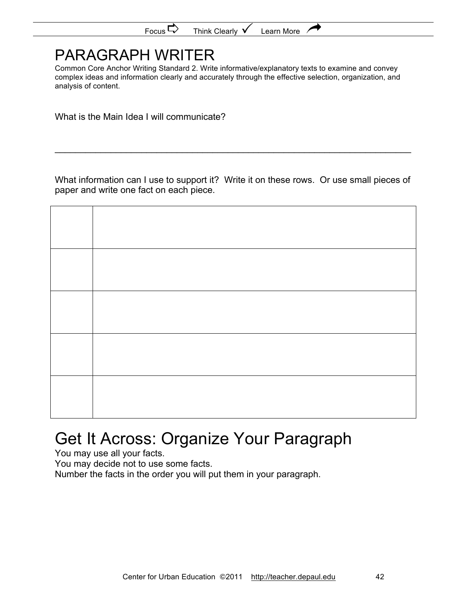| <br>. | ۹۱.<br>nınk<br>. . | .<br><b>More</b> |  |
|-------|--------------------|------------------|--|
|       |                    |                  |  |

## PARAGRAPH WRITER

Common Core Anchor Writing Standard 2. Write informative/explanatory texts to examine and convey complex ideas and information clearly and accurately through the effective selection, organization, and analysis of content.

What is the Main Idea I will communicate?

What information can I use to support it? Write it on these rows. Or use small pieces of paper and write one fact on each piece.

 $\mathcal{L}_\mathcal{L} = \mathcal{L}_\mathcal{L} = \mathcal{L}_\mathcal{L} = \mathcal{L}_\mathcal{L} = \mathcal{L}_\mathcal{L} = \mathcal{L}_\mathcal{L} = \mathcal{L}_\mathcal{L} = \mathcal{L}_\mathcal{L} = \mathcal{L}_\mathcal{L} = \mathcal{L}_\mathcal{L} = \mathcal{L}_\mathcal{L} = \mathcal{L}_\mathcal{L} = \mathcal{L}_\mathcal{L} = \mathcal{L}_\mathcal{L} = \mathcal{L}_\mathcal{L} = \mathcal{L}_\mathcal{L} = \mathcal{L}_\mathcal{L}$ 

## Get It Across: Organize Your Paragraph

You may use all your facts.

You may decide not to use some facts.

Number the facts in the order you will put them in your paragraph.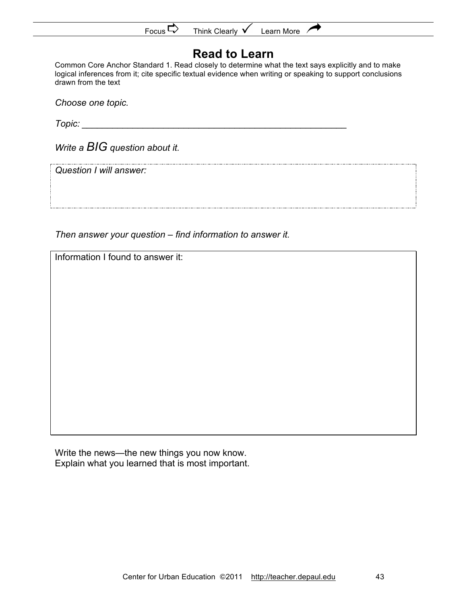|                     | <b>Read to Learn</b>                                                                                                                                                                                             |
|---------------------|------------------------------------------------------------------------------------------------------------------------------------------------------------------------------------------------------------------|
| drawn from the text | Common Core Anchor Standard 1. Read closely to determine what the text says explicitly and to make<br>logical inferences from it; cite specific textual evidence when writing or speaking to support conclusions |
| Choose one topic.   |                                                                                                                                                                                                                  |
| Topic:              |                                                                                                                                                                                                                  |

*Question I will answer:*

*Then answer your question – find information to answer it.*

Information I found to answer it:

Write the news—the new things you now know. Explain what you learned that is most important.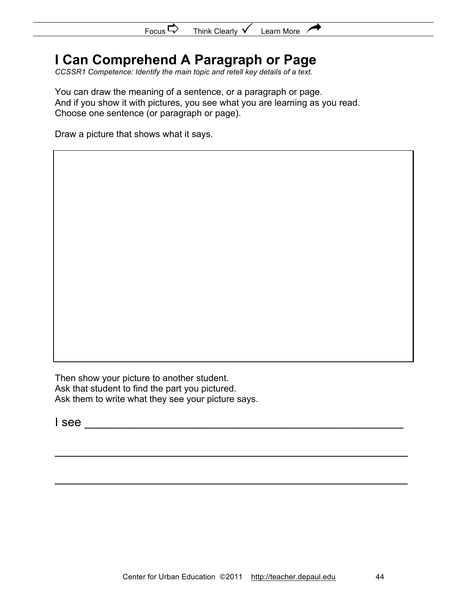

## **I Can Comprehend A Paragraph or Page**

*CCSSR1 Competence: Identify the main topic and retell key details of a text.*

You can draw the meaning of a sentence, or a paragraph or page. And if you show it with pictures, you see what you are learning as you read. Choose one sentence (or paragraph or page).

Draw a picture that shows what it says.

Then show your picture to another student. Ask that student to find the part you pictured. Ask them to write what they see your picture says.

I see \_\_\_\_\_\_\_\_\_\_\_\_\_\_\_\_\_\_\_\_\_\_\_\_\_\_\_\_\_\_\_\_\_\_\_\_\_\_\_\_\_\_\_\_\_\_\_

 $\mathcal{L}_\text{G}$  , and the contribution of the contribution of the contribution of the contribution of the contribution of the contribution of the contribution of the contribution of the contribution of the contribution of t

 $\mathcal{L}_\text{G}$  , and the contribution of the contribution of the contribution of the contribution of the contribution of the contribution of the contribution of the contribution of the contribution of the contribution of t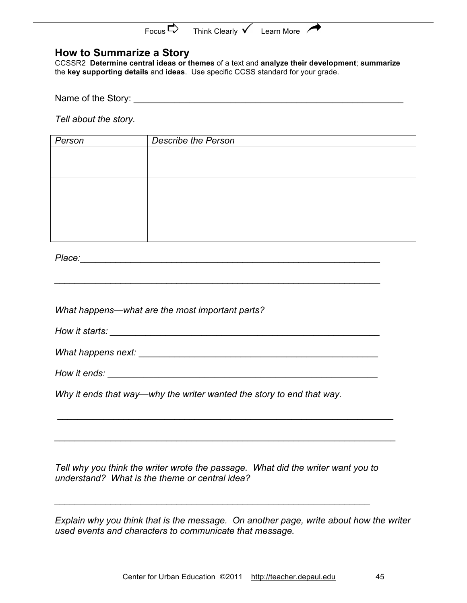| $\sim$<br>--<br>Focus<br>hink<br>Jlearl∨<br>______ | More<br>∟earn<br>$\sim$ $\sim$ $\sim$ $\sim$ $\sim$ $\sim$ |
|----------------------------------------------------|------------------------------------------------------------|
|----------------------------------------------------|------------------------------------------------------------|

#### **How to Summarize a Story**

CCSSR2 **Determine central ideas or themes** of a text and **analyze their development**; **summarize** the **key supporting details** and **ideas**. Use specific CCSS standard for your grade.

Name of the Story: \_\_\_\_\_\_\_\_\_\_\_\_\_\_\_\_\_\_\_\_\_\_\_\_\_\_\_\_\_\_\_\_\_\_\_\_\_\_\_\_\_\_\_\_\_\_\_\_\_\_\_\_\_

*Tell about the story.*

| Person | <b>Describe the Person</b> |
|--------|----------------------------|
|        |                            |
|        |                            |
|        |                            |
|        |                            |
|        |                            |
|        |                            |
|        |                            |
|        |                            |
|        |                            |

*Place:\_\_\_\_\_\_\_\_\_\_\_\_\_\_\_\_\_\_\_\_\_\_\_\_\_\_\_\_\_\_\_\_\_\_\_\_\_\_\_\_\_\_\_\_\_\_\_\_\_\_\_\_\_\_\_\_\_\_\_*

*What happens—what are the most important parts?* 

*How it starts: \_\_\_\_\_\_\_\_\_\_\_\_\_\_\_\_\_\_\_\_\_\_\_\_\_\_\_\_\_\_\_\_\_\_\_\_\_\_\_\_\_\_\_\_\_\_\_\_\_\_\_\_\_*

*What happens next:*  $\blacksquare$ 

*\_\_\_\_\_\_\_\_\_\_\_\_\_\_\_\_\_\_\_\_\_\_\_\_\_\_\_\_\_\_\_\_\_\_\_\_\_\_\_\_\_\_\_\_\_\_\_\_\_\_\_\_\_\_\_\_\_\_\_\_\_\_\_\_*

*How it ends:*  $\blacksquare$ 

*Why it ends that way—why the writer wanted the story to end that way.*

*Tell why you think the writer wrote the passage. What did the writer want you to understand? What is the theme or central idea?*

*\_\_\_\_\_\_\_\_\_\_\_\_\_\_\_\_\_\_\_\_\_\_\_\_\_\_\_\_\_\_\_\_\_\_\_\_\_\_\_\_\_\_\_\_\_\_\_\_\_\_\_\_\_\_\_\_\_\_\_\_\_\_*

 $\_$ 

*\_\_\_\_\_\_\_\_\_\_\_\_\_\_\_\_\_\_\_\_\_\_\_\_\_\_\_\_\_\_\_\_\_\_\_\_\_\_\_\_\_\_\_\_\_\_\_\_\_\_\_\_\_\_\_\_\_\_\_\_\_\_\_\_\_\_\_*

*Explain why you think that is the message. On another page, write about how the writer used events and characters to communicate that message.*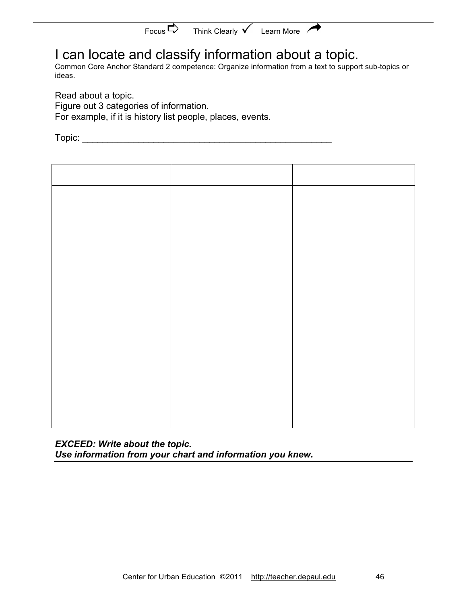|--|

## I can locate and classify information about a topic.

Common Core Anchor Standard 2 competence: Organize information from a text to support sub-topics or ideas.

Read about a topic. Figure out 3 categories of information. For example, if it is history list people, places, events.

Topic: \_\_\_\_\_\_\_\_\_\_\_\_\_\_\_\_\_\_\_\_\_\_\_\_\_\_\_\_\_\_\_\_\_\_\_\_\_\_\_\_\_\_\_\_\_\_\_\_\_

*EXCEED: Write about the topic. Use information from your chart and information you knew.*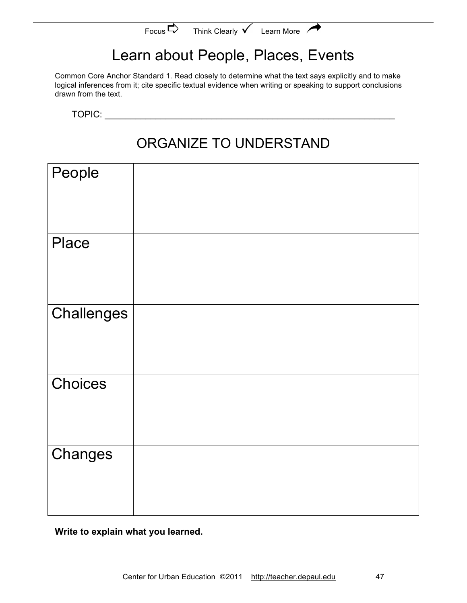| Focus $\mathsf{\Gamma\!\!\!\!\!\sim}$ | Think Clearly $\mathbf{\nabla}$ | Learn More |
|---------------------------------------|---------------------------------|------------|
|---------------------------------------|---------------------------------|------------|

## Learn about People, Places, Events

Common Core Anchor Standard 1. Read closely to determine what the text says explicitly and to make logical inferences from it; cite specific textual evidence when writing or speaking to support conclusions drawn from the text.

TOPIC: \_\_\_\_\_\_\_\_\_\_\_\_\_\_\_\_\_\_\_\_\_\_\_\_\_\_\_\_\_\_\_\_\_\_\_\_\_\_\_\_\_\_\_\_\_\_\_\_\_\_\_\_\_\_\_\_\_

## ORGANIZE TO UNDERSTAND

| People       |  |
|--------------|--|
| <b>Place</b> |  |
| Challenges   |  |
| Choices      |  |
| Changes      |  |

**Write to explain what you learned.**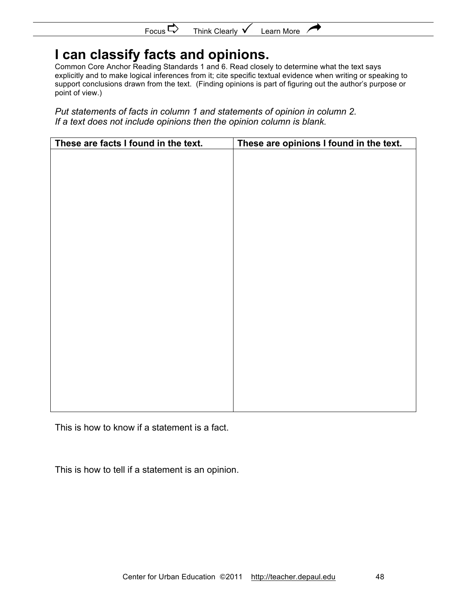

## **I can classify facts and opinions.**

Common Core Anchor Reading Standards 1 and 6. Read closely to determine what the text says explicitly and to make logical inferences from it; cite specific textual evidence when writing or speaking to support conclusions drawn from the text. (Finding opinions is part of figuring out the author's purpose or point of view.)

*Put statements of facts in column 1 and statements of opinion in column 2. If a text does not include opinions then the opinion column is blank.* 

| These are facts I found in the text. | These are opinions I found in the text. |
|--------------------------------------|-----------------------------------------|
|                                      |                                         |
|                                      |                                         |
|                                      |                                         |
|                                      |                                         |
|                                      |                                         |
|                                      |                                         |
|                                      |                                         |
|                                      |                                         |
|                                      |                                         |
|                                      |                                         |
|                                      |                                         |
|                                      |                                         |
|                                      |                                         |
|                                      |                                         |
|                                      |                                         |
|                                      |                                         |
|                                      |                                         |
|                                      |                                         |
|                                      |                                         |
|                                      |                                         |
|                                      |                                         |

This is how to know if a statement is a fact.

This is how to tell if a statement is an opinion.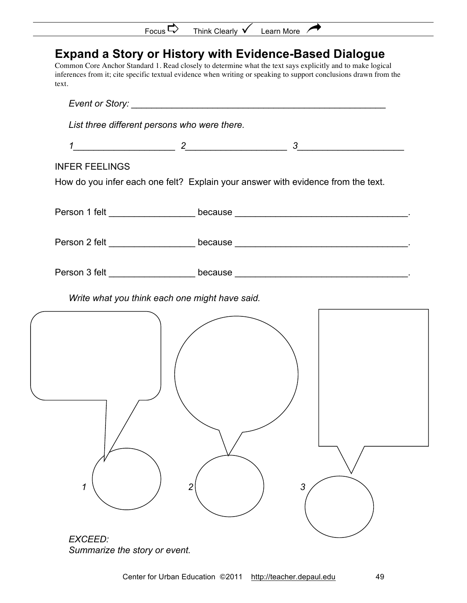| <b>Expand a Story or History with Evidence-Based Dialogue</b><br>Common Core Anchor Standard 1. Read closely to determine what the text says explicitly and to make logical<br>inferences from it; cite specific textual evidence when writing or speaking to support conclusions drawn from the<br>List three different persons who were there.<br>$\overline{\phantom{a}2}$ $\overline{\phantom{a}2}$ $\overline{\phantom{a}2}$ $\overline{\phantom{a}2}$ $\overline{\phantom{a}2}$ $\overline{\phantom{a}2}$ $\overline{\phantom{a}2}$ $\overline{\phantom{a}2}$ $\overline{\phantom{a}2}$ $\overline{\phantom{a}2}$ $\overline{\phantom{a}2}$ $\overline{\phantom{a}2}$ $\overline{\phantom{a}2}$ $\overline{\phantom{a}2}$ $\overline{\phantom{a}2}$ $\overline{\phantom{a}2$<br>$3 \overline{\phantom{a}}$<br>$\mathcal{I}$<br>How do you infer each one felt? Explain your answer with evidence from the text.<br>Person 1 felt _______________________ because __________________________________<br>Person 2 felt ________________________because ___________________________________<br>Person 3 felt _______________________ because __________________________________<br>Write what you think each one might have said.<br>3<br>2<br>1<br>EXCEED: |                               | Focus $\Rightarrow$ Think Clearly $\checkmark$ Learn More $\checkmark$ |  |
|----------------------------------------------------------------------------------------------------------------------------------------------------------------------------------------------------------------------------------------------------------------------------------------------------------------------------------------------------------------------------------------------------------------------------------------------------------------------------------------------------------------------------------------------------------------------------------------------------------------------------------------------------------------------------------------------------------------------------------------------------------------------------------------------------------------------------------------------------------------------------------------------------------------------------------------------------------------------------------------------------------------------------------------------------------------------------------------------------------------------------------------------------------------------------------------------------------------------------------------------------------------|-------------------------------|------------------------------------------------------------------------|--|
|                                                                                                                                                                                                                                                                                                                                                                                                                                                                                                                                                                                                                                                                                                                                                                                                                                                                                                                                                                                                                                                                                                                                                                                                                                                                | text.                         |                                                                        |  |
|                                                                                                                                                                                                                                                                                                                                                                                                                                                                                                                                                                                                                                                                                                                                                                                                                                                                                                                                                                                                                                                                                                                                                                                                                                                                |                               |                                                                        |  |
|                                                                                                                                                                                                                                                                                                                                                                                                                                                                                                                                                                                                                                                                                                                                                                                                                                                                                                                                                                                                                                                                                                                                                                                                                                                                |                               |                                                                        |  |
|                                                                                                                                                                                                                                                                                                                                                                                                                                                                                                                                                                                                                                                                                                                                                                                                                                                                                                                                                                                                                                                                                                                                                                                                                                                                |                               |                                                                        |  |
|                                                                                                                                                                                                                                                                                                                                                                                                                                                                                                                                                                                                                                                                                                                                                                                                                                                                                                                                                                                                                                                                                                                                                                                                                                                                | <b>INFER FEELINGS</b>         |                                                                        |  |
|                                                                                                                                                                                                                                                                                                                                                                                                                                                                                                                                                                                                                                                                                                                                                                                                                                                                                                                                                                                                                                                                                                                                                                                                                                                                |                               |                                                                        |  |
|                                                                                                                                                                                                                                                                                                                                                                                                                                                                                                                                                                                                                                                                                                                                                                                                                                                                                                                                                                                                                                                                                                                                                                                                                                                                |                               |                                                                        |  |
|                                                                                                                                                                                                                                                                                                                                                                                                                                                                                                                                                                                                                                                                                                                                                                                                                                                                                                                                                                                                                                                                                                                                                                                                                                                                |                               |                                                                        |  |
|                                                                                                                                                                                                                                                                                                                                                                                                                                                                                                                                                                                                                                                                                                                                                                                                                                                                                                                                                                                                                                                                                                                                                                                                                                                                |                               |                                                                        |  |
|                                                                                                                                                                                                                                                                                                                                                                                                                                                                                                                                                                                                                                                                                                                                                                                                                                                                                                                                                                                                                                                                                                                                                                                                                                                                |                               |                                                                        |  |
|                                                                                                                                                                                                                                                                                                                                                                                                                                                                                                                                                                                                                                                                                                                                                                                                                                                                                                                                                                                                                                                                                                                                                                                                                                                                |                               |                                                                        |  |
|                                                                                                                                                                                                                                                                                                                                                                                                                                                                                                                                                                                                                                                                                                                                                                                                                                                                                                                                                                                                                                                                                                                                                                                                                                                                | Summarize the story or event. |                                                                        |  |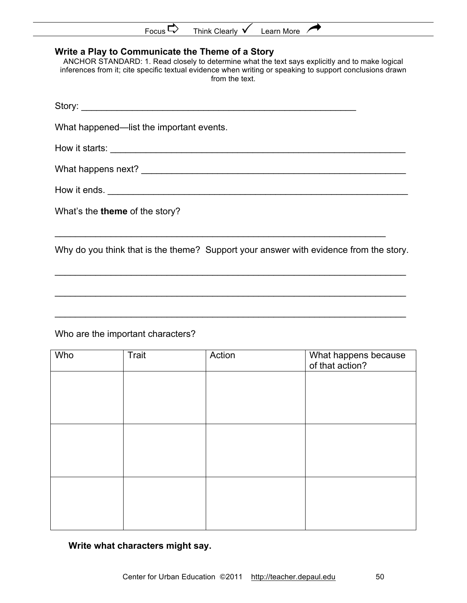|     |                                          | Write a Play to Communicate the Theme of a Story | ANCHOR STANDARD: 1. Read closely to determine what the text says explicitly and to make logical          |
|-----|------------------------------------------|--------------------------------------------------|----------------------------------------------------------------------------------------------------------|
|     |                                          | from the text.                                   | inferences from it; cite specific textual evidence when writing or speaking to support conclusions drawn |
|     |                                          |                                                  |                                                                                                          |
|     |                                          |                                                  |                                                                                                          |
|     | What happened—list the important events. |                                                  |                                                                                                          |
|     |                                          |                                                  |                                                                                                          |
|     |                                          |                                                  |                                                                                                          |
|     |                                          |                                                  |                                                                                                          |
|     |                                          |                                                  |                                                                                                          |
|     |                                          |                                                  |                                                                                                          |
|     |                                          |                                                  |                                                                                                          |
|     | What's the <b>theme</b> of the story?    |                                                  |                                                                                                          |
|     |                                          |                                                  |                                                                                                          |
|     |                                          |                                                  | Why do you think that is the theme? Support your answer with evidence from the story.                    |
|     |                                          |                                                  |                                                                                                          |
|     |                                          |                                                  |                                                                                                          |
|     |                                          |                                                  |                                                                                                          |
|     |                                          |                                                  |                                                                                                          |
|     |                                          |                                                  |                                                                                                          |
|     | Who are the important characters?        |                                                  |                                                                                                          |
| Who | <b>Trait</b>                             | Action                                           | What happens because<br>of that action?                                                                  |
|     |                                          |                                                  |                                                                                                          |
|     |                                          |                                                  |                                                                                                          |

**Write what characters might say.**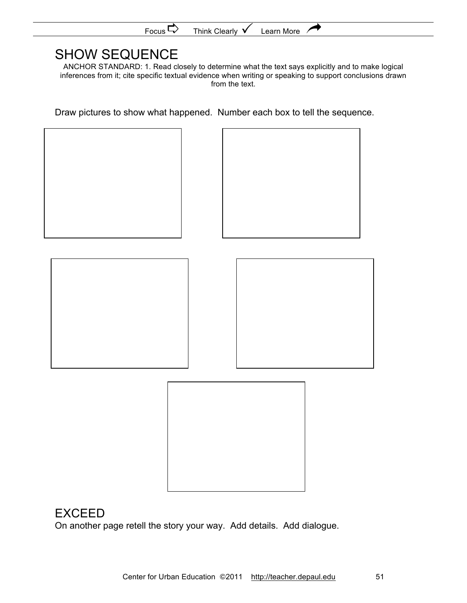

## SHOW SEQUENCE

ANCHOR STANDARD: 1. Read closely to determine what the text says explicitly and to make logical inferences from it; cite specific textual evidence when writing or speaking to support conclusions drawn from the text.

Draw pictures to show what happened. Number each box to tell the sequence.









#### EXCEED

On another page retell the story your way. Add details. Add dialogue.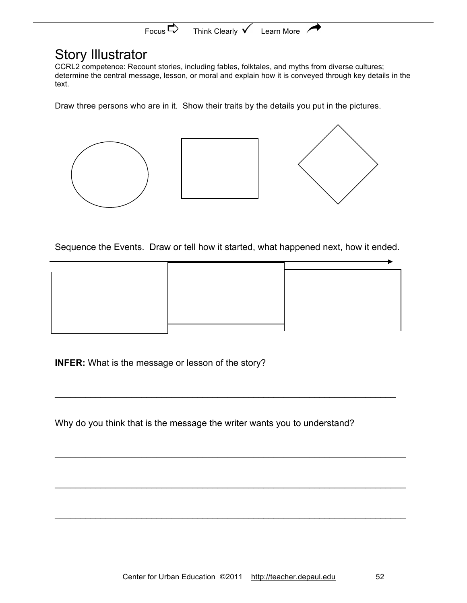| -<br>Think<br>_earr<br><b>Focus</b><br>More<br>∴learlv<br>______<br>$\sim$ $\sim$ $\sim$ $\sim$ $\sim$ $\sim$ |  |  |  |
|---------------------------------------------------------------------------------------------------------------|--|--|--|
|---------------------------------------------------------------------------------------------------------------|--|--|--|

#### Story Illustrator

CCRL2 competence: Recount stories, including fables, folktales, and myths from diverse cultures; determine the central message, lesson, or moral and explain how it is conveyed through key details in the text.

Draw three persons who are in it. Show their traits by the details you put in the pictures.







Sequence the Events. Draw or tell how it started, what happened next, how it ended.



 $\mathcal{L}_\mathcal{L} = \mathcal{L}_\mathcal{L} + \mathcal{L}_\mathcal{L} + \mathcal{L}_\mathcal{L} + \mathcal{L}_\mathcal{L} + \mathcal{L}_\mathcal{L} + \mathcal{L}_\mathcal{L} + \mathcal{L}_\mathcal{L} + \mathcal{L}_\mathcal{L} + \mathcal{L}_\mathcal{L} + \mathcal{L}_\mathcal{L} + \mathcal{L}_\mathcal{L} + \mathcal{L}_\mathcal{L} + \mathcal{L}_\mathcal{L} + \mathcal{L}_\mathcal{L} + \mathcal{L}_\mathcal{L} + \mathcal{L}_\mathcal{L}$ 

 $\mathcal{L}_\mathcal{L} = \mathcal{L}_\mathcal{L} = \mathcal{L}_\mathcal{L} = \mathcal{L}_\mathcal{L} = \mathcal{L}_\mathcal{L} = \mathcal{L}_\mathcal{L} = \mathcal{L}_\mathcal{L} = \mathcal{L}_\mathcal{L} = \mathcal{L}_\mathcal{L} = \mathcal{L}_\mathcal{L} = \mathcal{L}_\mathcal{L} = \mathcal{L}_\mathcal{L} = \mathcal{L}_\mathcal{L} = \mathcal{L}_\mathcal{L} = \mathcal{L}_\mathcal{L} = \mathcal{L}_\mathcal{L} = \mathcal{L}_\mathcal{L}$ 

 $\mathcal{L}_\text{max} = \mathcal{L}_\text{max} = \mathcal{L}_\text{max} = \mathcal{L}_\text{max} = \mathcal{L}_\text{max} = \mathcal{L}_\text{max} = \mathcal{L}_\text{max} = \mathcal{L}_\text{max} = \mathcal{L}_\text{max} = \mathcal{L}_\text{max} = \mathcal{L}_\text{max} = \mathcal{L}_\text{max} = \mathcal{L}_\text{max} = \mathcal{L}_\text{max} = \mathcal{L}_\text{max} = \mathcal{L}_\text{max} = \mathcal{L}_\text{max} = \mathcal{L}_\text{max} = \mathcal{$ 

 $\mathcal{L}_\mathcal{L} = \mathcal{L}_\mathcal{L} = \mathcal{L}_\mathcal{L} = \mathcal{L}_\mathcal{L} = \mathcal{L}_\mathcal{L} = \mathcal{L}_\mathcal{L} = \mathcal{L}_\mathcal{L} = \mathcal{L}_\mathcal{L} = \mathcal{L}_\mathcal{L} = \mathcal{L}_\mathcal{L} = \mathcal{L}_\mathcal{L} = \mathcal{L}_\mathcal{L} = \mathcal{L}_\mathcal{L} = \mathcal{L}_\mathcal{L} = \mathcal{L}_\mathcal{L} = \mathcal{L}_\mathcal{L} = \mathcal{L}_\mathcal{L}$ 

**INFER:** What is the message or lesson of the story?

Why do you think that is the message the writer wants you to understand?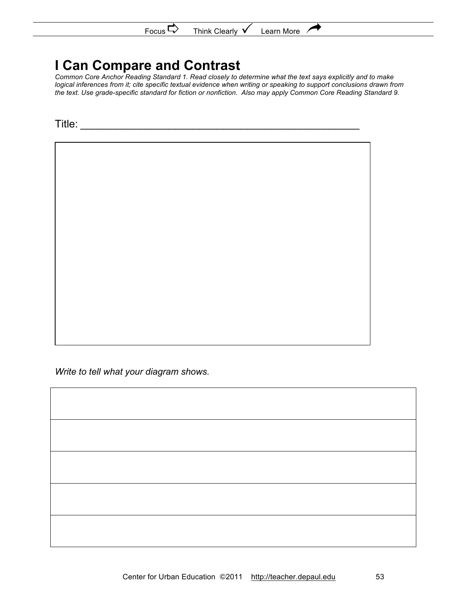

## **I Can Compare and Contrast**

*Common Core Anchor Reading Standard 1. Read closely to determine what the text says explicitly and to make logical inferences from it; cite specific textual evidence when writing or speaking to support conclusions drawn from the text. Use grade-specific standard for fiction or nonfiction. Also may apply Common Core Reading Standard 9.*

Title: *\_\_\_\_\_\_\_\_\_\_\_\_\_\_\_\_\_\_\_\_\_\_\_\_\_\_\_\_\_\_\_\_\_\_\_\_\_\_\_\_\_\_\_\_\_\_\_*

*Write to tell what your diagram shows.*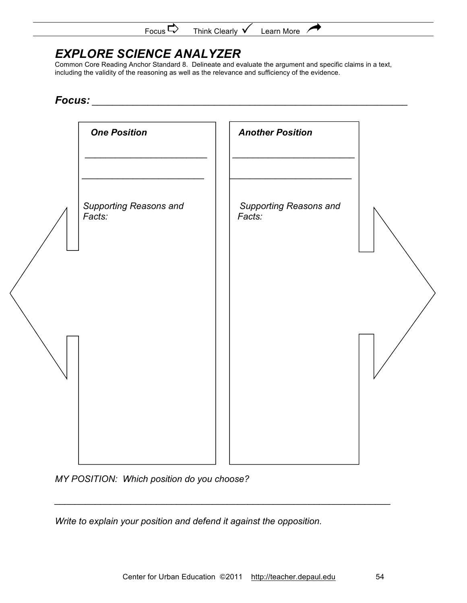|--|

#### *EXPLORE SCIENCE ANALYZER*

Common Core Reading Anchor Standard 8. Delineate and evaluate the argument and specific claims in a text, including the validity of the reasoning as well as the relevance and sufficiency of the evidence.

| Focus: |  |
|--------|--|
|        |  |

| <b>One Position</b>                     | <b>Another Position</b>                 |  |
|-----------------------------------------|-----------------------------------------|--|
| <b>Supporting Reasons and</b><br>Facts: | <b>Supporting Reasons and</b><br>Facts: |  |
|                                         |                                         |  |

*MY POSITION: Which position do you choose?* 

*Write to explain your position and defend it against the opposition.*

*\_\_\_\_\_\_\_\_\_\_\_\_\_\_\_\_\_\_\_\_\_\_\_\_\_\_\_\_\_\_\_\_\_\_\_\_\_\_\_\_\_\_\_\_\_\_\_\_\_\_\_\_\_\_\_\_\_\_\_\_\_\_\_\_\_\_*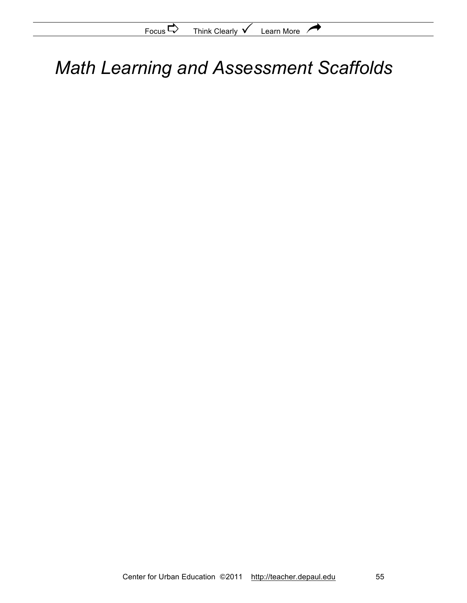## *Math Learning and Assessment Scaffolds*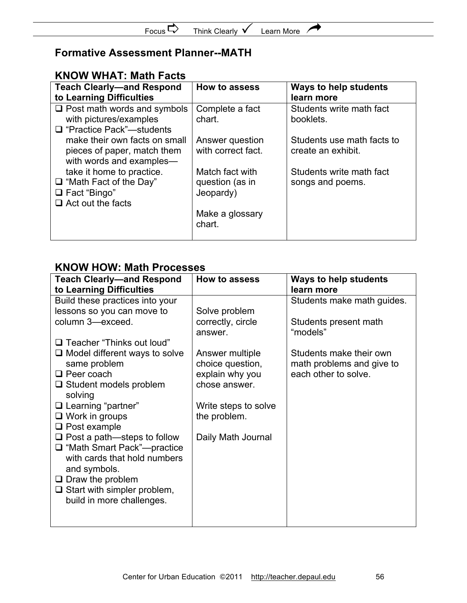

#### Focus  $\overrightarrow{C}$  Think Clearly  $\overrightarrow{V}$  Learn More /

#### **Formative Assessment Planner--MATH**

#### **KNOW WHAT: Math Facts**

| <b>Teach Clearly-and Respond</b><br>to Learning Difficulties                                                  | How to assess                                   | <b>Ways to help students</b><br>learn more       |
|---------------------------------------------------------------------------------------------------------------|-------------------------------------------------|--------------------------------------------------|
| $\Box$ Post math words and symbols<br>with pictures/examples<br>$\Box$ "Practice Pack"—students               | Complete a fact<br>chart.                       | Students write math fact<br>booklets.            |
| make their own facts on small<br>pieces of paper, match them<br>with words and examples—                      | Answer question<br>with correct fact.           | Students use math facts to<br>create an exhibit. |
| take it home to practice.<br>$\Box$ "Math Fact of the Day"<br>$\Box$ Fact "Bingo"<br>$\Box$ Act out the facts | Match fact with<br>question (as in<br>Jeopardy) | Students write math fact<br>songs and poems.     |
|                                                                                                               | Make a glossary<br>chart.                       |                                                  |

#### **KNOW HOW: Math Processes**

|                                      | How to assess        |                              |
|--------------------------------------|----------------------|------------------------------|
| <b>Teach Clearly-and Respond</b>     |                      | <b>Ways to help students</b> |
| to Learning Difficulties             |                      | learn more                   |
| Build these practices into your      |                      | Students make math guides.   |
| lessons so you can move to           | Solve problem        |                              |
| column 3-exceed.                     | correctly, circle    | Students present math        |
|                                      | answer.              | "models"                     |
| $\Box$ Teacher "Thinks out loud"     |                      |                              |
| $\Box$ Model different ways to solve | Answer multiple      | Students make their own      |
| same problem                         | choice question,     | math problems and give to    |
| $\Box$ Peer coach                    | explain why you      | each other to solve.         |
|                                      |                      |                              |
| $\Box$ Student models problem        | chose answer.        |                              |
| solving                              |                      |                              |
| $\Box$ Learning "partner"            | Write steps to solve |                              |
| $\Box$ Work in groups                | the problem.         |                              |
| $\Box$ Post example                  |                      |                              |
| $\Box$ Post a path—steps to follow   | Daily Math Journal   |                              |
| □ "Math Smart Pack"—practice         |                      |                              |
| with cards that hold numbers         |                      |                              |
| and symbols.                         |                      |                              |
| $\Box$ Draw the problem              |                      |                              |
|                                      |                      |                              |
| $\Box$ Start with simpler problem,   |                      |                              |
| build in more challenges.            |                      |                              |
|                                      |                      |                              |
|                                      |                      |                              |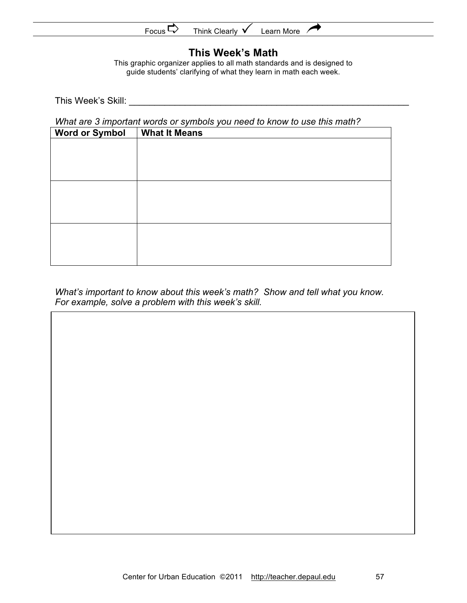| .      | hink    | More      |
|--------|---------|-----------|
| 70 C.H | :learly | 50L.      |
| .      |         | _________ |

#### **This Week's Math**

This graphic organizer applies to all math standards and is designed to guide students' clarifying of what they learn in math each week.

This Week's Skill:

*What are 3 important words or symbols you need to know to use this math?*

| <b>Word or Symbol</b> | <b>What It Means</b> |
|-----------------------|----------------------|
|                       |                      |
|                       |                      |
|                       |                      |
|                       |                      |
|                       |                      |
|                       |                      |
|                       |                      |
|                       |                      |
|                       |                      |
|                       |                      |
|                       |                      |

*What's important to know about this week's math? Show and tell what you know. For example, solve a problem with this week's skill.*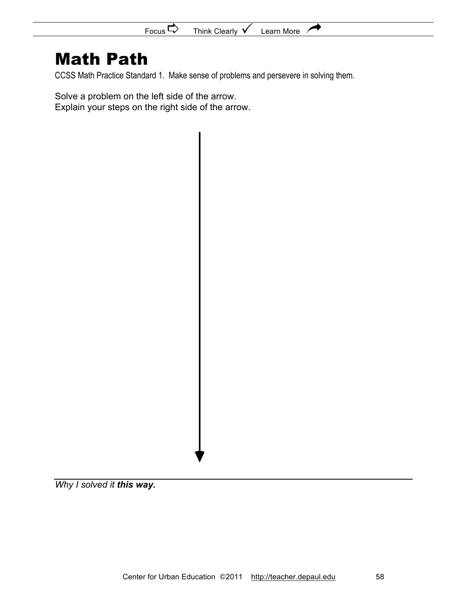

## Math Path

CCSS Math Practice Standard 1. Make sense of problems and persevere in solving them.

Solve a problem on the left side of the arrow. Explain your steps on the right side of the arrow.

*Why I solved it this way.*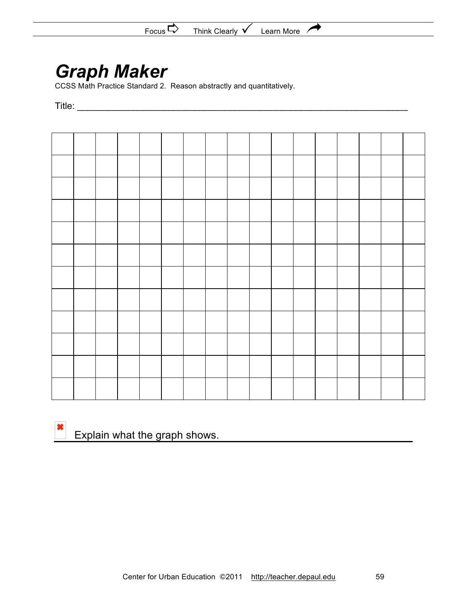

## *Graph Maker*

CCSS Math Practice Standard 2. Reason abstractly and quantitatively.

Title: \_\_\_\_\_\_\_\_\_\_\_\_\_\_\_\_\_\_\_\_\_\_\_\_\_\_\_\_\_\_\_\_\_\_\_\_\_\_\_\_\_\_\_\_\_\_\_\_\_\_\_\_\_\_\_\_\_\_\_\_\_\_\_\_\_

篡

Explain what the graph shows.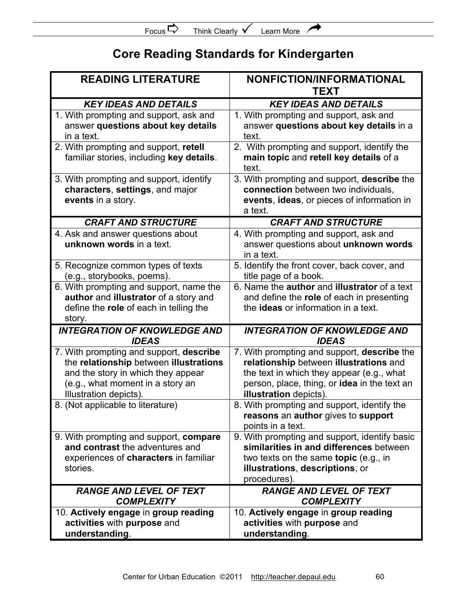

## **Core Reading Standards for Kindergarten**

| <b>READING LITERATURE</b>                                                                                                                                                             | <b>NONFICTION/INFORMATIONAL</b><br><b>TEXT</b>                                                                                                                                                               |
|---------------------------------------------------------------------------------------------------------------------------------------------------------------------------------------|--------------------------------------------------------------------------------------------------------------------------------------------------------------------------------------------------------------|
| <b>KEY IDEAS AND DETAILS</b>                                                                                                                                                          | <b>KEY IDEAS AND DETAILS</b>                                                                                                                                                                                 |
| 1. With prompting and support, ask and<br>answer questions about key details<br>in a text.                                                                                            | 1. With prompting and support, ask and<br>answer questions about key details in a<br>text.                                                                                                                   |
| 2. With prompting and support, retell<br>familiar stories, including key details.                                                                                                     | 2. With prompting and support, identify the<br>main topic and retell key details of a<br>text.                                                                                                               |
| 3. With prompting and support, identify<br>characters, settings, and major<br>events in a story.                                                                                      | 3. With prompting and support, describe the<br>connection between two individuals,<br>events, ideas, or pieces of information in<br>a text.                                                                  |
| <b>CRAFT AND STRUCTURE</b>                                                                                                                                                            | <b>CRAFT AND STRUCTURE</b>                                                                                                                                                                                   |
| 4. Ask and answer questions about<br>unknown words in a text.                                                                                                                         | 4. With prompting and support, ask and<br>answer questions about unknown words<br>in a text.                                                                                                                 |
| 5. Recognize common types of texts<br>(e.g., storybooks, poems).                                                                                                                      | 5. Identify the front cover, back cover, and<br>title page of a book.                                                                                                                                        |
| 6. With prompting and support, name the<br>author and illustrator of a story and<br>define the role of each in telling the<br>story.                                                  | 6. Name the <b>author</b> and <b>illustrator</b> of a text<br>and define the role of each in presenting<br>the <b>ideas</b> or information in a text.                                                        |
| <b>INTEGRATION OF KNOWLEDGE AND</b><br><b>IDEAS</b>                                                                                                                                   | <b>INTEGRATION OF KNOWLEDGE AND</b><br><b>IDEAS</b>                                                                                                                                                          |
| 7. With prompting and support, describe<br>the relationship between illustrations<br>and the story in which they appear<br>(e.g., what moment in a story an<br>Illustration depicts). | 7. With prompting and support, describe the<br>relationship between illustrations and<br>the text in which they appear (e.g., what<br>person, place, thing, or idea in the text an<br>illustration depicts). |
| 8. (Not applicable to literature)                                                                                                                                                     | 8. With prompting and support, identify the<br>reasons an author gives to support<br>points in a text.                                                                                                       |
| 9. With prompting and support, compare<br>and contrast the adventures and<br>experiences of characters in familiar<br>stories.                                                        | 9. With prompting and support, identify basic<br>similarities in and differences between<br>two texts on the same <b>topic</b> (e.g., in<br>illustrations, descriptions, or<br>procedures).                  |
| <b>RANGE AND LEVEL OF TEXT</b><br><b>COMPLEXITY</b>                                                                                                                                   | <b>RANGE AND LEVEL OF TEXT</b><br><b>COMPLEXITY</b>                                                                                                                                                          |
| 10. Actively engage in group reading<br>activities with purpose and<br>understanding.                                                                                                 | 10. Actively engage in group reading<br>activities with purpose and<br>understanding.                                                                                                                        |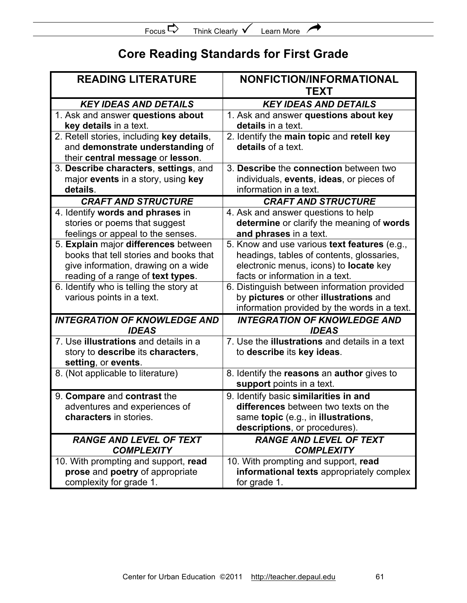## **Core Reading Standards for First Grade**

| <b>READING LITERATURE</b>                                                                                                                                  | NONFICTION/INFORMATIONAL<br><b>TEXT</b>                                                                                                                                       |
|------------------------------------------------------------------------------------------------------------------------------------------------------------|-------------------------------------------------------------------------------------------------------------------------------------------------------------------------------|
| <b>KEY IDEAS AND DETAILS</b>                                                                                                                               | <b>KEY IDEAS AND DETAILS</b>                                                                                                                                                  |
| 1. Ask and answer questions about<br>key details in a text.                                                                                                | 1. Ask and answer questions about key<br>details in a text.                                                                                                                   |
| 2. Retell stories, including key details,<br>and demonstrate understanding of<br>their central message or lesson.                                          | 2. Identify the main topic and retell key<br>details of a text.                                                                                                               |
| 3. Describe characters, settings, and<br>major events in a story, using key<br>details.                                                                    | 3. Describe the connection between two<br>individuals, events, ideas, or pieces of<br>information in a text.                                                                  |
| <b>CRAFT AND STRUCTURE</b>                                                                                                                                 | <b>CRAFT AND STRUCTURE</b>                                                                                                                                                    |
| 4. Identify words and phrases in<br>stories or poems that suggest<br>feelings or appeal to the senses.                                                     | 4. Ask and answer questions to help<br>determine or clarify the meaning of words<br>and phrases in a text.                                                                    |
| 5. Explain major differences between<br>books that tell stories and books that<br>give information, drawing on a wide<br>reading of a range of text types. | 5. Know and use various text features (e.g.,<br>headings, tables of contents, glossaries,<br>electronic menus, icons) to <b>locate</b> key<br>facts or information in a text. |
| 6. Identify who is telling the story at<br>various points in a text.                                                                                       | 6. Distinguish between information provided<br>by pictures or other illustrations and<br>information provided by the words in a text.                                         |
| <b>INTEGRATION OF KNOWLEDGE AND</b><br><b>IDEAS</b>                                                                                                        | <b>INTEGRATION OF KNOWLEDGE AND</b><br><b>IDEAS</b>                                                                                                                           |
| 7. Use illustrations and details in a<br>story to describe its characters,<br>setting, or events.                                                          | 7. Use the <b>illustrations</b> and details in a text<br>to describe its key ideas.                                                                                           |
| 8. (Not applicable to literature)                                                                                                                          | 8. Identify the reasons an author gives to<br>support points in a text.                                                                                                       |
| 9. Compare and contrast the<br>adventures and experiences of<br>characters in stories.                                                                     | 9. Identify basic similarities in and<br>differences between two texts on the<br>same topic (e.g., in illustrations,<br>descriptions, or procedures).                         |
| <b>RANGE AND LEVEL OF TEXT</b><br><b>COMPLEXITY</b>                                                                                                        | <b>RANGE AND LEVEL OF TEXT</b><br><b>COMPLEXITY</b>                                                                                                                           |
| 10. With prompting and support, read<br>prose and poetry of appropriate<br>complexity for grade 1.                                                         | 10. With prompting and support, read<br>informational texts appropriately complex<br>for grade 1.                                                                             |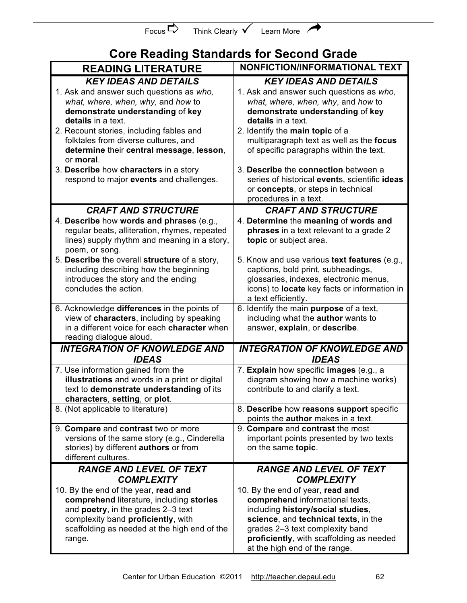| CUS |  |
|-----|--|
|     |  |

#### **Core Reading Standards for Second Grade**

| <b>READING LITERATURE</b>                                                                                                                                                                                              | NONFICTION/INFORMATIONAL TEXT                                                                                                                                                                                                                                    |
|------------------------------------------------------------------------------------------------------------------------------------------------------------------------------------------------------------------------|------------------------------------------------------------------------------------------------------------------------------------------------------------------------------------------------------------------------------------------------------------------|
| <b>KEY IDEAS AND DETAILS</b>                                                                                                                                                                                           | <b>KEY IDEAS AND DETAILS</b>                                                                                                                                                                                                                                     |
| 1. Ask and answer such questions as who,<br>what, where, when, why, and how to<br>demonstrate understanding of key<br>details in a text.                                                                               | 1. Ask and answer such questions as who,<br>what, where, when, why, and how to<br>demonstrate understanding of key<br>details in a text.                                                                                                                         |
| 2. Recount stories, including fables and<br>folktales from diverse cultures, and<br>determine their central message, lesson,<br>or moral.                                                                              | 2. Identify the main topic of a<br>multiparagraph text as well as the focus<br>of specific paragraphs within the text.                                                                                                                                           |
| 3. Describe how characters in a story<br>respond to major events and challenges.                                                                                                                                       | 3. Describe the connection between a<br>series of historical events, scientific ideas<br>or concepts, or steps in technical<br>procedures in a text.                                                                                                             |
| <b>CRAFT AND STRUCTURE</b>                                                                                                                                                                                             | <b>CRAFT AND STRUCTURE</b>                                                                                                                                                                                                                                       |
| 4. Describe how words and phrases (e.g.,<br>regular beats, alliteration, rhymes, repeated<br>lines) supply rhythm and meaning in a story,<br>poem, or song.                                                            | 4. Determine the meaning of words and<br>phrases in a text relevant to a grade 2<br>topic or subject area.                                                                                                                                                       |
| 5. Describe the overall structure of a story,<br>including describing how the beginning<br>introduces the story and the ending<br>concludes the action.                                                                | 5. Know and use various text features (e.g.,<br>captions, bold print, subheadings,<br>glossaries, indexes, electronic menus,<br>icons) to <b>locate</b> key facts or information in<br>a text efficiently.                                                       |
| 6. Acknowledge differences in the points of<br>view of characters, including by speaking<br>in a different voice for each character when<br>reading dialogue aloud.                                                    | 6. Identify the main purpose of a text,<br>including what the author wants to<br>answer, explain, or describe.                                                                                                                                                   |
| <b>INTEGRATION OF KNOWLEDGE AND</b>                                                                                                                                                                                    | <b>INTEGRATION OF KNOWLEDGE AND</b>                                                                                                                                                                                                                              |
| <b>IDEAS</b><br>7. Use information gained from the<br>illustrations and words in a print or digital<br>text to demonstrate understanding of its<br>characters, setting, or plot.                                       | <b>IDEAS</b><br>7. Explain how specific images (e.g., a<br>diagram showing how a machine works)<br>contribute to and clarify a text.                                                                                                                             |
| 8. (Not applicable to literature)                                                                                                                                                                                      | 8. Describe how reasons support specific<br>points the <b>author</b> makes in a text.                                                                                                                                                                            |
| 9. Compare and contrast two or more<br>versions of the same story (e.g., Cinderella<br>stories) by different <b>authors</b> or from<br>different cultures.                                                             | 9. Compare and contrast the most<br>important points presented by two texts<br>on the same topic.                                                                                                                                                                |
| <b>RANGE AND LEVEL OF TEXT</b><br><b>COMPLEXITY</b>                                                                                                                                                                    | <b>RANGE AND LEVEL OF TEXT</b><br><b>COMPLEXITY</b>                                                                                                                                                                                                              |
| 10. By the end of the year, read and<br>comprehend literature, including stories<br>and poetry, in the grades 2-3 text<br>complexity band proficiently, with<br>scaffolding as needed at the high end of the<br>range. | 10. By the end of year, read and<br>comprehend informational texts,<br>including history/social studies,<br>science, and technical texts, in the<br>grades 2-3 text complexity band<br>proficiently, with scaffolding as needed<br>at the high end of the range. |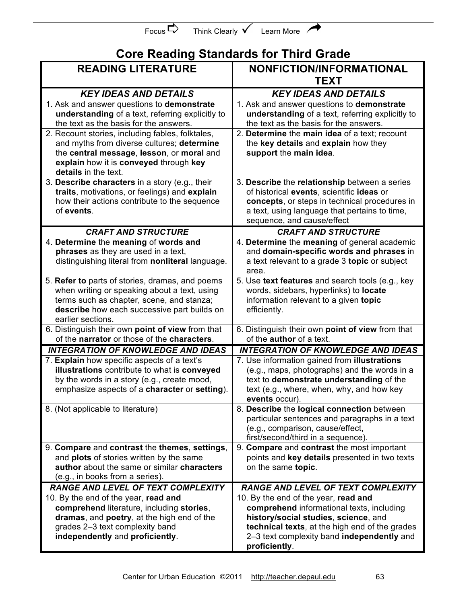## $Focus \longrightarrow$  Think Clearly  $\checkmark$  Learn More /

### **Core Reading Standards for Third Grade**

| <b>READING LITERATURE</b>                                                                                                                                                                                        | NONFICTION/INFORMATIONAL                                                                                                                                                                                                                   |
|------------------------------------------------------------------------------------------------------------------------------------------------------------------------------------------------------------------|--------------------------------------------------------------------------------------------------------------------------------------------------------------------------------------------------------------------------------------------|
|                                                                                                                                                                                                                  | <b>TEXT</b>                                                                                                                                                                                                                                |
| <b>KEY IDEAS AND DETAILS</b>                                                                                                                                                                                     | <b>KEY IDEAS AND DETAILS</b>                                                                                                                                                                                                               |
| 1. Ask and answer questions to demonstrate<br>understanding of a text, referring explicitly to<br>the text as the basis for the answers.                                                                         | 1. Ask and answer questions to demonstrate<br>understanding of a text, referring explicitly to<br>the text as the basis for the answers.                                                                                                   |
| 2. Recount stories, including fables, folktales,<br>and myths from diverse cultures; determine<br>the central message, lesson, or moral and<br>explain how it is conveyed through key<br>details in the text.    | 2. Determine the main idea of a text; recount<br>the key details and explain how they<br>support the main idea.                                                                                                                            |
| 3. Describe characters in a story (e.g., their<br>traits, motivations, or feelings) and explain<br>how their actions contribute to the sequence<br>of events.                                                    | 3. Describe the relationship between a series<br>of historical events, scientific ideas or<br>concepts, or steps in technical procedures in<br>a text, using language that pertains to time,<br>sequence, and cause/effect                 |
| <b>CRAFT AND STRUCTURE</b>                                                                                                                                                                                       | <b>CRAFT AND STRUCTURE</b>                                                                                                                                                                                                                 |
| 4. Determine the meaning of words and<br>phrases as they are used in a text,<br>distinguishing literal from nonliteral language.                                                                                 | 4. Determine the meaning of general academic<br>and domain-specific words and phrases in<br>a text relevant to a grade 3 topic or subject<br>area.                                                                                         |
| 5. Refer to parts of stories, dramas, and poems<br>when writing or speaking about a text, using<br>terms such as chapter, scene, and stanza;<br>describe how each successive part builds on<br>earlier sections. | 5. Use text features and search tools (e.g., key<br>words, sidebars, hyperlinks) to locate<br>information relevant to a given topic<br>efficiently.                                                                                        |
| 6. Distinguish their own point of view from that<br>of the narrator or those of the characters.                                                                                                                  | 6. Distinguish their own point of view from that<br>of the <b>author</b> of a text.                                                                                                                                                        |
| <b>INTEGRATION OF KNOWLEDGE AND IDEAS</b>                                                                                                                                                                        | <b>INTEGRATION OF KNOWLEDGE AND IDEAS</b>                                                                                                                                                                                                  |
| 7. Explain how specific aspects of a text's<br>illustrations contribute to what is conveyed<br>by the words in a story (e.g., create mood,<br>emphasize aspects of a character or setting).                      | 7. Use information gained from illustrations<br>(e.g., maps, photographs) and the words in a<br>text to demonstrate understanding of the<br>text (e.g., where, when, why, and how key<br>events occur).                                    |
| 8. (Not applicable to literature)                                                                                                                                                                                | 8. Describe the logical connection between<br>particular sentences and paragraphs in a text<br>(e.g., comparison, cause/effect,<br>first/second/third in a sequence).                                                                      |
| 9. Compare and contrast the themes, settings,<br>and plots of stories written by the same<br>author about the same or similar characters<br>(e.g., in books from a series).                                      | 9. Compare and contrast the most important<br>points and key details presented in two texts<br>on the same topic.                                                                                                                          |
| RANGE AND LEVEL OF TEXT COMPLEXITY                                                                                                                                                                               | RANGE AND LEVEL OF TEXT COMPLEXITY                                                                                                                                                                                                         |
| 10. By the end of the year, read and<br>comprehend literature, including stories,<br>dramas, and poetry, at the high end of the<br>grades 2-3 text complexity band<br>independently and proficiently.            | 10. By the end of the year, read and<br>comprehend informational texts, including<br>history/social studies, science, and<br>technical texts, at the high end of the grades<br>2-3 text complexity band independently and<br>proficiently. |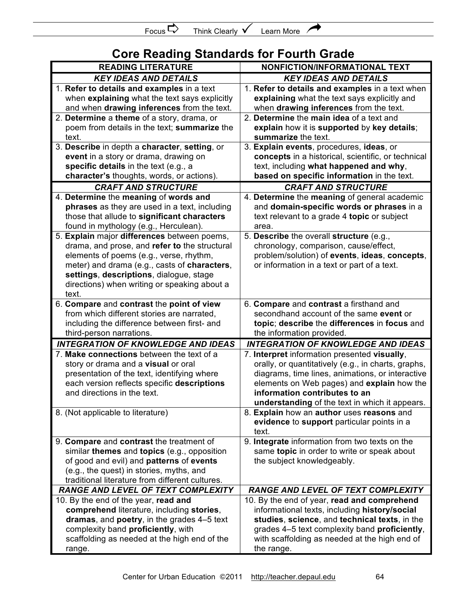### **Core Reading Standards for Fourth Grade**

| <b>READING LITERATURE</b>                                                  | NONFICTION/INFORMATIONAL TEXT                                                                  |
|----------------------------------------------------------------------------|------------------------------------------------------------------------------------------------|
| <b>KEY IDEAS AND DETAILS</b>                                               | <b>KEY IDEAS AND DETAILS</b>                                                                   |
| 1. Refer to details and examples in a text                                 | 1. Refer to details and examples in a text when                                                |
| when explaining what the text says explicitly                              | explaining what the text says explicitly and                                                   |
| and when drawing inferences from the text.                                 | when drawing inferences from the text.                                                         |
| 2. Determine a theme of a story, drama, or                                 | 2. Determine the main idea of a text and                                                       |
| poem from details in the text; summarize the                               | explain how it is supported by key details;                                                    |
| text.                                                                      | summarize the text.                                                                            |
| 3. Describe in depth a character, setting, or                              | 3. Explain events, procedures, ideas, or                                                       |
| event in a story or drama, drawing on                                      | concepts in a historical, scientific, or technical                                             |
| specific details in the text (e.g., a                                      | text, including what happened and why,                                                         |
| character's thoughts, words, or actions).                                  | based on specific information in the text.                                                     |
| <b>CRAFT AND STRUCTURE</b>                                                 | <b>CRAFT AND STRUCTURE</b>                                                                     |
| 4. Determine the meaning of words and                                      | 4. Determine the meaning of general academic                                                   |
| phrases as they are used in a text, including                              | and domain-specific words or phrases in a                                                      |
| those that allude to significant characters                                | text relevant to a grade 4 topic or subject                                                    |
| found in mythology (e.g., Herculean).                                      | area.                                                                                          |
| 5. Explain major differences between poems,                                | 5. Describe the overall structure (e.g.,                                                       |
| drama, and prose, and refer to the structural                              | chronology, comparison, cause/effect,                                                          |
| elements of poems (e.g., verse, rhythm,                                    | problem/solution) of events, ideas, concepts,                                                  |
| meter) and drama (e.g., casts of characters,                               | or information in a text or part of a text.                                                    |
| settings, descriptions, dialogue, stage                                    |                                                                                                |
| directions) when writing or speaking about a                               |                                                                                                |
| text.                                                                      |                                                                                                |
| 6. Compare and contrast the point of view                                  | 6. Compare and contrast a firsthand and                                                        |
| from which different stories are narrated,                                 | secondhand account of the same event or                                                        |
| including the difference between first- and                                | topic; describe the differences in focus and                                                   |
| third-person narrations.                                                   | the information provided.                                                                      |
| <b>INTEGRATION OF KNOWLEDGE AND IDEAS</b>                                  | <b>INTEGRATION OF KNOWLEDGE AND IDEAS</b>                                                      |
| 7. Make connections between the text of a                                  | 7. Interpret information presented visually,                                                   |
| story or drama and a visual or oral                                        | orally, or quantitatively (e.g., in charts, graphs,                                            |
| presentation of the text, identifying where                                | diagrams, time lines, animations, or interactive<br>elements on Web pages) and explain how the |
| each version reflects specific descriptions<br>and directions in the text. | information contributes to an                                                                  |
|                                                                            |                                                                                                |
| 8. (Not applicable to literature)                                          | understanding of the text in which it appears.<br>8. Explain how an author uses reasons and    |
|                                                                            | evidence to support particular points in a                                                     |
|                                                                            | text.                                                                                          |
| 9. Compare and contrast the treatment of                                   | 9. Integrate information from two texts on the                                                 |
| similar themes and topics (e.g., opposition                                | same topic in order to write or speak about                                                    |
| of good and evil) and patterns of events                                   | the subject knowledgeably.                                                                     |
| (e.g., the quest) in stories, myths, and                                   |                                                                                                |
| traditional literature from different cultures.                            |                                                                                                |
| RANGE AND LEVEL OF TEXT COMPLEXITY                                         | RANGE AND LEVEL OF TEXT COMPLEXITY                                                             |
| 10. By the end of the year, read and                                       | 10. By the end of year, read and comprehend                                                    |
| comprehend literature, including stories,                                  | informational texts, including history/social                                                  |
| dramas, and poetry, in the grades 4-5 text                                 | studies, science, and technical texts, in the                                                  |
| complexity band proficiently, with                                         | grades 4-5 text complexity band proficiently,                                                  |
| scaffolding as needed at the high end of the                               | with scaffolding as needed at the high end of                                                  |
| range.                                                                     | the range.                                                                                     |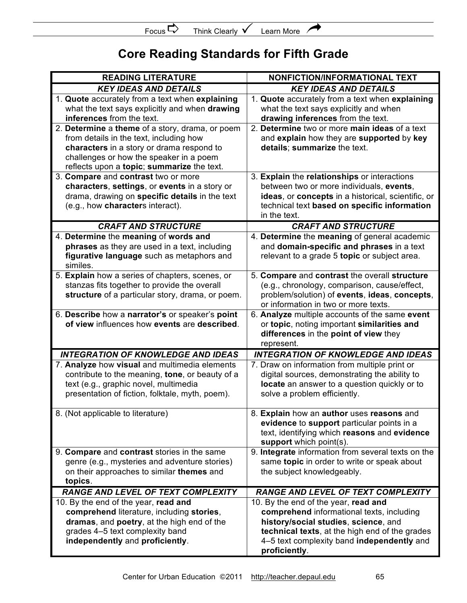

## **Core Reading Standards for Fifth Grade**

| <b>READING LITERATURE</b>                                                                       | NONFICTION/INFORMATIONAL TEXT                      |
|-------------------------------------------------------------------------------------------------|----------------------------------------------------|
| <b>KEY IDEAS AND DETAILS</b>                                                                    | <b>KEY IDEAS AND DETAILS</b>                       |
| 1. Quote accurately from a text when explaining                                                 | 1. Quote accurately from a text when explaining    |
| what the text says explicitly and when drawing                                                  | what the text says explicitly and when             |
| inferences from the text.                                                                       | drawing inferences from the text.                  |
| 2. Determine a theme of a story, drama, or poem                                                 | 2. Determine two or more main ideas of a text      |
| from details in the text, including how                                                         | and explain how they are supported by key          |
| characters in a story or drama respond to                                                       | details; summarize the text.                       |
| challenges or how the speaker in a poem                                                         |                                                    |
| reflects upon a topic; summarize the text.                                                      |                                                    |
| 3. Compare and contrast two or more                                                             | 3. Explain the relationships or interactions       |
| characters, settings, or events in a story or                                                   | between two or more individuals, events,           |
| drama, drawing on specific details in the text                                                  | ideas, or concepts in a historical, scientific, or |
| (e.g., how characters interact).                                                                | technical text based on specific information       |
|                                                                                                 | in the text.                                       |
| <b>CRAFT AND STRUCTURE</b>                                                                      | <b>CRAFT AND STRUCTURE</b>                         |
| 4. Determine the meaning of words and                                                           | 4. Determine the meaning of general academic       |
| phrases as they are used in a text, including                                                   | and domain-specific and phrases in a text          |
| figurative language such as metaphors and<br>similes.                                           | relevant to a grade 5 topic or subject area.       |
|                                                                                                 | 5. Compare and contrast the overall structure      |
| 5. Explain how a series of chapters, scenes, or<br>stanzas fits together to provide the overall | (e.g., chronology, comparison, cause/effect,       |
| structure of a particular story, drama, or poem.                                                | problem/solution) of events, ideas, concepts,      |
|                                                                                                 | or information in two or more texts.               |
| 6. Describe how a narrator's or speaker's point                                                 | 6. Analyze multiple accounts of the same event     |
| of view influences how events are described.                                                    | or topic, noting important similarities and        |
|                                                                                                 | differences in the point of view they              |
|                                                                                                 | represent.                                         |
| <b>INTEGRATION OF KNOWLEDGE AND IDEAS</b>                                                       | <b>INTEGRATION OF KNOWLEDGE AND IDEAS</b>          |
| 7. Analyze how visual and multimedia elements                                                   | 7. Draw on information from multiple print or      |
| contribute to the meaning, tone, or beauty of a                                                 | digital sources, demonstrating the ability to      |
| text (e.g., graphic novel, multimedia                                                           | locate an answer to a question quickly or to       |
| presentation of fiction, folktale, myth, poem).                                                 | solve a problem efficiently.                       |
|                                                                                                 |                                                    |
| 8. (Not applicable to literature)                                                               | 8. Explain how an author uses reasons and          |
|                                                                                                 | evidence to support particular points in a         |
|                                                                                                 | text, identifying which reasons and evidence       |
|                                                                                                 | support which point(s).                            |
| 9. Compare and contrast stories in the same                                                     | 9. Integrate information from several texts on the |
| genre (e.g., mysteries and adventure stories)                                                   | same topic in order to write or speak about        |
| on their approaches to similar themes and                                                       | the subject knowledgeably.                         |
| topics.                                                                                         |                                                    |
| RANGE AND LEVEL OF TEXT COMPLEXITY                                                              | RANGE AND LEVEL OF TEXT COMPLEXITY                 |
| 10. By the end of the year, read and                                                            | 10. By the end of the year, read and               |
| comprehend literature, including stories,                                                       | comprehend informational texts, including          |
| dramas, and poetry, at the high end of the                                                      | history/social studies, science, and               |
| grades 4-5 text complexity band                                                                 | technical texts, at the high end of the grades     |
| independently and proficiently.                                                                 | 4-5 text complexity band independently and         |
|                                                                                                 | proficiently.                                      |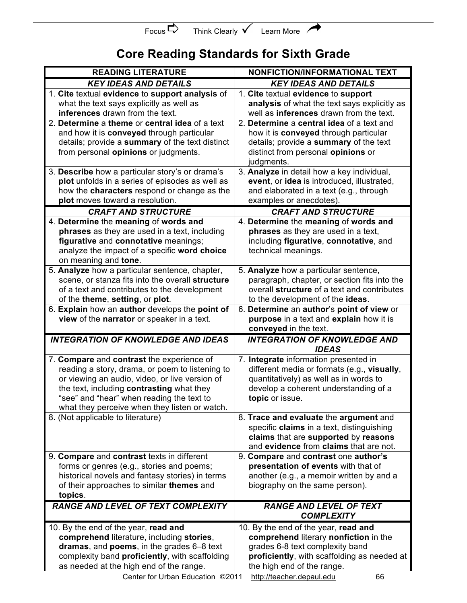## **Core Reading Standards for Sixth Grade**

| <b>READING LITERATURE</b>                                                                                                                                                                                                                                                                 | NONFICTION/INFORMATIONAL TEXT                                                                                                                                                                 |
|-------------------------------------------------------------------------------------------------------------------------------------------------------------------------------------------------------------------------------------------------------------------------------------------|-----------------------------------------------------------------------------------------------------------------------------------------------------------------------------------------------|
| <b>KEY IDEAS AND DETAILS</b>                                                                                                                                                                                                                                                              | <b>KEY IDEAS AND DETAILS</b>                                                                                                                                                                  |
| 1. Cite textual evidence to support analysis of<br>what the text says explicitly as well as<br>inferences drawn from the text.                                                                                                                                                            | 1. Cite textual evidence to support<br>analysis of what the text says explicitly as<br>well as inferences drawn from the text.                                                                |
| 2. Determine a theme or central idea of a text<br>and how it is conveyed through particular<br>details; provide a summary of the text distinct<br>from personal opinions or judgments.                                                                                                    | 2. Determine a central idea of a text and<br>how it is conveyed through particular<br>details; provide a summary of the text<br>distinct from personal opinions or<br>judgments.              |
| 3. Describe how a particular story's or drama's<br>plot unfolds in a series of episodes as well as<br>how the characters respond or change as the<br>plot moves toward a resolution.                                                                                                      | 3. Analyze in detail how a key individual,<br>event, or idea is introduced, illustrated,<br>and elaborated in a text (e.g., through<br>examples or anecdotes).                                |
| <b>CRAFT AND STRUCTURE</b>                                                                                                                                                                                                                                                                | <b>CRAFT AND STRUCTURE</b>                                                                                                                                                                    |
| 4. Determine the meaning of words and<br>phrases as they are used in a text, including<br>figurative and connotative meanings;<br>analyze the impact of a specific word choice<br>on meaning and tone.                                                                                    | 4. Determine the meaning of words and<br>phrases as they are used in a text,<br>including figurative, connotative, and<br>technical meanings.                                                 |
| 5. Analyze how a particular sentence, chapter,<br>scene, or stanza fits into the overall structure<br>of a text and contributes to the development<br>of the theme, setting, or plot.                                                                                                     | 5. Analyze how a particular sentence,<br>paragraph, chapter, or section fits into the<br>overall structure of a text and contributes<br>to the development of the ideas.                      |
| 6. Explain how an author develops the point of<br>view of the narrator or speaker in a text.                                                                                                                                                                                              | 6. Determine an author's point of view or<br>purpose in a text and explain how it is<br>conveyed in the text.                                                                                 |
| <b>INTEGRATION OF KNOWLEDGE AND IDEAS</b>                                                                                                                                                                                                                                                 | <b>INTEGRATION OF KNOWLEDGE AND</b><br><b>IDEAS</b>                                                                                                                                           |
| 7. Compare and contrast the experience of<br>reading a story, drama, or poem to listening to<br>or viewing an audio, video, or live version of<br>the text, including contrasting what they<br>"see" and "hear" when reading the text to<br>what they perceive when they listen or watch. | 7. Integrate information presented in<br>different media or formats (e.g., visually,<br>quantitatively) as well as in words to<br>develop a coherent understanding of a<br>topic or issue.    |
| 8. (Not applicable to literature)                                                                                                                                                                                                                                                         | 8. Trace and evaluate the argument and<br>specific claims in a text, distinguishing<br>claims that are supported by reasons<br>and evidence from claims that are not.                         |
| 9. Compare and contrast texts in different<br>forms or genres (e.g., stories and poems;<br>historical novels and fantasy stories) in terms<br>of their approaches to similar themes and<br>topics.                                                                                        | 9. Compare and contrast one author's<br>presentation of events with that of<br>another (e.g., a memoir written by and a<br>biography on the same person).                                     |
| RANGE AND LEVEL OF TEXT COMPLEXITY                                                                                                                                                                                                                                                        | <b>RANGE AND LEVEL OF TEXT</b><br><b>COMPLEXITY</b>                                                                                                                                           |
| 10. By the end of the year, read and<br>comprehend literature, including stories,<br>dramas, and poems, in the grades 6–8 text<br>complexity band proficiently, with scaffolding<br>as needed at the high end of the range.                                                               | 10. By the end of the year, read and<br>comprehend literary nonfiction in the<br>grades 6-8 text complexity band<br>proficiently, with scaffolding as needed at<br>the high end of the range. |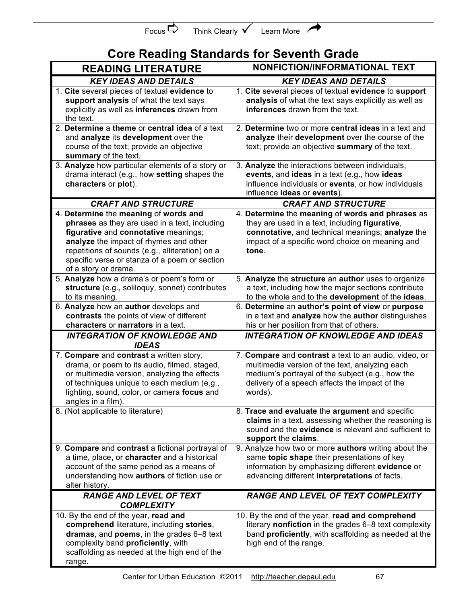### **Core Reading Standards for Seventh Grade**

| <b>READING LITERATURE</b>                                                                                                                                                                                                                                                                            | NONFICTION/INFORMATIONAL TEXT                                                                                                                                                                                            |
|------------------------------------------------------------------------------------------------------------------------------------------------------------------------------------------------------------------------------------------------------------------------------------------------------|--------------------------------------------------------------------------------------------------------------------------------------------------------------------------------------------------------------------------|
| <b>KEY IDEAS AND DETAILS</b>                                                                                                                                                                                                                                                                         | <b>KEY IDEAS AND DETAILS</b>                                                                                                                                                                                             |
| 1. Cite several pieces of textual evidence to<br>support analysis of what the text says<br>explicitly as well as inferences drawn from                                                                                                                                                               | 1. Cite several pieces of textual evidence to support<br>analysis of what the text says explicitly as well as<br>inferences drawn from the text.                                                                         |
| the text.                                                                                                                                                                                                                                                                                            |                                                                                                                                                                                                                          |
| 2. Determine a theme or central idea of a text<br>and analyze its development over the<br>course of the text; provide an objective<br>summary of the text.                                                                                                                                           | 2. Determine two or more central ideas in a text and<br>analyze their development over the course of the<br>text; provide an objective summary of the text.                                                              |
| 3. Analyze how particular elements of a story or<br>drama interact (e.g., how setting shapes the<br>characters or plot).                                                                                                                                                                             | 3. Analyze the interactions between individuals,<br>events, and ideas in a text (e.g., how ideas<br>influence individuals or events, or how individuals<br>influence ideas or events).                                   |
| <b>CRAFT AND STRUCTURE</b>                                                                                                                                                                                                                                                                           | <b>CRAFT AND STRUCTURE</b>                                                                                                                                                                                               |
| 4. Determine the meaning of words and<br>phrases as they are used in a text, including<br>figurative and connotative meanings;<br>analyze the impact of rhymes and other<br>repetitions of sounds (e.g., alliteration) on a<br>specific verse or stanza of a poem or section<br>of a story or drama. | 4. Determine the meaning of words and phrases as<br>they are used in a text, including figurative,<br>connotative, and technical meanings; analyze the<br>impact of a specific word choice on meaning and<br>tone.       |
| 5. Analyze how a drama's or poem's form or<br>structure (e.g., soliloquy, sonnet) contributes<br>to its meaning.                                                                                                                                                                                     | 5. Analyze the structure an author uses to organize<br>a text, including how the major sections contribute<br>to the whole and to the development of the ideas.                                                          |
| 6. Analyze how an author develops and<br>contrasts the points of view of different<br>characters or narrators in a text.                                                                                                                                                                             | 6. Determine an author's point of view or purpose<br>in a text and <b>analyze</b> how the <b>author</b> distinguishes<br>his or her position from that of others.                                                        |
| <b>INTEGRATION OF KNOWLEDGE AND</b><br><b>IDEAS</b>                                                                                                                                                                                                                                                  | <b>INTEGRATION OF KNOWLEDGE AND IDEAS</b>                                                                                                                                                                                |
| 7. Compare and contrast a written story,<br>drama, or poem to its audio, filmed, staged,<br>or multimedia version, analyzing the effects<br>of techniques unique to each medium (e.g.,<br>lighting, sound, color, or camera focus and<br>angles in a film).                                          | 7. Compare and contrast a text to an audio, video, or<br>multimedia version of the text, analyzing each<br>medium's portrayal of the subject (e.g., how the<br>delivery of a speech affects the impact of the<br>words). |
| 8. (Not applicable to literature)                                                                                                                                                                                                                                                                    | 8. Trace and evaluate the argument and specific<br>claims in a text, assessing whether the reasoning is<br>sound and the evidence is relevant and sufficient to<br>support the claims.                                   |
| 9. Compare and contrast a fictional portrayal of<br>a time, place, or character and a historical<br>account of the same period as a means of<br>understanding how authors of fiction use or<br>alter history.                                                                                        | 9. Analyze how two or more authors writing about the<br>same topic shape their presentations of key<br>information by emphasizing different evidence or<br>advancing different interpretations of facts.                 |
| <b>RANGE AND LEVEL OF TEXT</b><br><b>COMPLEXITY</b>                                                                                                                                                                                                                                                  | <b>RANGE AND LEVEL OF TEXT COMPLEXITY</b>                                                                                                                                                                                |
| 10. By the end of the year, read and<br>comprehend literature, including stories,<br>dramas, and poems, in the grades 6-8 text<br>complexity band proficiently, with<br>scaffolding as needed at the high end of the<br>range.                                                                       | 10. By the end of the year, read and comprehend<br>literary nonfiction in the grades 6-8 text complexity<br>band proficiently, with scaffolding as needed at the<br>high end of the range.                               |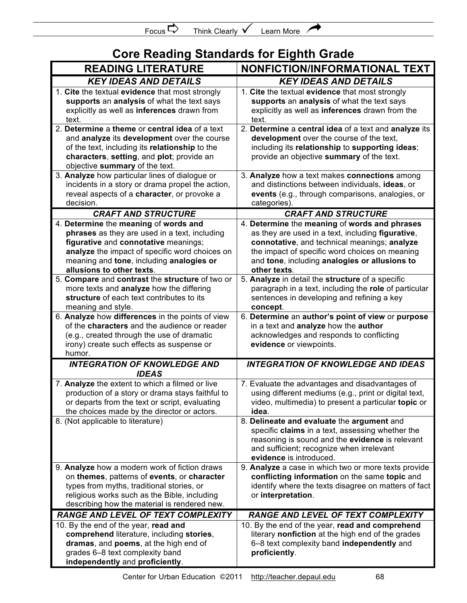### Focus  $\overrightarrow{L}$  Think Clearly  $\overline{L}$  Learn More

## **Core Reading Standards for Eighth Grade**

| <b>READING LITERATURE</b>                                                                           | NONFICTION/INFORMATIONAL TEXT                                                                                |
|-----------------------------------------------------------------------------------------------------|--------------------------------------------------------------------------------------------------------------|
| <b>KEY IDEAS AND DETAILS</b>                                                                        | <b>KEY IDEAS AND DETAILS</b>                                                                                 |
| 1. Cite the textual evidence that most strongly                                                     | 1. Cite the textual evidence that most strongly                                                              |
| supports an analysis of what the text says                                                          | supports an analysis of what the text says                                                                   |
| explicitly as well as inferences drawn from                                                         | explicitly as well as inferences drawn from the                                                              |
| text.                                                                                               | text.                                                                                                        |
| 2. Determine a theme or central idea of a text                                                      | 2. Determine a central idea of a text and analyze its                                                        |
| and analyze its development over the course                                                         | development over the course of the text,                                                                     |
| of the text, including its relationship to the<br>characters, setting, and plot; provide an         | including its relationship to supporting ideas;<br>provide an objective summary of the text.                 |
| objective summary of the text.                                                                      |                                                                                                              |
| 3. Analyze how particular lines of dialogue or                                                      | 3. Analyze how a text makes connections among                                                                |
| incidents in a story or drama propel the action,                                                    | and distinctions between individuals, ideas, or                                                              |
| reveal aspects of a character, or provoke a                                                         | events (e.g., through comparisons, analogies, or                                                             |
| decision.                                                                                           | categories).                                                                                                 |
| <b>CRAFT AND STRUCTURE</b>                                                                          | <b>CRAFT AND STRUCTURE</b>                                                                                   |
| 4. Determine the meaning of words and                                                               | 4. Determine the meaning of words and phrases                                                                |
| phrases as they are used in a text, including                                                       | as they are used in a text, including figurative,                                                            |
| figurative and connotative meanings;                                                                | connotative, and technical meanings; analyze                                                                 |
| analyze the impact of specific word choices on                                                      | the impact of specific word choices on meaning                                                               |
| meaning and tone, including analogies or                                                            | and tone, including analogies or allusions to                                                                |
| allusions to other texts.                                                                           | other texts.                                                                                                 |
| 5. Compare and contrast the structure of two or                                                     | 5. Analyze in detail the structure of a specific                                                             |
| more texts and analyze how the differing<br>structure of each text contributes to its               | paragraph in a text, including the role of particular                                                        |
| meaning and style.                                                                                  | sentences in developing and refining a key<br>concept.                                                       |
| 6. Analyze how differences in the points of view                                                    | 6. Determine an author's point of view or purpose                                                            |
| of the characters and the audience or reader                                                        | in a text and analyze how the author                                                                         |
| (e.g., created through the use of dramatic                                                          | acknowledges and responds to conflicting                                                                     |
| irony) create such effects as suspense or                                                           | evidence or viewpoints.                                                                                      |
| humor.                                                                                              |                                                                                                              |
| <b>INTEGRATION OF KNOWLEDGE AND</b>                                                                 | <b>INTEGRATION OF KNOWLEDGE AND IDEAS</b>                                                                    |
| <b>IDEAS</b>                                                                                        |                                                                                                              |
| 7. Analyze the extent to which a filmed or live<br>production of a story or drama stays faithful to | 7. Evaluate the advantages and disadvantages of                                                              |
| or departs from the text or script, evaluating                                                      | using different mediums (e.g., print or digital text,<br>video, multimedia) to present a particular topic or |
| the choices made by the director or actors.                                                         | idea.                                                                                                        |
| 8. (Not applicable to literature)                                                                   | 8. Delineate and evaluate the argument and                                                                   |
|                                                                                                     | specific claims in a text, assessing whether the                                                             |
|                                                                                                     | reasoning is sound and the evidence is relevant                                                              |
|                                                                                                     | and sufficient; recognize when irrelevant                                                                    |
|                                                                                                     | evidence is introduced.                                                                                      |
| 9. Analyze how a modern work of fiction draws                                                       | 9. Analyze a case in which two or more texts provide                                                         |
| on themes, patterns of events, or character                                                         | conflicting information on the same topic and                                                                |
| types from myths, traditional stories, or                                                           | identify where the texts disagree on matters of fact                                                         |
| religious works such as the Bible, including                                                        | or interpretation.                                                                                           |
| describing how the material is rendered new.                                                        |                                                                                                              |
| RANGE AND LEVEL OF TEXT COMPLEXITY                                                                  | RANGE AND LEVEL OF TEXT COMPLEXITY                                                                           |
| 10. By the end of the year, read and<br>comprehend literature, including stories,                   | 10. By the end of the year, read and comprehend<br>literary nonfiction at the high end of the grades         |
| dramas, and poems, at the high end of                                                               | 6-8 text complexity band independently and                                                                   |
| grades 6-8 text complexity band                                                                     | proficiently.                                                                                                |
| independently and proficiently.                                                                     |                                                                                                              |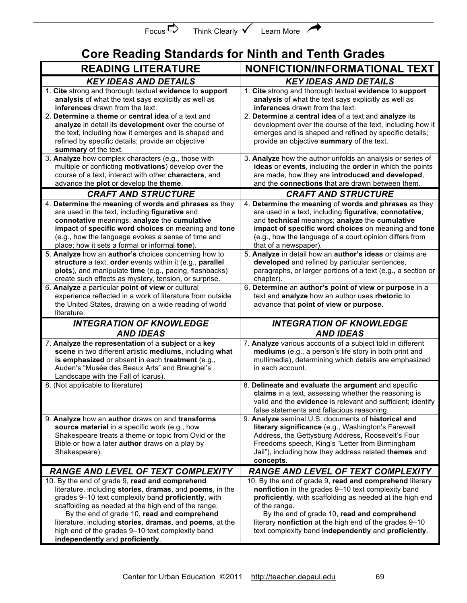#### **Core Reading Standards for Ninth and Tenth Grades**

| <b>READING LITERATURE</b>                                                                                                                                                                                                                                                                                                                                                                                                  | <b>NONFICTION/INFORMATIONAL TEXT</b>                                                                                                                                                                                                                                                                                                                        |
|----------------------------------------------------------------------------------------------------------------------------------------------------------------------------------------------------------------------------------------------------------------------------------------------------------------------------------------------------------------------------------------------------------------------------|-------------------------------------------------------------------------------------------------------------------------------------------------------------------------------------------------------------------------------------------------------------------------------------------------------------------------------------------------------------|
| <b>KEY IDEAS AND DETAILS</b>                                                                                                                                                                                                                                                                                                                                                                                               | <b>KEY IDEAS AND DETAILS</b>                                                                                                                                                                                                                                                                                                                                |
| 1. Cite strong and thorough textual evidence to support<br>analysis of what the text says explicitly as well as<br>inferences drawn from the text.                                                                                                                                                                                                                                                                         | 1. Cite strong and thorough textual evidence to support<br>analysis of what the text says explicitly as well as<br>inferences drawn from the text.                                                                                                                                                                                                          |
| 2. Determine a theme or central idea of a text and<br>analyze in detail its development over the course of<br>the text, including how it emerges and is shaped and<br>refined by specific details; provide an objective<br>summary of the text.                                                                                                                                                                            | 2. Determine a central idea of a text and analyze its<br>development over the course of the text, including how it<br>emerges and is shaped and refined by specific details;<br>provide an objective summary of the text.                                                                                                                                   |
| 3. Analyze how complex characters (e.g., those with<br>multiple or conflicting motivations) develop over the<br>course of a text, interact with other characters, and<br>advance the plot or develop the theme.                                                                                                                                                                                                            | 3. Analyze how the author unfolds an analysis or series of<br>ideas or events, including the order in which the points<br>are made, how they are introduced and developed,<br>and the connections that are drawn between them.                                                                                                                              |
| <b>CRAFT AND STRUCTURE</b>                                                                                                                                                                                                                                                                                                                                                                                                 | <b>CRAFT AND STRUCTURE</b>                                                                                                                                                                                                                                                                                                                                  |
| 4. Determine the meaning of words and phrases as they<br>are used in the text, including figurative and<br>connotative meanings; analyze the cumulative<br>impact of specific word choices on meaning and tone<br>(e.g., how the language evokes a sense of time and<br>place; how it sets a formal or informal tone).                                                                                                     | 4. Determine the meaning of words and phrases as they<br>are used in a text, including figurative, connotative,<br>and technical meanings; analyze the cumulative<br>impact of specific word choices on meaning and tone<br>(e.g., how the language of a court opinion differs from<br>that of a newspaper).                                                |
| 5. Analyze how an author's choices concerning how to<br>structure a text, order events within it (e.g., parallel<br>plots), and manipulate time (e.g., pacing, flashbacks)<br>create such effects as mystery, tension, or surprise.                                                                                                                                                                                        | 5. Analyze in detail how an author's ideas or claims are<br>developed and refined by particular sentences,<br>paragraphs, or larger portions of a text (e.g., a section or<br>chapter).                                                                                                                                                                     |
| 6. Analyze a particular point of view or cultural<br>experience reflected in a work of literature from outside<br>the United States, drawing on a wide reading of world<br>literature.                                                                                                                                                                                                                                     | 6. Determine an author's point of view or purpose in a<br>text and analyze how an author uses rhetoric to<br>advance that point of view or purpose.                                                                                                                                                                                                         |
| <b>INTEGRATION OF KNOWLEDGE</b><br><b>AND IDEAS</b>                                                                                                                                                                                                                                                                                                                                                                        | <b>INTEGRATION OF KNOWLEDGE</b><br><b>AND IDEAS</b>                                                                                                                                                                                                                                                                                                         |
| 7. Analyze the representation of a subject or a key<br>scene in two different artistic mediums, including what<br>is emphasized or absent in each treatment (e.g.,<br>Auden's "Musée des Beaux Arts" and Breughel's<br>Landscape with the Fall of Icarus).                                                                                                                                                                 | 7. Analyze various accounts of a subject told in different<br>mediums (e.g., a person's life story in both print and<br>multimedia), determining which details are emphasized<br>in each account.                                                                                                                                                           |
| 8. (Not applicable to literature)                                                                                                                                                                                                                                                                                                                                                                                          | 8. Delineate and evaluate the argument and specific<br>claims in a text, assessing whether the reasoning is<br>valid and the evidence is relevant and sufficient; identify<br>false statements and fallacious reasoning.                                                                                                                                    |
| 9. Analyze how an author draws on and transforms<br>source material in a specific work (e.g., how<br>Shakespeare treats a theme or topic from Ovid or the<br>Bible or how a later author draws on a play by<br>Shakespeare).                                                                                                                                                                                               | 9. Analyze seminal U.S. documents of historical and<br>literary significance (e.g., Washington's Farewell<br>Address, the Gettysburg Address, Roosevelt's Four<br>Freedoms speech, King's "Letter from Birmingham<br>Jail"), including how they address related themes and<br>concepts.                                                                     |
| RANGE AND LEVEL OF TEXT COMPLEXITY                                                                                                                                                                                                                                                                                                                                                                                         | <b>RANGE AND LEVEL OF TEXT COMPLEXITY</b>                                                                                                                                                                                                                                                                                                                   |
| 10. By the end of grade 9, read and comprehend<br>literature, including stories, dramas, and poems, in the<br>grades 9-10 text complexity band proficiently, with<br>scaffolding as needed at the high end of the range.<br>By the end of grade 10, read and comprehend<br>literature, including stories, dramas, and poems, at the<br>high end of the grades 9-10 text complexity band<br>independently and proficiently. | 10. By the end of grade 9, read and comprehend literary<br>nonfiction in the grades 9-10 text complexity band<br>proficiently, with scaffolding as needed at the high end<br>of the range.<br>By the end of grade 10, read and comprehend<br>literary nonfiction at the high end of the grades 9-10<br>text complexity band independently and proficiently. |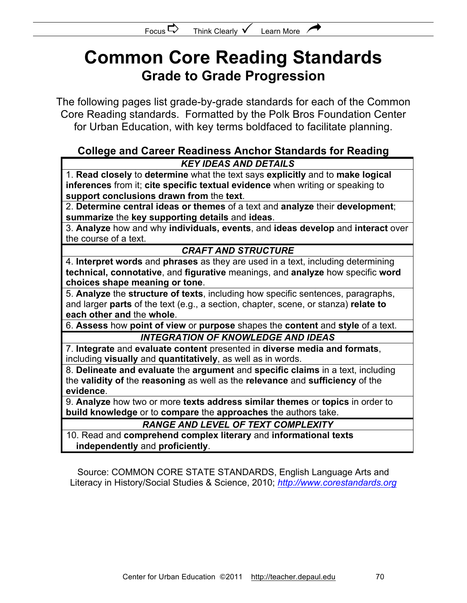## **Common Core Reading Standards Grade to Grade Progression**

The following pages list grade-by-grade standards for each of the Common Core Reading standards. Formatted by the Polk Bros Foundation Center for Urban Education, with key terms boldfaced to facilitate planning.

#### **College and Career Readiness Anchor Standards for Reading** *KEY IDEAS AND DETAILS*

1. **Read closely** to **determine** what the text says **explicitly** and to **make logical inferences** from it; **cite specific textual evidence** when writing or speaking to **support conclusions drawn from** the **text**.

2. **Determine central ideas or themes** of a text and **analyze** their **development**; **summarize** the **key supporting details** and **ideas**.

3. **Analyze** how and why **individuals, events**, and **ideas develop** and **interact** over the course of a text.

#### *CRAFT AND STRUCTURE*

4. **Interpret words** and **phrases** as they are used in a text, including determining **technical, connotative**, and **figurative** meanings, and **analyze** how specific **word choices shape meaning or tone**.

5. **Analyze** the **structure of texts**, including how specific sentences, paragraphs, and larger **parts** of the text (e.g., a section, chapter, scene, or stanza) **relate to each other and** the **whole**.

6. **Assess** how **point of view** or **purpose** shapes the **content** and **style** of a text.

*INTEGRATION OF KNOWLEDGE AND IDEAS*

7. **Integrate** and **evaluate content** presented in **diverse media and formats**, including **visually** and **quantitatively**, as well as in words.

8. **Delineate and evaluate** the **argument** and **specific claims** in a text, including the **validity of** the **reasoning** as well as the **relevance** and **sufficiency** of the **evidence**.

9. **Analyze** how two or more **texts address similar themes** or **topics** in order to **build knowledge** or to **compare** the **approaches** the authors take.

*RANGE AND LEVEL OF TEXT COMPLEXITY*

10. Read and **comprehend complex literary** and **informational texts independently** and **proficiently**.

Source: COMMON CORE STATE STANDARDS, English Language Arts and Literacy in History/Social Studies & Science, 2010; *http://www.corestandards.org*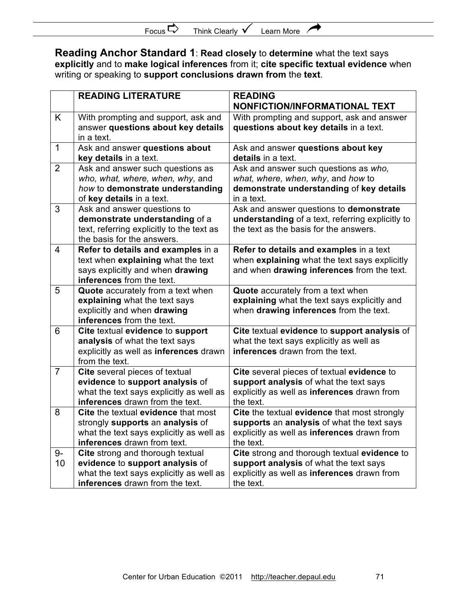## $Focus \rightarrow$  Think Clearly  $\sqrt{2}$  Learn More

**Reading Anchor Standard 1**: **Read closely** to **determine** what the text says **explicitly** and to **make logical inferences** from it; **cite specific textual evidence** when writing or speaking to **support conclusions drawn from** the **text**.

|                | <b>READING LITERATURE</b>                                                                                                                          | <b>READING</b><br>NONFICTION/INFORMATIONAL TEXT                                                                                                        |
|----------------|----------------------------------------------------------------------------------------------------------------------------------------------------|--------------------------------------------------------------------------------------------------------------------------------------------------------|
| K              | With prompting and support, ask and<br>answer questions about key details<br>in a text.                                                            | With prompting and support, ask and answer<br>questions about key details in a text.                                                                   |
| $\overline{1}$ | Ask and answer questions about<br>key details in a text.                                                                                           | Ask and answer questions about key<br>details in a text.                                                                                               |
| $\overline{2}$ | Ask and answer such questions as<br>who, what, where, when, why, and<br>how to demonstrate understanding<br>of key details in a text.              | Ask and answer such questions as who,<br>what, where, when, why, and how to<br>demonstrate understanding of key details<br>in a text.                  |
| 3              | Ask and answer questions to<br>demonstrate understanding of a<br>text, referring explicitly to the text as<br>the basis for the answers.           | Ask and answer questions to demonstrate<br>understanding of a text, referring explicitly to<br>the text as the basis for the answers.                  |
| $\overline{4}$ | Refer to details and examples in a<br>text when explaining what the text<br>says explicitly and when drawing<br>inferences from the text.          | Refer to details and examples in a text<br>when explaining what the text says explicitly<br>and when drawing inferences from the text.                 |
| 5              | Quote accurately from a text when<br>explaining what the text says<br>explicitly and when drawing<br>inferences from the text.                     | Quote accurately from a text when<br>explaining what the text says explicitly and<br>when drawing inferences from the text.                            |
| 6              | Cite textual evidence to support<br>analysis of what the text says<br>explicitly as well as inferences drawn<br>from the text.                     | Cite textual evidence to support analysis of<br>what the text says explicitly as well as<br>inferences drawn from the text.                            |
| $\overline{7}$ | Cite several pieces of textual<br>evidence to support analysis of<br>what the text says explicitly as well as<br>inferences drawn from the text.   | Cite several pieces of textual evidence to<br>support analysis of what the text says<br>explicitly as well as inferences drawn from<br>the text.       |
| 8              | Cite the textual evidence that most<br>strongly supports an analysis of<br>what the text says explicitly as well as<br>inferences drawn from text. | Cite the textual evidence that most strongly<br>supports an analysis of what the text says<br>explicitly as well as inferences drawn from<br>the text. |
| 9-<br>10       | Cite strong and thorough textual<br>evidence to support analysis of<br>what the text says explicitly as well as<br>inferences drawn from the text. | Cite strong and thorough textual evidence to<br>support analysis of what the text says<br>explicitly as well as inferences drawn from<br>the text.     |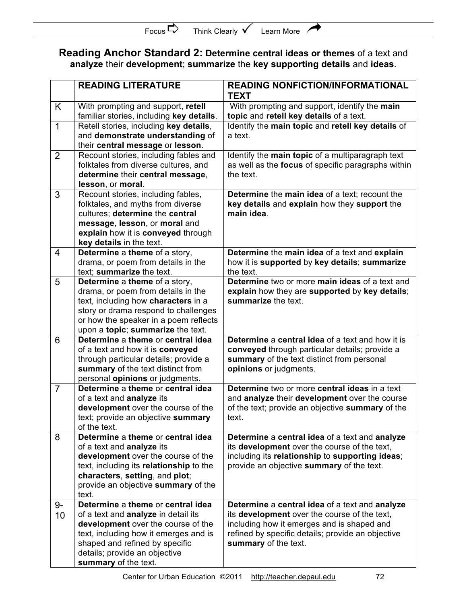## Focus  $\Rightarrow$  Think Clearly V Learn More

**Reading Anchor Standard 2: Determine central ideas or themes** of a text and **analyze** their **development**; **summarize** the **key supporting details** and **ideas**.

|                | <b>READING LITERATURE</b>                                                                                                                                                                                                                                 | <b>READING NONFICTION/INFORMATIONAL</b><br><b>TEXT</b>                                                                                                                                                                    |
|----------------|-----------------------------------------------------------------------------------------------------------------------------------------------------------------------------------------------------------------------------------------------------------|---------------------------------------------------------------------------------------------------------------------------------------------------------------------------------------------------------------------------|
| K              | With prompting and support, retell<br>familiar stories, including key details.                                                                                                                                                                            | With prompting and support, identify the main<br>topic and retell key details of a text.                                                                                                                                  |
| $\mathbf{1}$   | Retell stories, including key details,<br>and demonstrate understanding of<br>their central message or lesson.                                                                                                                                            | Identify the main topic and retell key details of<br>a text.                                                                                                                                                              |
| $\overline{2}$ | Recount stories, including fables and<br>folktales from diverse cultures, and<br>determine their central message,<br>lesson, or moral.                                                                                                                    | Identify the main topic of a multiparagraph text<br>as well as the focus of specific paragraphs within<br>the text.                                                                                                       |
| 3              | Recount stories, including fables,<br>folktales, and myths from diverse<br>cultures; determine the central<br>message, lesson, or moral and<br>explain how it is conveyed through<br>key details in the text.                                             | Determine the main idea of a text; recount the<br>key details and explain how they support the<br>main idea.                                                                                                              |
| $\overline{4}$ | Determine a theme of a story,<br>drama, or poem from details in the<br>text; summarize the text.                                                                                                                                                          | Determine the main idea of a text and explain<br>how it is supported by key details; summarize<br>the text.                                                                                                               |
| 5              | Determine a theme of a story,<br>drama, or poem from details in the<br>text, including how characters in a<br>story or drama respond to challenges<br>or how the speaker in a poem reflects<br>upon a topic; summarize the text.                          | Determine two or more main ideas of a text and<br>explain how they are supported by key details;<br>summarize the text.                                                                                                   |
| 6              | Determine a theme or central idea<br>of a text and how it is conveyed<br>through particular details; provide a<br>summary of the text distinct from<br>personal opinions or judgments.                                                                    | Determine a central idea of a text and how it is<br>conveyed through particular details; provide a<br>summary of the text distinct from personal<br>opinions or judgments.                                                |
| $\overline{7}$ | Determine a theme or central idea<br>of a text and analyze its<br>development over the course of the<br>text; provide an objective summary<br>of the text.                                                                                                | Determine two or more central ideas in a text<br>and analyze their development over the course<br>of the text; provide an objective summary of the<br>text.                                                               |
| 8              | Determine a theme or central idea<br>of a text and analyze its<br>development over the course of the<br>text, including its relationship to the<br>characters, setting, and plot;<br>provide an objective summary of the<br>text.                         | Determine a central idea of a text and analyze<br>its development over the course of the text,<br>including its relationship to supporting ideas;<br>provide an objective summary of the text.                            |
| 9-<br>10       | Determine a theme or central idea<br>of a text and <b>analyze</b> in detail its<br>development over the course of the<br>text, including how it emerges and is<br>shaped and refined by specific<br>details; provide an objective<br>summary of the text. | Determine a central idea of a text and analyze<br>its development over the course of the text,<br>including how it emerges and is shaped and<br>refined by specific details; provide an objective<br>summary of the text. |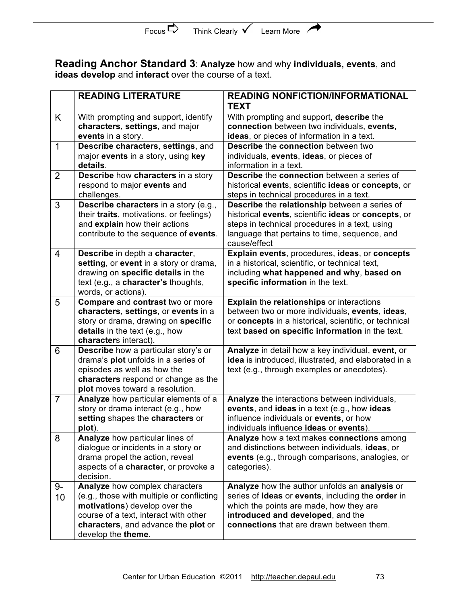# $\frac{F \text{ocus}}{F}$  Think Clearly  $\sqrt{F}$  Learn More

**Reading Anchor Standard 3**: **Analyze** how and why **individuals, events**, and **ideas develop** and **interact** over the course of a text.

|                | <b>READING LITERATURE</b>                                                                                                                                                                                          | <b>READING NONFICTION/INFORMATIONAL</b><br><b>TEXT</b>                                                                                                                                                                         |
|----------------|--------------------------------------------------------------------------------------------------------------------------------------------------------------------------------------------------------------------|--------------------------------------------------------------------------------------------------------------------------------------------------------------------------------------------------------------------------------|
| K              | With prompting and support, identify<br>characters, settings, and major<br>events in a story.                                                                                                                      | With prompting and support, describe the<br>connection between two individuals, events,<br>ideas, or pieces of information in a text.                                                                                          |
| $\mathbf 1$    | Describe characters, settings, and<br>major events in a story, using key<br>details.                                                                                                                               | Describe the connection between two<br>individuals, events, ideas, or pieces of<br>information in a text.                                                                                                                      |
| $\overline{2}$ | Describe how characters in a story<br>respond to major events and<br>challenges.                                                                                                                                   | Describe the connection between a series of<br>historical events, scientific ideas or concepts, or<br>steps in technical procedures in a text.                                                                                 |
| 3              | Describe characters in a story (e.g.,<br>their traits, motivations, or feelings)<br>and explain how their actions<br>contribute to the sequence of events.                                                         | Describe the relationship between a series of<br>historical events, scientific ideas or concepts, or<br>steps in technical procedures in a text, using<br>language that pertains to time, sequence, and<br>cause/effect        |
| $\overline{4}$ | Describe in depth a character,<br>setting, or event in a story or drama,<br>drawing on specific details in the<br>text (e.g., a character's thoughts,<br>words, or actions).                                       | Explain events, procedures, ideas, or concepts<br>in a historical, scientific, or technical text,<br>including what happened and why, based on<br>specific information in the text.                                            |
| 5              | Compare and contrast two or more<br>characters, settings, or events in a<br>story or drama, drawing on specific<br>details in the text (e.g., how<br>characters interact).                                         | <b>Explain the relationships or interactions</b><br>between two or more individuals, events, ideas,<br>or concepts in a historical, scientific, or technical<br>text based on specific information in the text.                |
| 6              | <b>Describe</b> how a particular story's or<br>drama's plot unfolds in a series of<br>episodes as well as how the<br>characters respond or change as the<br>plot moves toward a resolution.                        | Analyze in detail how a key individual, event, or<br>idea is introduced, illustrated, and elaborated in a<br>text (e.g., through examples or anecdotes).                                                                       |
| $\overline{7}$ | Analyze how particular elements of a<br>story or drama interact (e.g., how<br>setting shapes the characters or<br>plot).                                                                                           | Analyze the interactions between individuals,<br>events, and ideas in a text (e.g., how ideas<br>influence individuals or events, or how<br>individuals influence ideas or events).                                            |
| 8              | Analyze how particular lines of<br>dialogue or incidents in a story or<br>drama propel the action, reveal<br>aspects of a character, or provoke a<br>decision.                                                     | Analyze how a text makes connections among<br>and distinctions between individuals, ideas, or<br>events (e.g., through comparisons, analogies, or<br>categories).                                                              |
| 9-<br>10       | Analyze how complex characters<br>(e.g., those with multiple or conflicting<br>motivations) develop over the<br>course of a text, interact with other<br>characters, and advance the plot or<br>develop the theme. | Analyze how the author unfolds an analysis or<br>series of ideas or events, including the order in<br>which the points are made, how they are<br>introduced and developed, and the<br>connections that are drawn between them. |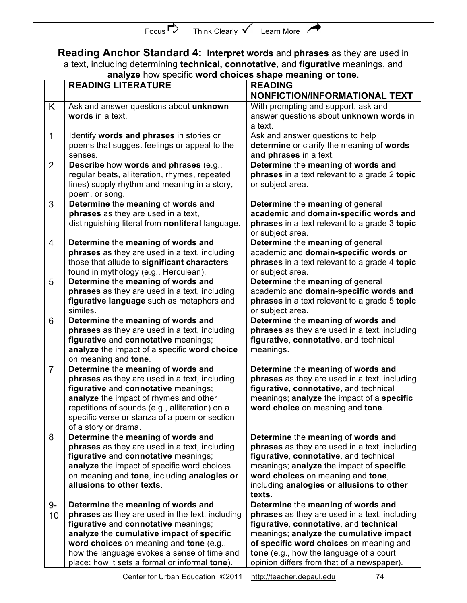| -ocus<br>- 7 | v<br>hink<br>Jlearl∨ | More<br>earn |  |
|--------------|----------------------|--------------|--|
|              |                      |              |  |

**Reading Anchor Standard 4: Interpret words** and **phrases** as they are used in a text, including determining **technical, connotative**, and **figurative** meanings, and **analyze** how specific **word choices shape meaning or tone**.

|                | anaryze now opeeme word enology shape meaning or tone.                                                                                                                                                                                                                                                                 |                                                                                                                                                                                                                                                                                                              |
|----------------|------------------------------------------------------------------------------------------------------------------------------------------------------------------------------------------------------------------------------------------------------------------------------------------------------------------------|--------------------------------------------------------------------------------------------------------------------------------------------------------------------------------------------------------------------------------------------------------------------------------------------------------------|
|                | <b>READING LITERATURE</b>                                                                                                                                                                                                                                                                                              | <b>READING</b><br>NONFICTION/INFORMATIONAL TEXT                                                                                                                                                                                                                                                              |
| K              | Ask and answer questions about unknown<br>words in a text.                                                                                                                                                                                                                                                             | With prompting and support, ask and<br>answer questions about unknown words in<br>a text.                                                                                                                                                                                                                    |
| $\mathbf{1}$   | Identify words and phrases in stories or<br>poems that suggest feelings or appeal to the<br>senses.                                                                                                                                                                                                                    | Ask and answer questions to help<br>determine or clarify the meaning of words<br>and phrases in a text.                                                                                                                                                                                                      |
| $\overline{2}$ | Describe how words and phrases (e.g.,<br>regular beats, alliteration, rhymes, repeated<br>lines) supply rhythm and meaning in a story,<br>poem, or song.                                                                                                                                                               | Determine the meaning of words and<br>phrases in a text relevant to a grade 2 topic<br>or subject area.                                                                                                                                                                                                      |
| 3              | Determine the meaning of words and<br>phrases as they are used in a text,<br>distinguishing literal from nonliteral language.                                                                                                                                                                                          | Determine the meaning of general<br>academic and domain-specific words and<br>phrases in a text relevant to a grade 3 topic<br>or subject area.                                                                                                                                                              |
| 4              | Determine the meaning of words and<br>phrases as they are used in a text, including<br>those that allude to significant characters<br>found in mythology (e.g., Herculean).                                                                                                                                            | Determine the meaning of general<br>academic and domain-specific words or<br>phrases in a text relevant to a grade 4 topic<br>or subject area.                                                                                                                                                               |
| 5              | Determine the meaning of words and<br>phrases as they are used in a text, including<br>figurative language such as metaphors and<br>similes.                                                                                                                                                                           | Determine the meaning of general<br>academic and domain-specific words and<br>phrases in a text relevant to a grade 5 topic<br>or subject area.                                                                                                                                                              |
| 6              | Determine the meaning of words and<br>phrases as they are used in a text, including<br>figurative and connotative meanings;<br>analyze the impact of a specific word choice<br>on meaning and tone.                                                                                                                    | Determine the meaning of words and<br>phrases as they are used in a text, including<br>figurative, connotative, and technical<br>meanings.                                                                                                                                                                   |
| $\overline{7}$ | Determine the meaning of words and<br>phrases as they are used in a text, including<br>figurative and connotative meanings;<br>analyze the impact of rhymes and other<br>repetitions of sounds (e.g., alliteration) on a<br>specific verse or stanza of a poem or section<br>of a story or drama.                      | Determine the meaning of words and<br>phrases as they are used in a text, including<br>figurative, connotative, and technical<br>meanings; analyze the impact of a specific<br>word choice on meaning and tone.                                                                                              |
| 8              | Determine the meaning of words and<br>phrases as they are used in a text, including<br>figurative and connotative meanings;<br>analyze the impact of specific word choices<br>on meaning and tone, including analogies or<br>allusions to other texts.                                                                 | Determine the meaning of words and<br>phrases as they are used in a text, including<br>figurative, connotative, and technical<br>meanings; analyze the impact of specific<br>word choices on meaning and tone,<br>including analogies or allusions to other<br>texts.                                        |
| 9-<br>10       | Determine the meaning of words and<br>phrases as they are used in the text, including<br>figurative and connotative meanings;<br>analyze the cumulative impact of specific<br>word choices on meaning and tone (e.g.,<br>how the language evokes a sense of time and<br>place; how it sets a formal or informal tone). | Determine the meaning of words and<br>phrases as they are used in a text, including<br>figurative, connotative, and technical<br>meanings; analyze the cumulative impact<br>of specific word choices on meaning and<br>tone (e.g., how the language of a court<br>opinion differs from that of a newspaper). |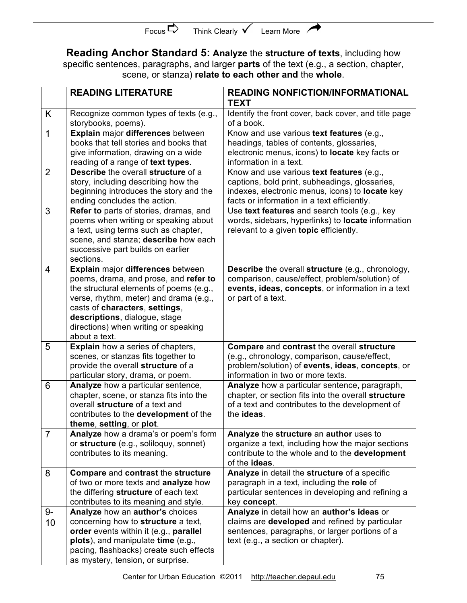|           | --<br>$\sim$<br>   | <b>A</b>         |  |
|-----------|--------------------|------------------|--|
| ocus<br>. | hink<br>: learlyان | More<br>.<br>. . |  |

**Reading Anchor Standard 5: Analyze** the **structure of texts**, including how specific sentences, paragraphs, and larger **parts** of the text (e.g., a section, chapter, scene, or stanza) **relate to each other and** the **whole**.

|                | <b>READING LITERATURE</b>                                                                                                                                                                                                                                                                   | <b>READING NONFICTION/INFORMATIONAL</b><br><b>TEXT</b>                                                                                                                                               |
|----------------|---------------------------------------------------------------------------------------------------------------------------------------------------------------------------------------------------------------------------------------------------------------------------------------------|------------------------------------------------------------------------------------------------------------------------------------------------------------------------------------------------------|
| K              | Recognize common types of texts (e.g.,<br>storybooks, poems).                                                                                                                                                                                                                               | Identify the front cover, back cover, and title page<br>of a book.                                                                                                                                   |
| 1              | Explain major differences between<br>books that tell stories and books that<br>give information, drawing on a wide<br>reading of a range of text types.                                                                                                                                     | Know and use various text features (e.g.,<br>headings, tables of contents, glossaries,<br>electronic menus, icons) to locate key facts or<br>information in a text.                                  |
| $\overline{2}$ | Describe the overall structure of a<br>story, including describing how the<br>beginning introduces the story and the<br>ending concludes the action.                                                                                                                                        | Know and use various text features (e.g.,<br>captions, bold print, subheadings, glossaries,<br>indexes, electronic menus, icons) to <b>locate</b> key<br>facts or information in a text efficiently. |
| 3              | Refer to parts of stories, dramas, and<br>poems when writing or speaking about<br>a text, using terms such as chapter,<br>scene, and stanza; describe how each<br>successive part builds on earlier<br>sections.                                                                            | Use text features and search tools (e.g., key<br>words, sidebars, hyperlinks) to locate information<br>relevant to a given topic efficiently.                                                        |
| $\overline{4}$ | Explain major differences between<br>poems, drama, and prose, and refer to<br>the structural elements of poems (e.g.,<br>verse, rhythm, meter) and drama (e.g.,<br>casts of characters, settings,<br>descriptions, dialogue, stage<br>directions) when writing or speaking<br>about a text. | Describe the overall structure (e.g., chronology,<br>comparison, cause/effect, problem/solution) of<br>events, ideas, concepts, or information in a text<br>or part of a text.                       |
| 5              | <b>Explain</b> how a series of chapters,<br>scenes, or stanzas fits together to<br>provide the overall structure of a<br>particular story, drama, or poem.                                                                                                                                  | Compare and contrast the overall structure<br>(e.g., chronology, comparison, cause/effect,<br>problem/solution) of events, ideas, concepts, or<br>information in two or more texts.                  |
| 6              | Analyze how a particular sentence,<br>chapter, scene, or stanza fits into the<br>overall structure of a text and<br>contributes to the development of the<br>theme, setting, or plot.                                                                                                       | Analyze how a particular sentence, paragraph,<br>chapter, or section fits into the overall structure<br>of a text and contributes to the development of<br>the ideas.                                |
| $\overline{7}$ | Analyze how a drama's or poem's form<br>or structure (e.g., soliloquy, sonnet)<br>contributes to its meaning.                                                                                                                                                                               | Analyze the structure an author uses to<br>organize a text, including how the major sections<br>contribute to the whole and to the development<br>of the ideas.                                      |
| 8              | Compare and contrast the structure<br>of two or more texts and analyze how<br>the differing structure of each text<br>contributes to its meaning and style.                                                                                                                                 | Analyze in detail the structure of a specific<br>paragraph in a text, including the role of<br>particular sentences in developing and refining a<br>key concept.                                     |
| 9-<br>10       | Analyze how an author's choices<br>concerning how to structure a text,<br>order events within it (e.g., parallel<br>plots), and manipulate time (e.g.,<br>pacing, flashbacks) create such effects<br>as mystery, tension, or surprise.                                                      | Analyze in detail how an author's ideas or<br>claims are developed and refined by particular<br>sentences, paragraphs, or larger portions of a<br>text (e.g., a section or chapter).                 |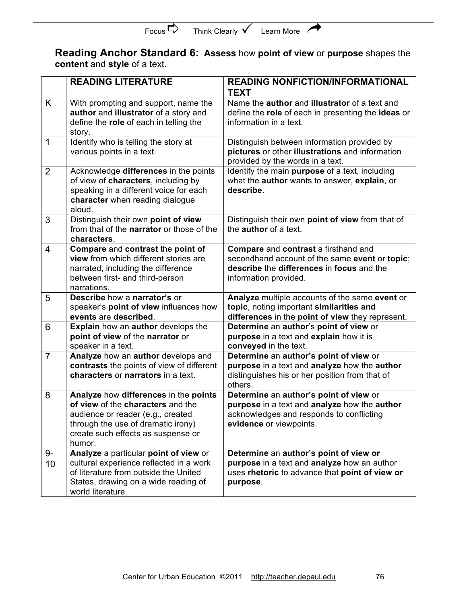# Focus  $\overrightarrow{L}$  Think Clearly  $\overrightarrow{L}$  Learn More

**Reading Anchor Standard 6: Assess** how **point of view** or **purpose** shapes the **content** and **style** of a text.

|                | <b>READING LITERATURE</b>                                                                                                                                                                             | <b>READING NONFICTION/INFORMATIONAL</b><br><b>TEXT</b>                                                                                                        |
|----------------|-------------------------------------------------------------------------------------------------------------------------------------------------------------------------------------------------------|---------------------------------------------------------------------------------------------------------------------------------------------------------------|
| K              | With prompting and support, name the<br>author and illustrator of a story and<br>define the role of each in telling the<br>story.                                                                     | Name the <b>author</b> and <b>illustrator</b> of a text and<br>define the role of each in presenting the ideas or<br>information in a text.                   |
| $\mathbf{1}$   | Identify who is telling the story at<br>various points in a text.                                                                                                                                     | Distinguish between information provided by<br>pictures or other illustrations and information<br>provided by the words in a text.                            |
| $\overline{2}$ | Acknowledge differences in the points<br>of view of characters, including by<br>speaking in a different voice for each<br>character when reading dialogue<br>aloud.                                   | Identify the main purpose of a text, including<br>what the author wants to answer, explain, or<br>describe.                                                   |
| 3              | Distinguish their own point of view<br>from that of the <b>narrator</b> or those of the<br>characters.                                                                                                | Distinguish their own point of view from that of<br>the <b>author</b> of a text.                                                                              |
| $\overline{4}$ | Compare and contrast the point of<br>view from which different stories are<br>narrated, including the difference<br>between first- and third-person<br>narrations.                                    | Compare and contrast a firsthand and<br>secondhand account of the same event or topic;<br>describe the differences in focus and the<br>information provided.  |
| 5              | Describe how a narrator's or<br>speaker's point of view influences how<br>events are described.                                                                                                       | Analyze multiple accounts of the same event or<br>topic, noting important similarities and<br>differences in the point of view they represent.                |
| 6              | Explain how an author develops the<br>point of view of the narrator or<br>speaker in a text.                                                                                                          | Determine an author's point of view or<br>purpose in a text and explain how it is<br>conveyed in the text.                                                    |
| $\overline{7}$ | Analyze how an author develops and<br>contrasts the points of view of different<br>characters or narrators in a text.                                                                                 | Determine an author's point of view or<br>purpose in a text and analyze how the author<br>distinguishes his or her position from that of<br>others.           |
| 8              | Analyze how differences in the points<br>of view of the characters and the<br>audience or reader (e.g., created<br>through the use of dramatic irony)<br>create such effects as suspense or<br>humor. | Determine an author's point of view or<br>purpose in a text and analyze how the author<br>acknowledges and responds to conflicting<br>evidence or viewpoints. |
| $9-$<br>10     | Analyze a particular point of view or<br>cultural experience reflected in a work<br>of literature from outside the United<br>States, drawing on a wide reading of<br>world literature.                | Determine an author's point of view or<br>purpose in a text and analyze how an author<br>uses rhetoric to advance that point of view or<br>purpose.           |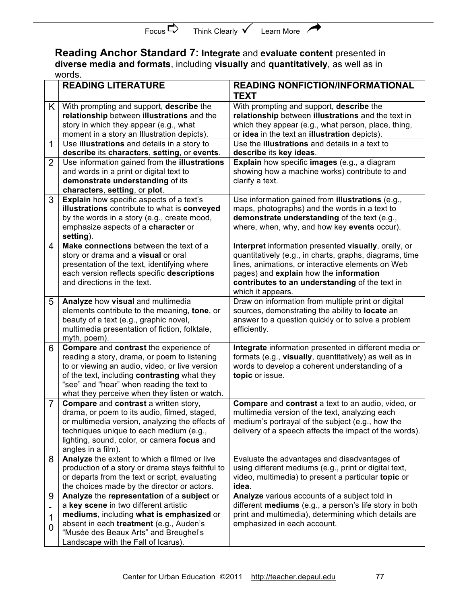# $\frac{F \text{ocus}}{F}$  Think Clearly  $\sqrt{F}$  Learn More

**Reading Anchor Standard 7: Integrate** and **evaluate content** presented in **diverse media and formats**, including **visually** and **quantitatively**, as well as in words.

|                | <b>READING LITERATURE</b>                                                          | READING NONFICTION/INFORMATIONAL                        |
|----------------|------------------------------------------------------------------------------------|---------------------------------------------------------|
|                |                                                                                    | <b>TEXT</b>                                             |
| K.             | With prompting and support, describe the                                           | With prompting and support, describe the                |
|                | relationship between illustrations and the                                         | relationship between illustrations and the text in      |
|                | story in which they appear (e.g., what                                             | which they appear (e.g., what person, place, thing,     |
|                | moment in a story an Illustration depicts).                                        | or idea in the text an illustration depicts).           |
| 1              | Use illustrations and details in a story to                                        | Use the <b>illustrations</b> and details in a text to   |
|                | describe its characters, setting, or events.                                       | describe its key ideas.                                 |
| $\overline{2}$ | Use information gained from the illustrations                                      | Explain how specific images (e.g., a diagram            |
|                | and words in a print or digital text to                                            | showing how a machine works) contribute to and          |
|                | demonstrate understanding of its                                                   | clarify a text.                                         |
|                | characters, setting, or plot.                                                      |                                                         |
| 3              | Explain how specific aspects of a text's                                           | Use information gained from <b>illustrations</b> (e.g., |
|                | illustrations contribute to what is conveyed                                       | maps, photographs) and the words in a text to           |
|                | by the words in a story (e.g., create mood,                                        | demonstrate understanding of the text (e.g.,            |
|                | emphasize aspects of a character or                                                | where, when, why, and how key events occur).            |
|                | setting).<br>Make connections between the text of a                                | Interpret information presented visually, orally, or    |
| $\overline{4}$ |                                                                                    | quantitatively (e.g., in charts, graphs, diagrams, time |
|                | story or drama and a visual or oral<br>presentation of the text, identifying where | lines, animations, or interactive elements on Web       |
|                | each version reflects specific descriptions                                        | pages) and explain how the information                  |
|                | and directions in the text.                                                        | contributes to an understanding of the text in          |
|                |                                                                                    | which it appears.                                       |
| 5              | Analyze how visual and multimedia                                                  | Draw on information from multiple print or digital      |
|                | elements contribute to the meaning, tone, or                                       | sources, demonstrating the ability to locate an         |
|                | beauty of a text (e.g., graphic novel,                                             | answer to a question quickly or to solve a problem      |
|                | multimedia presentation of fiction, folktale,                                      | efficiently.                                            |
|                | myth, poem).                                                                       |                                                         |
| 6              | Compare and contrast the experience of                                             | Integrate information presented in different media or   |
|                | reading a story, drama, or poem to listening                                       | formats (e.g., visually, quantitatively) as well as in  |
|                | to or viewing an audio, video, or live version                                     | words to develop a coherent understanding of a          |
|                | of the text, including contrasting what they                                       | topic or issue.                                         |
|                | "see" and "hear" when reading the text to                                          |                                                         |
|                | what they perceive when they listen or watch.                                      |                                                         |
| $\overline{7}$ | Compare and contrast a written story,                                              | Compare and contrast a text to an audio, video, or      |
|                | drama, or poem to its audio, filmed, staged,                                       | multimedia version of the text, analyzing each          |
|                | or multimedia version, analyzing the effects of                                    | medium's portrayal of the subject (e.g., how the        |
|                | techniques unique to each medium (e.g.,                                            | delivery of a speech affects the impact of the words).  |
|                | lighting, sound, color, or camera focus and<br>angles in a film).                  |                                                         |
| 8              | Analyze the extent to which a filmed or live                                       | Evaluate the advantages and disadvantages of            |
|                | production of a story or drama stays faithful to                                   | using different mediums (e.g., print or digital text,   |
|                | or departs from the text or script, evaluating                                     | video, multimedia) to present a particular topic or     |
|                | the choices made by the director or actors.                                        | idea.                                                   |
| 9              | Analyze the representation of a subject or                                         | Analyze various accounts of a subject told in           |
| $\blacksquare$ | a key scene in two different artistic                                              | different mediums (e.g., a person's life story in both  |
| 1              | mediums, including what is emphasized or                                           | print and multimedia), determining which details are    |
| $\mathbf 0$    | absent in each treatment (e.g., Auden's                                            | emphasized in each account.                             |
|                | "Musée des Beaux Arts" and Breughel's                                              |                                                         |
|                | Landscape with the Fall of Icarus).                                                |                                                         |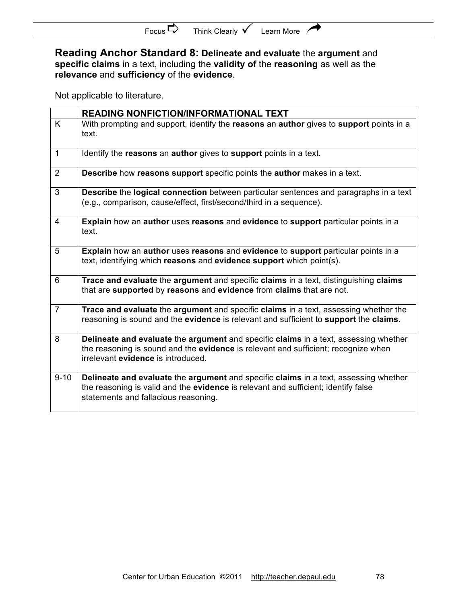| $\cdot$ . $\cdot$ . $\cdot$ | --<br><b>hink</b><br>earlvاٽ<br>ocus | More<br>earn |  |
|-----------------------------|--------------------------------------|--------------|--|

**Reading Anchor Standard 8: Delineate and evaluate** the **argument** and **specific claims** in a text, including the **validity of** the **reasoning** as well as the **relevance** and **sufficiency** of the **evidence**.

Not applicable to literature.

|                         | <b>READING NONFICTION/INFORMATIONAL TEXT</b>                                                                                                                                                                       |
|-------------------------|--------------------------------------------------------------------------------------------------------------------------------------------------------------------------------------------------------------------|
| $\overline{\mathsf{K}}$ | With prompting and support, identify the reasons an author gives to support points in a<br>text.                                                                                                                   |
| $\mathbf{1}$            | Identify the reasons an author gives to support points in a text.                                                                                                                                                  |
| $\overline{2}$          | Describe how reasons support specific points the author makes in a text.                                                                                                                                           |
| 3                       | Describe the logical connection between particular sentences and paragraphs in a text<br>(e.g., comparison, cause/effect, first/second/third in a sequence).                                                       |
| $\overline{4}$          | Explain how an author uses reasons and evidence to support particular points in a<br>text.                                                                                                                         |
| 5                       | Explain how an author uses reasons and evidence to support particular points in a<br>text, identifying which reasons and evidence support which point(s).                                                          |
| 6                       | Trace and evaluate the argument and specific claims in a text, distinguishing claims<br>that are supported by reasons and evidence from claims that are not.                                                       |
| $\overline{7}$          | Trace and evaluate the argument and specific claims in a text, assessing whether the<br>reasoning is sound and the evidence is relevant and sufficient to support the claims.                                      |
| 8                       | Delineate and evaluate the argument and specific claims in a text, assessing whether<br>the reasoning is sound and the evidence is relevant and sufficient; recognize when<br>irrelevant evidence is introduced.   |
| $9 - 10$                | Delineate and evaluate the argument and specific claims in a text, assessing whether<br>the reasoning is valid and the evidence is relevant and sufficient; identify false<br>statements and fallacious reasoning. |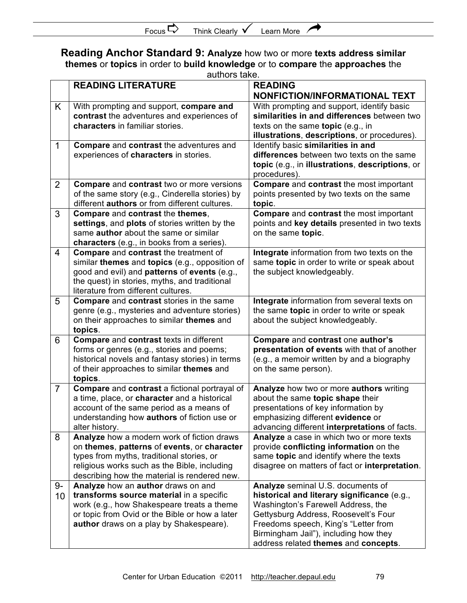#### **Reading Anchor Standard 9: Analyze** how two or more **texts address similar themes** or **topics** in order to **build knowledge** or to **compare** the **approaches** the authors take.

 $Focus \longrightarrow$  Think Clearly  $\checkmark$  Learn More

|                | auuiuis lan <del>c</del> .<br><b>READING LITERATURE</b>                                                                                                                                                                                | <b>READING</b>                                                                                                                                                                                                                                                                          |
|----------------|----------------------------------------------------------------------------------------------------------------------------------------------------------------------------------------------------------------------------------------|-----------------------------------------------------------------------------------------------------------------------------------------------------------------------------------------------------------------------------------------------------------------------------------------|
|                |                                                                                                                                                                                                                                        | NONFICTION/INFORMATIONAL TEXT                                                                                                                                                                                                                                                           |
| K              | With prompting and support, compare and<br>contrast the adventures and experiences of<br>characters in familiar stories.                                                                                                               | With prompting and support, identify basic<br>similarities in and differences between two<br>texts on the same <b>topic</b> (e.g., in<br>illustrations, descriptions, or procedures).                                                                                                   |
| $\mathbf 1$    | Compare and contrast the adventures and<br>experiences of characters in stories.                                                                                                                                                       | Identify basic similarities in and<br>differences between two texts on the same<br>topic (e.g., in illustrations, descriptions, or<br>procedures).                                                                                                                                      |
| 2              | Compare and contrast two or more versions<br>of the same story (e.g., Cinderella stories) by<br>different <b>authors</b> or from different cultures.                                                                                   | Compare and contrast the most important<br>points presented by two texts on the same<br>topic.                                                                                                                                                                                          |
| 3              | Compare and contrast the themes,<br>settings, and plots of stories written by the<br>same <b>author</b> about the same or similar<br>characters (e.g., in books from a series).                                                        | Compare and contrast the most important<br>points and key details presented in two texts<br>on the same topic.                                                                                                                                                                          |
| 4              | Compare and contrast the treatment of<br>similar themes and topics (e.g., opposition of<br>good and evil) and patterns of events (e.g.,<br>the quest) in stories, myths, and traditional<br>literature from different cultures.        | Integrate information from two texts on the<br>same topic in order to write or speak about<br>the subject knowledgeably.                                                                                                                                                                |
| 5              | Compare and contrast stories in the same<br>genre (e.g., mysteries and adventure stories)<br>on their approaches to similar themes and<br>topics.                                                                                      | Integrate information from several texts on<br>the same topic in order to write or speak<br>about the subject knowledgeably.                                                                                                                                                            |
| 6              | Compare and contrast texts in different<br>forms or genres (e.g., stories and poems;<br>historical novels and fantasy stories) in terms<br>of their approaches to similar themes and<br>topics.                                        | Compare and contrast one author's<br>presentation of events with that of another<br>(e.g., a memoir written by and a biography<br>on the same person).                                                                                                                                  |
| $\overline{7}$ | Compare and contrast a fictional portrayal of<br>a time, place, or character and a historical<br>account of the same period as a means of<br>understanding how authors of fiction use or<br>alter history.                             | Analyze how two or more authors writing<br>about the same topic shape their<br>presentations of key information by<br>emphasizing different evidence or<br>advancing different interpretations of facts.                                                                                |
| 8              | Analyze how a modern work of fiction draws<br>on themes, patterns of events, or character<br>types from myths, traditional stories, or<br>religious works such as the Bible, including<br>describing how the material is rendered new. | Analyze a case in which two or more texts<br>provide conflicting information on the<br>same topic and identify where the texts<br>disagree on matters of fact or interpretation.                                                                                                        |
| 9-<br>10       | Analyze how an author draws on and<br>transforms source material in a specific<br>work (e.g., how Shakespeare treats a theme<br>or topic from Ovid or the Bible or how a later<br>author draws on a play by Shakespeare).              | Analyze seminal U.S. documents of<br>historical and literary significance (e.g.,<br>Washington's Farewell Address, the<br>Gettysburg Address, Roosevelt's Four<br>Freedoms speech, King's "Letter from<br>Birmingham Jail"), including how they<br>address related themes and concepts. |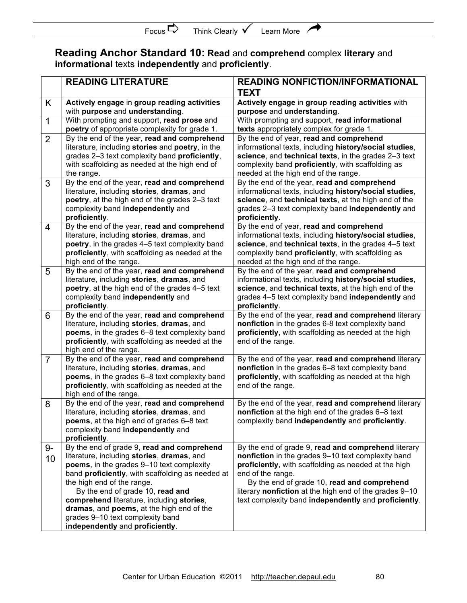# Focus  $\overrightarrow{C}$  Think Clearly  $\overrightarrow{V}$  Learn More

### **Reading Anchor Standard 10: Read** and **comprehend** complex **literary** and **informational** texts **independently** and **proficiently**.

|                | <b>READING LITERATURE</b>                                                                                                                                                                                                                                                                                                                                                                                                    | <b>READING NONFICTION/INFORMATIONAL</b><br><b>TEXT</b>                                                                                                                                                                                                                                                                                                  |
|----------------|------------------------------------------------------------------------------------------------------------------------------------------------------------------------------------------------------------------------------------------------------------------------------------------------------------------------------------------------------------------------------------------------------------------------------|---------------------------------------------------------------------------------------------------------------------------------------------------------------------------------------------------------------------------------------------------------------------------------------------------------------------------------------------------------|
| K              | Actively engage in group reading activities<br>with purpose and understanding.                                                                                                                                                                                                                                                                                                                                               | Actively engage in group reading activities with<br>purpose and understanding.                                                                                                                                                                                                                                                                          |
| $\mathbf 1$    | With prompting and support, read prose and<br>poetry of appropriate complexity for grade 1.                                                                                                                                                                                                                                                                                                                                  | With prompting and support, read informational<br>texts appropriately complex for grade 1.                                                                                                                                                                                                                                                              |
| $\overline{2}$ | By the end of the year, read and comprehend<br>literature, including stories and poetry, in the<br>grades 2-3 text complexity band proficiently,<br>with scaffolding as needed at the high end of<br>the range.                                                                                                                                                                                                              | By the end of year, read and comprehend<br>informational texts, including history/social studies,<br>science, and technical texts, in the grades 2-3 text<br>complexity band proficiently, with scaffolding as<br>needed at the high end of the range.                                                                                                  |
| 3              | By the end of the year, read and comprehend<br>literature, including stories, dramas, and<br>poetry, at the high end of the grades 2-3 text<br>complexity band independently and<br>proficiently.                                                                                                                                                                                                                            | By the end of the year, read and comprehend<br>informational texts, including history/social studies,<br>science, and technical texts, at the high end of the<br>grades 2-3 text complexity band independently and<br>proficiently.                                                                                                                     |
| $\overline{4}$ | By the end of the year, read and comprehend<br>literature, including stories, dramas, and<br>poetry, in the grades 4-5 text complexity band<br>proficiently, with scaffolding as needed at the<br>high end of the range.                                                                                                                                                                                                     | By the end of year, read and comprehend<br>informational texts, including history/social studies,<br>science, and technical texts, in the grades 4-5 text<br>complexity band proficiently, with scaffolding as<br>needed at the high end of the range.                                                                                                  |
| 5              | By the end of the year, read and comprehend<br>literature, including stories, dramas, and<br>poetry, at the high end of the grades 4-5 text<br>complexity band independently and<br>proficiently.                                                                                                                                                                                                                            | By the end of the year, read and comprehend<br>informational texts, including history/social studies,<br>science, and technical texts, at the high end of the<br>grades 4-5 text complexity band independently and<br>proficiently.                                                                                                                     |
| 6              | By the end of the year, read and comprehend<br>literature, including stories, dramas, and<br>poems, in the grades 6-8 text complexity band<br>proficiently, with scaffolding as needed at the<br>high end of the range.                                                                                                                                                                                                      | By the end of the year, read and comprehend literary<br>nonfiction in the grades 6-8 text complexity band<br>proficiently, with scaffolding as needed at the high<br>end of the range.                                                                                                                                                                  |
| $\overline{7}$ | By the end of the year, read and comprehend<br>literature, including stories, dramas, and<br>poems, in the grades 6-8 text complexity band<br>proficiently, with scaffolding as needed at the<br>high end of the range.                                                                                                                                                                                                      | By the end of the year, read and comprehend literary<br>nonfiction in the grades 6-8 text complexity band<br>proficiently, with scaffolding as needed at the high<br>end of the range.                                                                                                                                                                  |
| 8              | By the end of the year, read and comprehend<br>literature, including stories, dramas, and<br>poems, at the high end of grades 6-8 text<br>complexity band independently and<br>proficiently.                                                                                                                                                                                                                                 | By the end of the year, read and comprehend literary<br>nonfiction at the high end of the grades 6-8 text<br>complexity band independently and proficiently.                                                                                                                                                                                            |
| 9-<br>10       | By the end of grade 9, read and comprehend<br>literature, including stories, dramas, and<br>poems, in the grades 9-10 text complexity<br>band proficiently, with scaffolding as needed at<br>the high end of the range.<br>By the end of grade 10, read and<br>comprehend literature, including stories,<br>dramas, and poems, at the high end of the<br>grades 9-10 text complexity band<br>independently and proficiently. | By the end of grade 9, read and comprehend literary<br>nonfiction in the grades 9-10 text complexity band<br>proficiently, with scaffolding as needed at the high<br>end of the range.<br>By the end of grade 10, read and comprehend<br>literary nonfiction at the high end of the grades 9-10<br>text complexity band independently and proficiently. |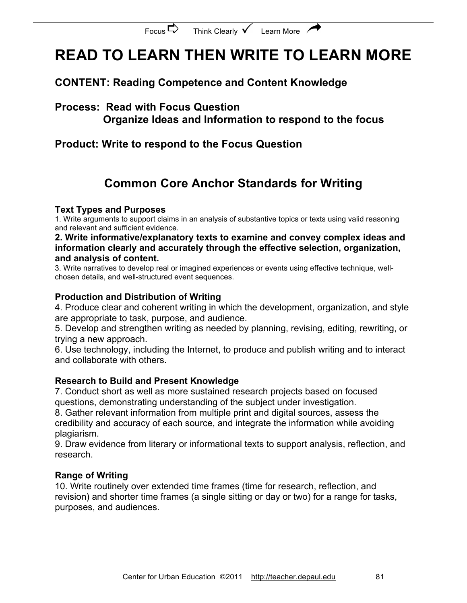# **READ TO LEARN THEN WRITE TO LEARN MORE**

**CONTENT: Reading Competence and Content Knowledge**

**Process: Read with Focus Question**

 **Organize Ideas and Information to respond to the focus**

**Product: Write to respond to the Focus Question**

# **Common Core Anchor Standards for Writing**

### **Text Types and Purposes**

1. Write arguments to support claims in an analysis of substantive topics or texts using valid reasoning and relevant and sufficient evidence.

**2. Write informative/explanatory texts to examine and convey complex ideas and information clearly and accurately through the effective selection, organization, and analysis of content.**

3. Write narratives to develop real or imagined experiences or events using effective technique, wellchosen details, and well-structured event sequences.

### **Production and Distribution of Writing**

4. Produce clear and coherent writing in which the development, organization, and style are appropriate to task, purpose, and audience.

5. Develop and strengthen writing as needed by planning, revising, editing, rewriting, or trying a new approach.

6. Use technology, including the Internet, to produce and publish writing and to interact and collaborate with others.

### **Research to Build and Present Knowledge**

7. Conduct short as well as more sustained research projects based on focused questions, demonstrating understanding of the subject under investigation.

8. Gather relevant information from multiple print and digital sources, assess the credibility and accuracy of each source, and integrate the information while avoiding plagiarism.

9. Draw evidence from literary or informational texts to support analysis, reflection, and research.

### **Range of Writing**

10. Write routinely over extended time frames (time for research, reflection, and revision) and shorter time frames (a single sitting or day or two) for a range for tasks, purposes, and audiences.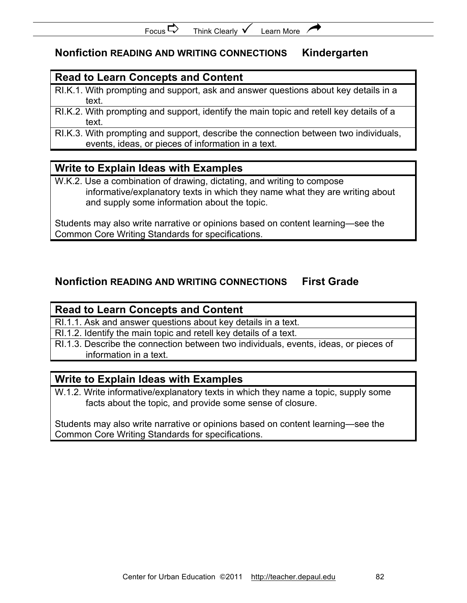| ocus |  |
|------|--|
|      |  |

# **Nonfiction READING AND WRITING CONNECTIONS Kindergarten**

### **Read to Learn Concepts and Content**

- RI.K.1. With prompting and support, ask and answer questions about key details in a text.
- RI.K.2. With prompting and support, identify the main topic and retell key details of a text.
- RI.K.3. With prompting and support, describe the connection between two individuals, events, ideas, or pieces of information in a text.

### **Write to Explain Ideas with Examples**

W.K.2. Use a combination of drawing, dictating, and writing to compose informative/explanatory texts in which they name what they are writing about and supply some information about the topic.

Students may also write narrative or opinions based on content learning—see the Common Core Writing Standards for specifications.

## **Nonfiction READING AND WRITING CONNECTIONS First Grade**

### **Read to Learn Concepts and Content**

RI.1.1. Ask and answer questions about key details in a text.

RI.1.2. Identify the main topic and retell key details of a text.

RI.1.3. Describe the connection between two individuals, events, ideas, or pieces of information in a text.

## **Write to Explain Ideas with Examples**

W.1.2. Write informative/explanatory texts in which they name a topic, supply some facts about the topic, and provide some sense of closure.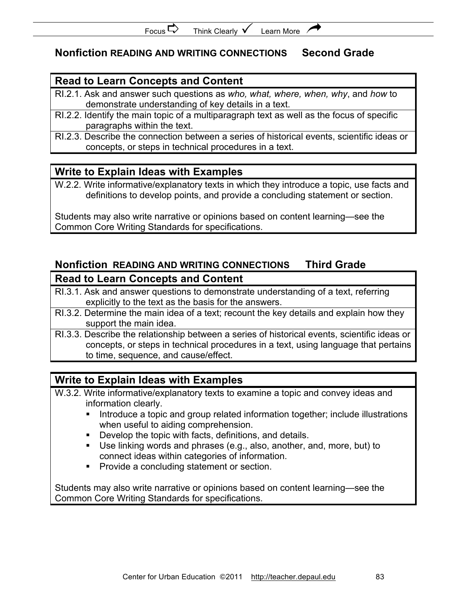## **Nonfiction READING AND WRITING CONNECTIONS Second Grade**

### **Read to Learn Concepts and Content**

- RI.2.1. Ask and answer such questions as *who, what, where, when, why*, and *how* to demonstrate understanding of key details in a text.
- RI.2.2. Identify the main topic of a multiparagraph text as well as the focus of specific paragraphs within the text.
- RI.2.3. Describe the connection between a series of historical events, scientific ideas or concepts, or steps in technical procedures in a text.

### **Write to Explain Ideas with Examples**

W.2.2. Write informative/explanatory texts in which they introduce a topic, use facts and definitions to develop points, and provide a concluding statement or section.

Students may also write narrative or opinions based on content learning—see the Common Core Writing Standards for specifications.

## **Nonfiction READING AND WRITING CONNECTIONS Third Grade Read to Learn Concepts and Content**

- RI.3.1. Ask and answer questions to demonstrate understanding of a text, referring explicitly to the text as the basis for the answers.
- RI.3.2. Determine the main idea of a text; recount the key details and explain how they support the main idea.
- RI.3.3. Describe the relationship between a series of historical events, scientific ideas or concepts, or steps in technical procedures in a text, using language that pertains to time, sequence, and cause/effect.

## **Write to Explain Ideas with Examples**

- W.3.2. Write informative/explanatory texts to examine a topic and convey ideas and information clearly.
	- **Introduce a topic and group related information together; include illustrations** when useful to aiding comprehension.
	- **Develop the topic with facts, definitions, and details.**
	- " Use linking words and phrases (e.g., also, another, and, more, but) to connect ideas within categories of information.
	- Provide a concluding statement or section.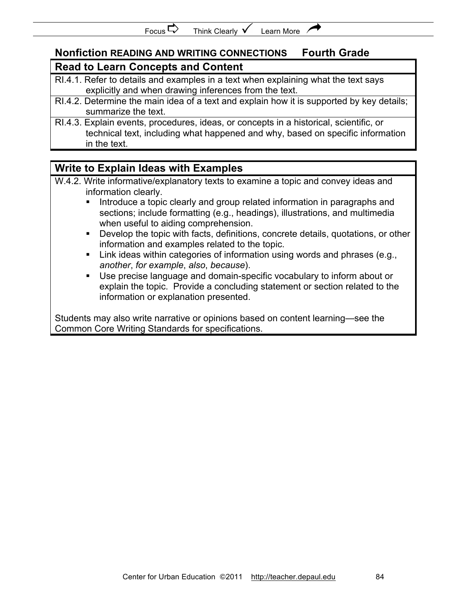| າດເມຣ |  |
|-------|--|
|       |  |

### **Nonfiction READING AND WRITING CONNECTIONS Fourth Grade**

### **Read to Learn Concepts and Content**

- RI.4.1. Refer to details and examples in a text when explaining what the text says explicitly and when drawing inferences from the text.
- RI.4.2. Determine the main idea of a text and explain how it is supported by key details; summarize the text.
- RI.4.3. Explain events, procedures, ideas, or concepts in a historical, scientific, or technical text, including what happened and why, based on specific information in the text.

# **Write to Explain Ideas with Examples**

- W.4.2. Write informative/explanatory texts to examine a topic and convey ideas and information clearly.
	- Introduce a topic clearly and group related information in paragraphs and sections; include formatting (e.g., headings), illustrations, and multimedia when useful to aiding comprehension.
	- " Develop the topic with facts, definitions, concrete details, quotations, or other information and examples related to the topic.
	- **EXECT:** Link ideas within categories of information using words and phrases (e.g., *another*, *for example*, *also*, *because*).
	- " Use precise language and domain-specific vocabulary to inform about or explain the topic. Provide a concluding statement or section related to the information or explanation presented.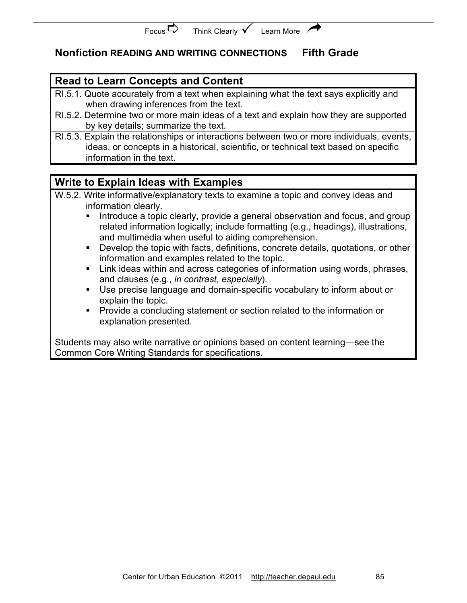## **Nonfiction READING AND WRITING CONNECTIONS Fifth Grade**

### **Read to Learn Concepts and Content**

- RI.5.1. Quote accurately from a text when explaining what the text says explicitly and when drawing inferences from the text.
- RI.5.2. Determine two or more main ideas of a text and explain how they are supported by key details; summarize the text.
- RI.5.3. Explain the relationships or interactions between two or more individuals, events, ideas, or concepts in a historical, scientific, or technical text based on specific information in the text.

### **Write to Explain Ideas with Examples**

W.5.2. Write informative/explanatory texts to examine a topic and convey ideas and information clearly.

- Introduce a topic clearly, provide a general observation and focus, and group related information logically; include formatting (e.g., headings), illustrations, and multimedia when useful to aiding comprehension.
- Develop the topic with facts, definitions, concrete details, quotations, or other information and examples related to the topic.
- **EXTEND 1.5 The Unity Constraint Manushism in Link ideas within and across**, phrases, phrases, and clauses (e.g., *in contrast*, *especially*).
- " Use precise language and domain-specific vocabulary to inform about or explain the topic.
- **Provide a concluding statement or section related to the information or** explanation presented.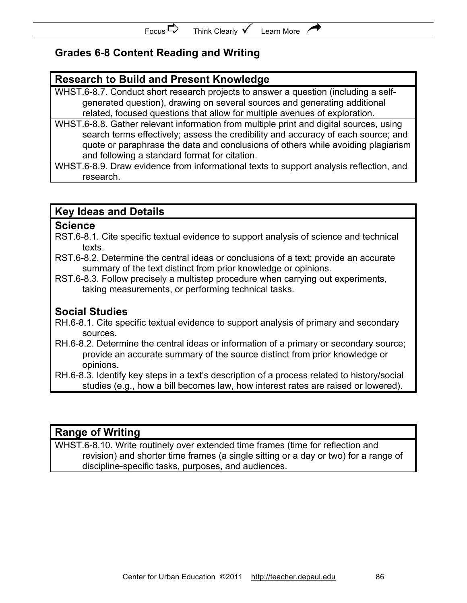

#### Focus  $\blacktriangle$  Think Clearly  $\checkmark$  Learn More

# **Grades 6-8 Content Reading and Writing**

## **Research to Build and Present Knowledge**

WHST.6-8.7. Conduct short research projects to answer a question (including a selfgenerated question), drawing on several sources and generating additional related, focused questions that allow for multiple avenues of exploration.

WHST.6-8.8. Gather relevant information from multiple print and digital sources, using search terms effectively; assess the credibility and accuracy of each source; and quote or paraphrase the data and conclusions of others while avoiding plagiarism and following a standard format for citation.

WHST.6-8.9. Draw evidence from informational texts to support analysis reflection, and research.

### **Key Ideas and Details**

### **Science**

- RST.6-8.1. Cite specific textual evidence to support analysis of science and technical texts.
- RST.6-8.2. Determine the central ideas or conclusions of a text; provide an accurate summary of the text distinct from prior knowledge or opinions.
- RST.6-8.3. Follow precisely a multistep procedure when carrying out experiments, taking measurements, or performing technical tasks.

# **Social Studies**

- RH.6-8.1. Cite specific textual evidence to support analysis of primary and secondary sources.
- RH.6-8.2. Determine the central ideas or information of a primary or secondary source; provide an accurate summary of the source distinct from prior knowledge or opinions.
- RH.6-8.3. Identify key steps in a text's description of a process related to history/social studies (e.g., how a bill becomes law, how interest rates are raised or lowered).

## **Range of Writing**

WHST.6-8.10. Write routinely over extended time frames (time for reflection and revision) and shorter time frames (a single sitting or a day or two) for a range of discipline-specific tasks, purposes, and audiences.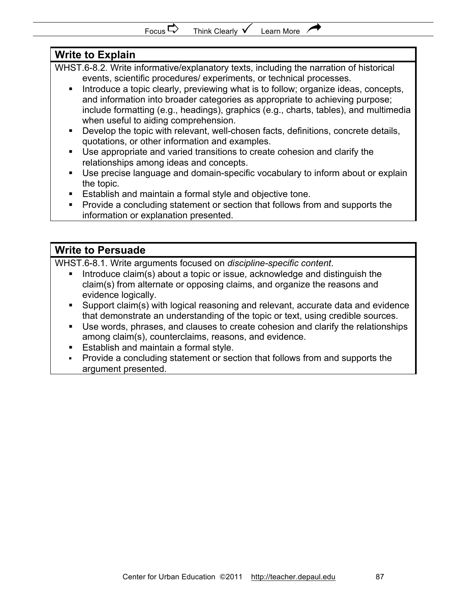# **Write to Explain**

WHST.6-8.2. Write informative/explanatory texts, including the narration of historical events, scientific procedures/ experiments, or technical processes.

Focus  $\overline{\mathsf{L}}$  Think Clearly  $\checkmark$  Learn More

- Introduce a topic clearly, previewing what is to follow; organize ideas, concepts, and information into broader categories as appropriate to achieving purpose; include formatting (e.g., headings), graphics (e.g., charts, tables), and multimedia when useful to aiding comprehension.
- " Develop the topic with relevant, well-chosen facts, definitions, concrete details, quotations, or other information and examples.
- " Use appropriate and varied transitions to create cohesion and clarify the relationships among ideas and concepts.
- " Use precise language and domain-specific vocabulary to inform about or explain the topic.
- **Establish and maintain a formal style and objective tone.**
- " Provide a concluding statement or section that follows from and supports the information or explanation presented.

## **Write to Persuade**

WHST.6-8.1. Write arguments focused on *discipline-specific content*.

- Introduce claim(s) about a topic or issue, acknowledge and distinguish the claim(s) from alternate or opposing claims, and organize the reasons and evidence logically.
- " Support claim(s) with logical reasoning and relevant, accurate data and evidence that demonstrate an understanding of the topic or text, using credible sources.
- " Use words, phrases, and clauses to create cohesion and clarify the relationships among claim(s), counterclaims, reasons, and evidence.
- **Establish and maintain a formal style.**
- " Provide a concluding statement or section that follows from and supports the argument presented.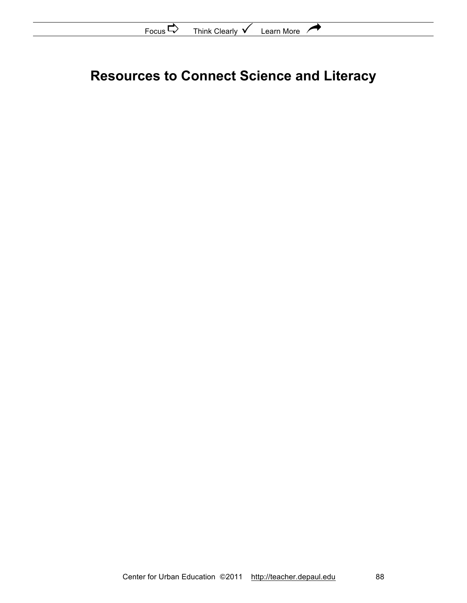

# **Resources to Connect Science and Literacy**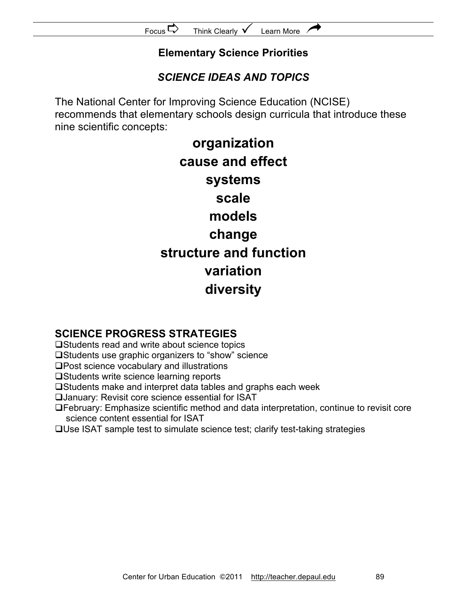## **Elementary Science Priorities**

# *SCIENCE IDEAS AND TOPICS*

The National Center for Improving Science Education (NCISE) recommends that elementary schools design curricula that introduce these nine scientific concepts:

# **organization cause and effect systems scale models change structure and function variation diversity**

## **SCIENCE PROGRESS STRATEGIES**

 $\square$  Students read and write about science topics

□ Students use graphic organizers to "show" science

□Post science vocabulary and illustrations

**□ Students write science learning reports** 

**□Students make and interpret data tables and graphs each week** 

**QJanuary: Revisit core science essential for ISAT** 

!February: Emphasize scientific method and data interpretation, continue to revisit core science content essential for ISAT

□ Use ISAT sample test to simulate science test; clarify test-taking strategies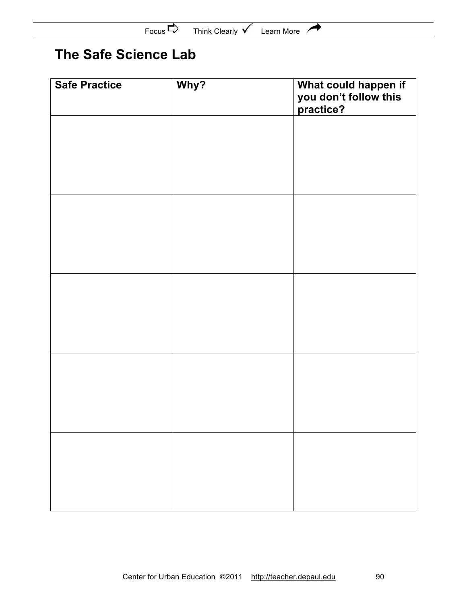| Œ. | ____ | hin<br>ırl۱<br>mm<br>$-1$<br>., | More<br>--- |  |
|----|------|---------------------------------|-------------|--|
|    |      |                                 |             |  |

# **The Safe Science Lab**

| <b>Safe Practice</b> | Why? | What could happen if<br>you don't follow this<br>practice? |
|----------------------|------|------------------------------------------------------------|
|                      |      |                                                            |
|                      |      |                                                            |
|                      |      |                                                            |
|                      |      |                                                            |
|                      |      |                                                            |
|                      |      |                                                            |
|                      |      |                                                            |
|                      |      |                                                            |
|                      |      |                                                            |
|                      |      |                                                            |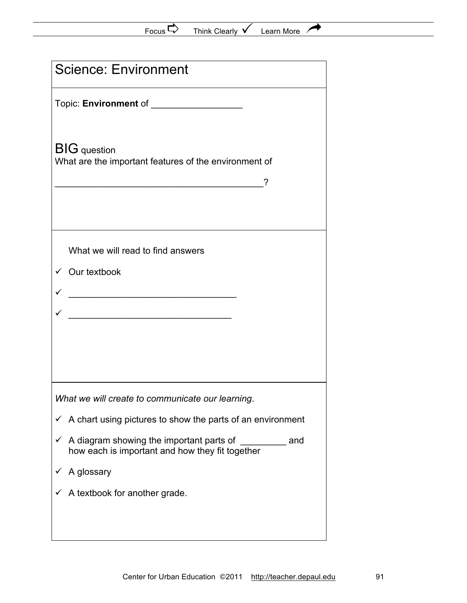| Focus $\mathsf{\nabla}$ | Think Clearly $\sqrt{}$ | Learn More |
|-------------------------|-------------------------|------------|
|-------------------------|-------------------------|------------|

| <b>Science: Environment</b>                                                                             |
|---------------------------------------------------------------------------------------------------------|
| Topic: Environment of ___________________                                                               |
| <b>BIG</b> question<br>What are the important features of the environment of                            |
| What we will read to find answers                                                                       |
| $\checkmark$ Our textbook                                                                               |
| <u> 1989 - Johann Barbara, martxa alemaniar a</u><br><u> 1989 - Johann Barbara, martxa alemani</u> ar a |
|                                                                                                         |
|                                                                                                         |
|                                                                                                         |
| What we will create to communicate our learning.                                                        |
| $\checkmark$ A chart using pictures to show the parts of an environment                                 |
| A diagram showing the important parts of<br>and<br>how each is important and how they fit together      |
| A glossary                                                                                              |
| A textbook for another grade.                                                                           |
|                                                                                                         |
|                                                                                                         |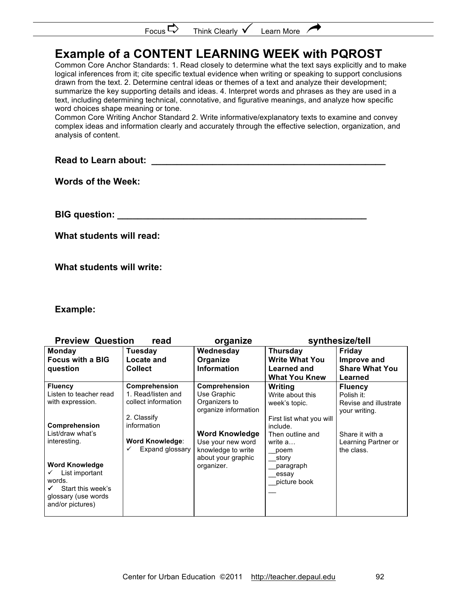|  | $\tau$ hink<br>v<br>∴learlv∶ | earn<br>More |  |
|--|------------------------------|--------------|--|
|  |                              |              |  |

# **Example of a CONTENT LEARNING WEEK with PQROST**

Common Core Anchor Standards: 1. Read closely to determine what the text says explicitly and to make logical inferences from it; cite specific textual evidence when writing or speaking to support conclusions drawn from the text. 2. Determine central ideas or themes of a text and analyze their development; summarize the key supporting details and ideas. 4. Interpret words and phrases as they are used in a text, including determining technical, connotative, and figurative meanings, and analyze how specific word choices shape meaning or tone.

Common Core Writing Anchor Standard 2. Write informative/explanatory texts to examine and convey complex ideas and information clearly and accurately through the effective selection, organization, and analysis of content.

**Read to Learn about: Example 20 August 20 August 20 August 20 August 20 August 20 August 20 August 20 August 20 August 20 August 20 August 20 August 20 August 20 August 20 August 20 August 20 August 20 August 20 August** 

**Words of the Week:** 

**BIG question:**  $\blacksquare$ 

**What students will read:** 

**What students will write:**

#### **Example:**

| <b>Preview Question</b>  | read                   | organize                              |                          | synthesize/tell                        |
|--------------------------|------------------------|---------------------------------------|--------------------------|----------------------------------------|
| <b>Monday</b>            | Tuesday                | Wednesday                             | <b>Thursday</b>          | Friday                                 |
| <b>Focus with a BIG</b>  | Locate and             | Organize                              | <b>Write What You</b>    | Improve and                            |
| question                 | <b>Collect</b>         | <b>Information</b>                    | <b>Learned and</b>       | <b>Share What You</b>                  |
|                          |                        |                                       | <b>What You Knew</b>     | Learned                                |
| <b>Fluency</b>           | <b>Comprehension</b>   | Comprehension                         | Writing                  | <b>Fluency</b>                         |
| Listen to teacher read   | 1. Read/listen and     | Use Graphic                           | Write about this         | Polish it:                             |
| with expression.         | collect information    | Organizers to<br>organize information | week's topic.            | Revise and illustrate<br>your writing. |
|                          | 2. Classify            |                                       | First list what you will |                                        |
| Comprehension            | information            |                                       | include.                 |                                        |
| List/draw what's         |                        | <b>Word Knowledge</b>                 | Then outline and         | Share it with a                        |
| interesting.             | <b>Word Knowledge:</b> | Use your new word                     | write a                  | Learning Partner or                    |
|                          | Expand glossary<br>✓   | knowledge to write                    | poem                     | the class.                             |
|                          |                        | about your graphic                    | story                    |                                        |
| <b>Word Knowledge</b>    |                        | organizer.                            | paragraph                |                                        |
| List important<br>words. |                        |                                       | essay<br>picture book    |                                        |
| Start this week's        |                        |                                       |                          |                                        |
| glossary (use words      |                        |                                       |                          |                                        |
| and/or pictures)         |                        |                                       |                          |                                        |
|                          |                        |                                       |                          |                                        |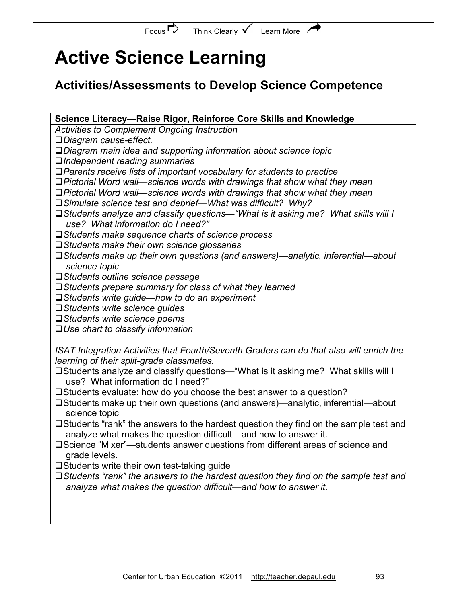# **Active Science Learning**

# **Activities/Assessments to Develop Science Competence**

**Science Literacy—Raise Rigor, Reinforce Core Skills and Knowledge** *Activities to Complement Ongoing Instruction* !*Diagram cause-effect.* !*Diagram main idea and supporting information about science topic* !*Independent reading summaries* !*Parents receive lists of important vocabulary for students to practice* !*Pictorial Word wall—science words with drawings that show what they mean* !*Pictorial Word wall—science words with drawings that show what they mean* !*Simulate science test and debrief—What was difficult? Why?* !*Students analyze and classify questions—"What is it asking me? What skills will I use? What information do I need?"* !*Students make sequence charts of science process* !*Students make their own science glossaries* !*Students make up their own questions (and answers)—analytic, inferential—about science topic* !*Students outline science passage* !*Students prepare summary for class of what they learned* !*Students write guide—how to do an experiment* !*Students write science guides* !*Students write science poems* !*Use chart to classify information ISAT Integration Activities that Fourth/Seventh Graders can do that also will enrich the learning of their split-grade classmates.* **■**Students analyze and classify questions—"What is it asking me? What skills will I use? What information do I need?" **■**Students evaluate: how do you choose the best answer to a question? **□ Students make up their own questions (and answers)—analytic, inferential—about** science topic **□Students "rank" the answers to the hardest question they find on the sample test and** analyze what makes the question difficult—and how to answer it. !Science "Mixer"—students answer questions from different areas of science and grade levels.  $\square$  Students write their own test-taking guide !*Students "rank" the answers to the hardest question they find on the sample test and analyze what makes the question difficult—and how to answer it.*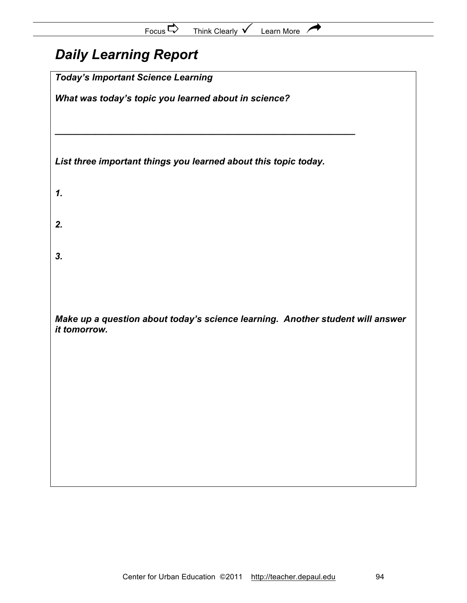|              | <b>Today's Important Science Learning</b>                                      |  |  |
|--------------|--------------------------------------------------------------------------------|--|--|
|              | What was today's topic you learned about in science?                           |  |  |
|              |                                                                                |  |  |
|              | List three important things you learned about this topic today.                |  |  |
| 1.           |                                                                                |  |  |
| 2.           |                                                                                |  |  |
| 3.           |                                                                                |  |  |
|              |                                                                                |  |  |
| it tomorrow. | Make up a question about today's science learning. Another student will answer |  |  |
|              |                                                                                |  |  |
|              |                                                                                |  |  |
|              |                                                                                |  |  |
|              |                                                                                |  |  |

<u> 1980 - Johann Barn, mars ann an t-Amhain Aonaich an t-Aonaich an t-Aonaich ann an t-Aonaich ann an t-Aonaich</u>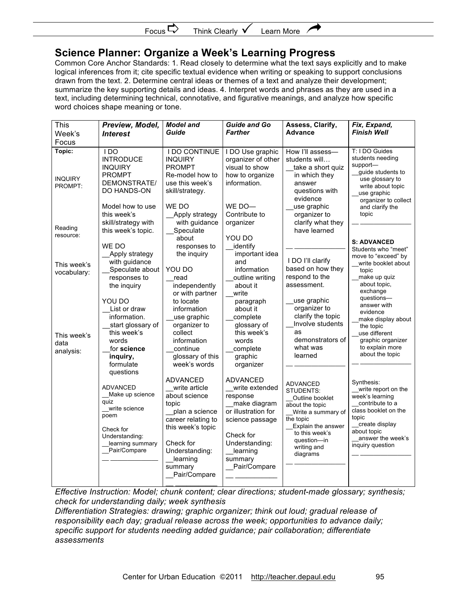### **Science Planner: Organize a Week's Learning Progress**

Common Core Anchor Standards: 1. Read closely to determine what the text says explicitly and to make logical inferences from it; cite specific textual evidence when writing or speaking to support conclusions drawn from the text. 2. Determine central ideas or themes of a text and analyze their development; summarize the key supporting details and ideas. 4. Interpret words and phrases as they are used in a text, including determining technical, connotative, and figurative meanings, and analyze how specific word choices shape meaning or tone.

Focus  $\overline{\mathsf{L}}$  Think Clearly  $\checkmark$  Learn More

| This                                | Preview, Model,                                                                                                                          | <b>Model</b> and                                                                                                                                                              | <b>Guide and Go</b>                                                                                                                                                                  | Assess, Clarify,                                                                                                                                                                        | Fix, Expand,                                                                                                                                                                       |
|-------------------------------------|------------------------------------------------------------------------------------------------------------------------------------------|-------------------------------------------------------------------------------------------------------------------------------------------------------------------------------|--------------------------------------------------------------------------------------------------------------------------------------------------------------------------------------|-----------------------------------------------------------------------------------------------------------------------------------------------------------------------------------------|------------------------------------------------------------------------------------------------------------------------------------------------------------------------------------|
| Week's                              | <b>Interest</b>                                                                                                                          | Guide                                                                                                                                                                         | <b>Farther</b>                                                                                                                                                                       | <b>Advance</b>                                                                                                                                                                          | <b>Finish Well</b>                                                                                                                                                                 |
| Focus                               |                                                                                                                                          |                                                                                                                                                                               |                                                                                                                                                                                      |                                                                                                                                                                                         |                                                                                                                                                                                    |
| Topic:<br><b>INQUIRY</b><br>PROMPT: | I DO<br><b>INTRODUCE</b><br><b>INQUIRY</b><br><b>PROMPT</b><br>DEMONSTRATE/<br>DO HANDS-ON                                               | I DO CONTINUE<br><b>INQUIRY</b><br><b>PROMPT</b><br>Re-model how to<br>use this week's<br>skill/strategy.                                                                     | I DO Use graphic<br>organizer of other<br>visual to show<br>how to organize<br>information.                                                                                          | How I'll assess-<br>students will<br>take a short quiz<br>in which they<br>answer<br>questions with<br>evidence                                                                         | T: I DO Guides<br>students needing<br>support-<br>quide students to<br>use glossary to<br>write about topic<br>use graphic<br>organizer to collect                                 |
| Reading<br>resource:                | Model how to use<br>this week's<br>skill/strategy with<br>this week's topic.<br>WE DO<br>Apply strategy                                  | WE DO<br>Apply strategy<br>with guidance<br>Speculate<br>about<br>responses to<br>the inquiry                                                                                 | WE DO-<br>Contribute to<br>organizer<br>YOU DO<br>identify<br>important idea                                                                                                         | use graphic<br>organizer to<br>clarify what they<br>have learned                                                                                                                        | and clarify the<br>topic<br><b>S: ADVANCED</b><br>Students who "meet"<br>move to "exceed" by                                                                                       |
| This week's<br>vocabulary:          | with guidance<br>Speculate about<br>responses to<br>the inquiry                                                                          | YOU DO<br>read<br>independently<br>or with partner                                                                                                                            | and<br>information<br>outline writing<br>about it<br>write                                                                                                                           | I DO I'll clarify<br>based on how they<br>respond to the<br>assessment.                                                                                                                 | write booklet about<br>topic<br>make up quiz<br>about topic,<br>exchange                                                                                                           |
| This week's<br>data<br>analysis:    | YOU DO<br>List or draw<br>information.<br>start glossary of<br>this week's<br>words<br>for science<br>inquiry,<br>formulate<br>questions | to locate<br>information<br>use graphic<br>organizer to<br>collect<br>information<br>continue<br>glossary of this<br>week's words                                             | paragraph<br>about it<br>complete<br>glossary of<br>this week's<br>words<br>complete<br>graphic<br>organizer                                                                         | use graphic<br>organizer to<br>clarify the topic<br>Involve students<br>as<br>demonstrators of<br>what was<br>learned                                                                   | questions-<br>answer with<br>evidence<br>make display about<br>the topic<br>use different<br>graphic organizer<br>to explain more<br>about the topic                               |
|                                     | <b>ADVANCED</b><br>Make up science<br>quiz<br>write science<br>poem<br>Check for<br>Understanding:<br>learning summary<br>Pair/Compare   | <b>ADVANCED</b><br>write article<br>about science<br>topic<br>plan a science<br>career relating to<br>this week's topic<br>Check for<br>Understanding:<br>learning<br>summary | <b>ADVANCED</b><br>write extended<br>response<br>make diagram<br>or illustration for<br>science passage<br>Check for<br>Understanding:<br><b>learning</b><br>summary<br>Pair/Compare | ADVANCED<br><b>STUDENTS:</b><br>Outline booklet<br>about the topic<br>Write a summary of<br>the topic<br>Explain the answer<br>to this week's<br>question-in<br>writing and<br>diagrams | Synthesis:<br>write report on the<br>week's learning<br>contribute to a<br>class booklet on the<br>topic<br>create display<br>about topic<br>answer the week's<br>inquiry question |
|                                     |                                                                                                                                          | Pair/Compare                                                                                                                                                                  |                                                                                                                                                                                      |                                                                                                                                                                                         |                                                                                                                                                                                    |

*Effective Instruction: Model; chunk content; clear directions; student-made glossary; synthesis; check for understanding daily; week synthesis*

*Differentiation Strategies: drawing; graphic organizer; think out loud; gradual release of responsibility each day; gradual release across the week; opportunities to advance daily; specific support for students needing added guidance; pair collaboration; differentiate assessments*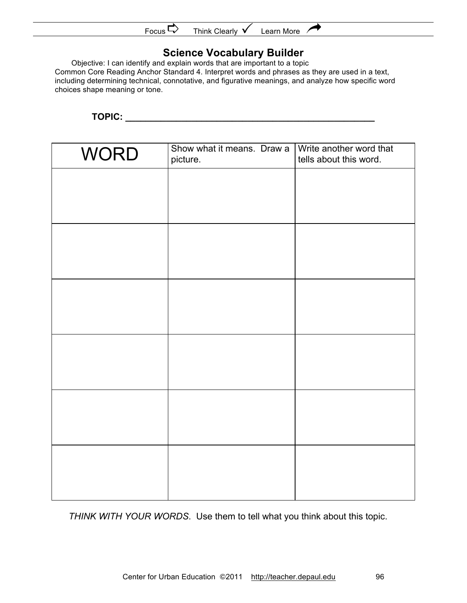

### **Science Vocabulary Builder**

Objective: I can identify and explain words that are important to a topic Common Core Reading Anchor Standard 4. Interpret words and phrases as they are used in a text, including determining technical, connotative, and figurative meanings, and analyze how specific word choices shape meaning or tone.

**TOPIC: \_\_\_\_\_\_\_\_\_\_\_\_\_\_\_\_\_\_\_\_\_\_\_\_\_\_\_\_\_\_\_\_\_\_\_\_\_\_\_\_\_\_\_\_\_\_\_\_\_**

| <b>WORD</b> | Show what it means. Draw a<br>picture. | Write another word that<br>tells about this word. |
|-------------|----------------------------------------|---------------------------------------------------|
|             |                                        |                                                   |
|             |                                        |                                                   |
|             |                                        |                                                   |
|             |                                        |                                                   |
|             |                                        |                                                   |
|             |                                        |                                                   |
|             |                                        |                                                   |
|             |                                        |                                                   |
|             |                                        |                                                   |
|             |                                        |                                                   |
|             |                                        |                                                   |
|             |                                        |                                                   |

*THINK WITH YOUR WORDS*. Use them to tell what you think about this topic.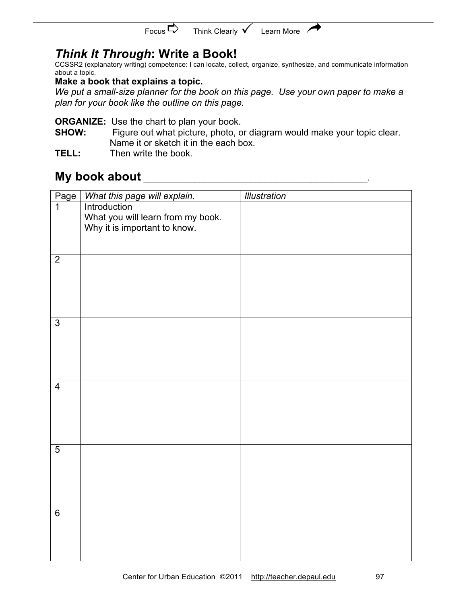

# *Think It Through***: Write a Book!**

CCSSR2 (explanatory writing) competence: I can locate, collect, organize, synthesize, and communicate information about a topic.

### **Make a book that explains a topic.**

We put a small-size planner for the book on this page. Use your own paper to make a *plan for your book like the outline on this page.*

- **ORGANIZE:** Use the chart to plan your book.
- **SHOW:** Figure out what picture, photo, or diagram would make your topic clear. Name it or sketch it in the each box.
- **TELL:** Then write the book.

# **My book about** \_\_\_\_\_\_\_\_\_\_\_\_\_\_\_\_\_\_\_\_\_\_\_\_\_\_\_\_\_\_\_\_\_\_\_\_\_\_\_\_\_\_\_\_.

| Page           | What this page will explain.<br>Introduction                      | <b>Illustration</b> |
|----------------|-------------------------------------------------------------------|---------------------|
| $\overline{1}$ |                                                                   |                     |
|                |                                                                   |                     |
|                | What you will learn from my book.<br>Why it is important to know. |                     |
|                |                                                                   |                     |
|                |                                                                   |                     |
| $\overline{2}$ |                                                                   |                     |
|                |                                                                   |                     |
|                |                                                                   |                     |
|                |                                                                   |                     |
|                |                                                                   |                     |
| $\overline{3}$ |                                                                   |                     |
|                |                                                                   |                     |
|                |                                                                   |                     |
|                |                                                                   |                     |
|                |                                                                   |                     |
|                |                                                                   |                     |
| $\overline{4}$ |                                                                   |                     |
|                |                                                                   |                     |
|                |                                                                   |                     |
|                |                                                                   |                     |
|                |                                                                   |                     |
|                |                                                                   |                     |
| 5              |                                                                   |                     |
|                |                                                                   |                     |
|                |                                                                   |                     |
|                |                                                                   |                     |
|                |                                                                   |                     |
| $\,6\,$        |                                                                   |                     |
|                |                                                                   |                     |
|                |                                                                   |                     |
|                |                                                                   |                     |
|                |                                                                   |                     |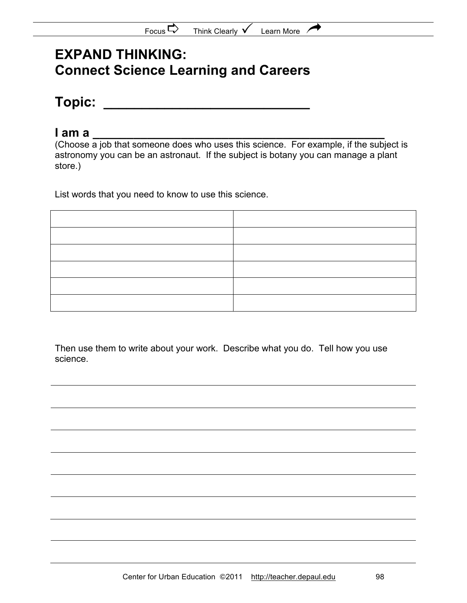# **EXPAND THINKING: Connect Science Learning and Careers**

**Topic: \_\_\_\_\_\_\_\_\_\_\_\_\_\_\_\_\_\_\_\_\_\_\_\_\_\_\_**

### **I am a \_\_\_\_\_\_\_\_\_\_\_\_\_\_\_\_\_\_\_\_\_\_\_\_\_\_\_\_\_\_\_\_\_\_\_\_\_\_\_\_\_\_\_**

(Choose a job that someone does who uses this science. For example, if the subject is astronomy you can be an astronaut. If the subject is botany you can manage a plant store.)

List words that you need to know to use this science.

Then use them to write about your work. Describe what you do. Tell how you use science.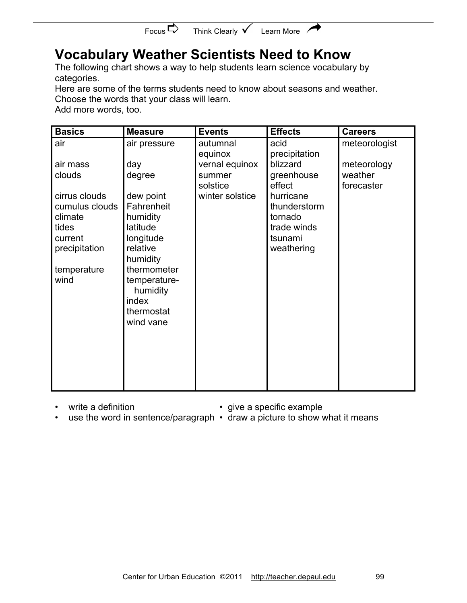

# **Vocabulary Weather Scientists Need to Know**

The following chart shows a way to help students learn science vocabulary by categories.

Here are some of the terms students need to know about seasons and weather. Choose the words that your class will learn.

Add more words, too.

| <b>Basics</b>                                                                   | <b>Measure</b>                                                                       | <b>Events</b>                        | <b>Effects</b>                                                               | <b>Careers</b>                       |
|---------------------------------------------------------------------------------|--------------------------------------------------------------------------------------|--------------------------------------|------------------------------------------------------------------------------|--------------------------------------|
| air                                                                             | air pressure                                                                         | autumnal<br>equinox                  | acid<br>precipitation                                                        | meteorologist                        |
| air mass<br>clouds                                                              | day<br>degree                                                                        | vernal equinox<br>summer<br>solstice | blizzard<br>greenhouse<br>effect                                             | meteorology<br>weather<br>forecaster |
| cirrus clouds<br>cumulus clouds<br>climate<br>tides<br>current<br>precipitation | dew point<br>Fahrenheit<br>humidity<br>latitude<br>longitude<br>relative<br>humidity | winter solstice                      | hurricane<br>thunderstorm<br>tornado<br>trade winds<br>tsunami<br>weathering |                                      |
| temperature<br>wind                                                             | thermometer<br>temperature-<br>humidity<br>index<br>thermostat<br>wind vane          |                                      |                                                                              |                                      |

- write a definition **•** give a specific example
- use the word in sentence/paragraph draw a picture to show what it means
	-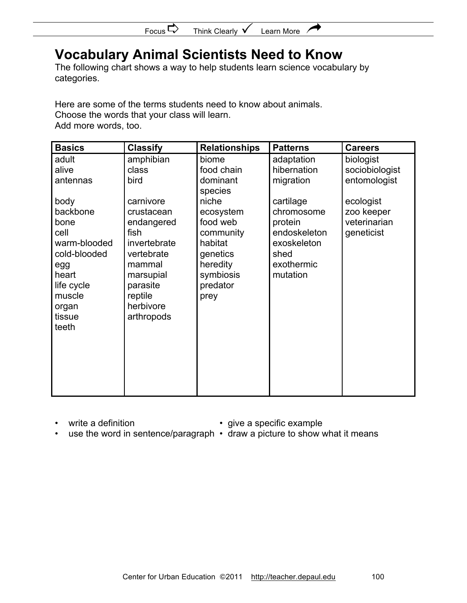

# **Vocabulary Animal Scientists Need to Know**

The following chart shows a way to help students learn science vocabulary by categories.

Here are some of the terms students need to know about animals. Choose the words that your class will learn. Add more words, too.

| <b>Basics</b> | <b>Classify</b> | <b>Relationships</b> | <b>Patterns</b> | <b>Careers</b> |
|---------------|-----------------|----------------------|-----------------|----------------|
| adult         | amphibian       | biome                | adaptation      | biologist      |
| alive         | class           | food chain           | hibernation     | sociobiologist |
| antennas      | bird            | dominant<br>species  | migration       | entomologist   |
| body          | carnivore       | niche                | cartilage       | ecologist      |
| backbone      | crustacean      | ecosystem            | chromosome      | zoo keeper     |
| bone          | endangered      | food web             | protein         | veterinarian   |
| cell          | fish            | community            | endoskeleton    | geneticist     |
| warm-blooded  | invertebrate    | habitat              | exoskeleton     |                |
| cold-blooded  | vertebrate      | genetics             | shed            |                |
| egg           | mammal          | heredity             | exothermic      |                |
| heart         | marsupial       | symbiosis            | mutation        |                |
| life cycle    | parasite        | predator             |                 |                |
| muscle        | reptile         | prey                 |                 |                |
| organ         | herbivore       |                      |                 |                |
| tissue        | arthropods      |                      |                 |                |
| teeth         |                 |                      |                 |                |
|               |                 |                      |                 |                |
|               |                 |                      |                 |                |
|               |                 |                      |                 |                |
|               |                 |                      |                 |                |
|               |                 |                      |                 |                |
|               |                 |                      |                 |                |

- 
- write a definition **•** give a specific example
- use the word in sentence/paragraph draw a picture to show what it means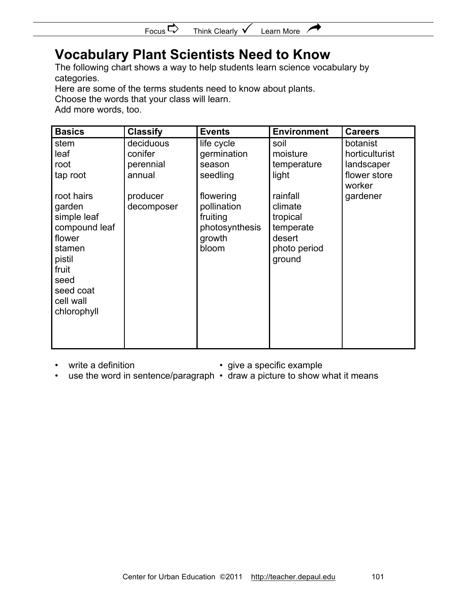

# **Vocabulary Plant Scientists Need to Know**

The following chart shows a way to help students learn science vocabulary by categories.

Here are some of the terms students need to know about plants.

Choose the words that your class will learn.

Add more words, too.

| deciduous<br>life cycle<br>botanist<br>stem<br>soil<br>germination<br>horticulturist<br>leaf<br>conifer<br>moisture<br>perennial<br>temperature<br>landscaper<br>root<br>season<br>flower store<br>light<br>tap root<br>annual<br>seedling<br>worker<br>rainfall<br>root hairs<br>flowering<br>gardener<br>producer<br>pollination<br>decomposer<br>climate<br>garden<br>simple leaf<br>fruiting<br>tropical<br>compound leaf<br>photosynthesis<br>temperate<br>desert<br>flower<br>growth<br>bloom<br>photo period<br>stamen<br>pistil<br>ground<br>fruit<br>seed | <b>Basics</b> | <b>Classify</b> | <b>Events</b> | <b>Environment</b> | <b>Careers</b> |
|--------------------------------------------------------------------------------------------------------------------------------------------------------------------------------------------------------------------------------------------------------------------------------------------------------------------------------------------------------------------------------------------------------------------------------------------------------------------------------------------------------------------------------------------------------------------|---------------|-----------------|---------------|--------------------|----------------|
| cell wall<br>chlorophyll                                                                                                                                                                                                                                                                                                                                                                                                                                                                                                                                           | seed coat     |                 |               |                    |                |

- 
- write a definition **•** give a specific example
- 
- use the word in sentence/paragraph draw a picture to show what it means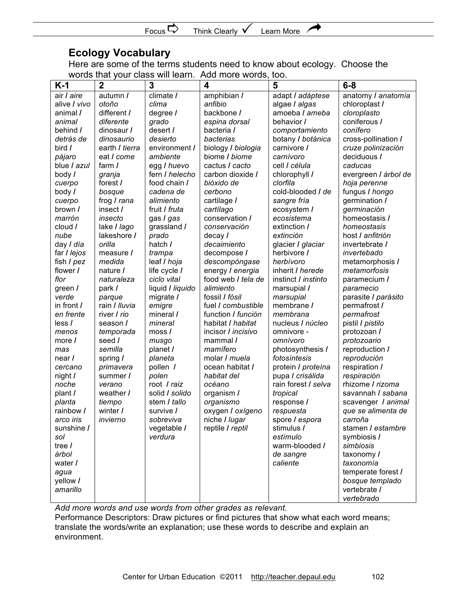

## **Ecology Vocabulary**

Here are some of the terms students need to know about ecology. Choose the words that your class will learn. Add more words, too.

| $K-1$               | $\overline{2}$      | 3                           | 5<br>$\overline{\mathbf{4}}$   |                                         | $6 - 8$                         |
|---------------------|---------------------|-----------------------------|--------------------------------|-----------------------------------------|---------------------------------|
| air / aire          | autumn /            | climate /                   | amphibian /                    | adapt / adáptese                        | anatomy / anatomía              |
| alive / vivo        | otoño               | clima                       | anfibio                        | algae / algas                           | chloroplast /                   |
| animal /            | different /         | degree $I$                  | backbone /                     | amoeba / ameba                          | cloroplasto                     |
| animal              | diferente           | grado                       | espina dorsal                  | behavior /                              | coniferous /                    |
| behind /            | dinosaur /          | desert /                    | bacteria /                     | comportamiento                          | conífero                        |
| detrás de           | dinosaurio          | desierto                    | bacterias                      | botany / botánica                       | cross-pollination /             |
| bird /              | earth / tierra      | environment /               | biology / biologia             | carnivore /                             | cruze polinización              |
| pájaro              | eat / come          | ambiente                    | biome I biome                  | carnívoro                               | deciduous /                     |
| blue / azul         | farm /              | egg / huevo                 | cactus / cacto                 | cell / célula                           | caducas                         |
| body /              | granja              | fern / helecho              | carbon dioxide /               | chlorophyll /                           | evergreen / árbol de            |
| cuerpo              | forest /            | food chain /                | bióxido de                     | clorfila                                | hoja perenne                    |
| body /              | bosque              | cadena de                   | cerbono                        | cold-blooded / de                       | fungus / hongo                  |
| cuerpo              | frog / rana         | alimiento                   | cartilage /                    | sangre fría                             | germination /                   |
| brown /             | insect /            | fruit / fruta               | cartílago                      | ecosystem /                             | germinación                     |
| marrón              | insecto             | gas / gas                   | conservation /                 | ecosistema                              | homeostasis /                   |
| cloud /             | lake / lago         | grassland /                 | conservación                   | extinction /                            | homeostasis                     |
| nube                | lakeshore /         | prado                       | decay /                        | extinción                               | host / anfitrión                |
| day / día           | orilla              | hatch /                     | decaimiento                    | glacier / glaciar                       | invertebrate /                  |
| far / lejos         | measure /           | trampa                      | decompose /                    | herbivore /                             | invertebado                     |
| fish / pez          | medida              | leaf / hoja                 | descompóngase                  | herbívoro                               | metamorphosis /                 |
| flower /            | nature /            | life cycle /                | energy / energia               | inherit I herede                        | metamorfosis                    |
| flor                | naturaleza          | ciclo vital                 | food web I tela de             | instinct I instinto                     | paramecium /                    |
| green /             | park /              | liquid / liquido            | alimiento                      | marsupial /                             | paramecio                       |
| verde               | parque              | migrate /                   | fossil <i>I fósil</i>          | marsupial                               | parasite / parásito             |
| in front /          | rain / lluvia       | emigre                      | fuel I combustible             | membrane /                              | permafrost /                    |
| en frente           | river <i>I rio</i>  | mineral /                   | function <i>I función</i>      | membrana                                | permafrost                      |
| less /              | season /            | mineral                     | habitat I habitat              | nucleus / núcleo                        | pistil / pistilo                |
| menos               | temporada           | moss /                      | incisor / incisivo             | omnivore -                              | protozoan /                     |
| more /              | seed /              | musgo                       | mammal /                       | omnívoro                                | protozoario                     |
| mas                 | semilla             | planet /                    | mamífero                       | photosynthesis /                        | reproduction /                  |
| near /              | spring /            | planeta                     | molar / muela                  | fotosíntesis                            | reprodución                     |
| cercano             | primavera           | pollen /                    | ocean habitat /<br>habitat del | protein I proteína                      | respiration /                   |
| night /             | summer /            | polen<br>root <i>I raiz</i> | océano                         | pupa / crisálida<br>rain forest / selva | respiración<br>rhizome / rizoma |
| noche<br>plant /    | verano<br>weather / | solid / solido              | organism /                     | tropical                                | savannah / sabana               |
|                     | tiempo              | stem / tallo                | organismo                      |                                         | scavenger / animal              |
| planta<br>rainbow / | winter /            | survive /                   | oxygen / oxígeno               | response /<br>respuesta                 | que se alimenta de              |
| arco iris           | invierno            | sobreviva                   | niche <i>I lugar</i>           | spore / espora                          | carroña                         |
| sunshine /          |                     | vegetable /                 | reptile I reptil               | stimulus /                              | stamen / estambre               |
| sol                 |                     | verdura                     |                                | estímulo                                | symbiosis /                     |
| tree $I$            |                     |                             |                                | warm-blooded /                          | simbiosis                       |
| árbol               |                     |                             |                                | de sangre                               | taxonomy /                      |
| water /             |                     |                             |                                | caliente                                | taxonomía                       |
| agua                |                     |                             |                                |                                         | temperate forest /              |
| yellow /            |                     |                             |                                |                                         | bosque templado                 |
| amarillo            |                     |                             |                                |                                         | vertebrate /                    |
|                     |                     |                             |                                |                                         | vertebrado                      |

*Add more words and use words from other grades as relevant.* 

Performance Descriptors: Draw pictures or find pictures that show what each word means; translate the words/write an explanation; use these words to describe and explain an environment.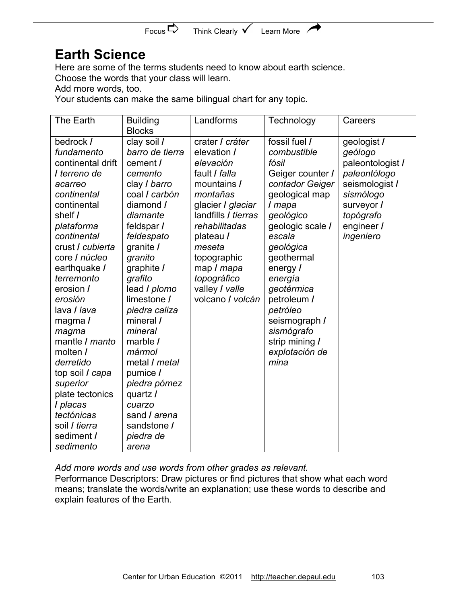# $Focus \rightarrow$  Think Clearly  $\checkmark$  Learn More

# **Earth Science**

Here are some of the terms students need to know about earth science.

Choose the words that your class will learn.

Add more words, too.

Your students can make the same bilingual chart for any topic.

| The Earth                                                                                                                                                                                                                                                                                                                                             | <b>Building</b>                                                                                                                                                                                                                                                                                                                                          | Landforms                                                                                                                                                                                                                                                     | Technology                                                                                                                                                                                                                                                                                                                | Careers                                                                                                                                         |
|-------------------------------------------------------------------------------------------------------------------------------------------------------------------------------------------------------------------------------------------------------------------------------------------------------------------------------------------------------|----------------------------------------------------------------------------------------------------------------------------------------------------------------------------------------------------------------------------------------------------------------------------------------------------------------------------------------------------------|---------------------------------------------------------------------------------------------------------------------------------------------------------------------------------------------------------------------------------------------------------------|---------------------------------------------------------------------------------------------------------------------------------------------------------------------------------------------------------------------------------------------------------------------------------------------------------------------------|-------------------------------------------------------------------------------------------------------------------------------------------------|
| bedrock /<br>fundamento<br>continental drift<br>I terreno de<br>acarreo<br>continental<br>continental<br>shelf /<br>plataforma<br>continental<br>crust / cubierta<br>core / núcleo<br>earthquake /<br>terremonto<br>erosion /<br>erosión<br>lava / lava<br>magma /<br>magma<br>mantle / manto<br>molten /<br>derretido<br>top soil / capa<br>superior | <b>Blocks</b><br>clay soil /<br>barro de tierra<br>cement /<br>cemento<br>clay / barro<br>coal / carbón<br>diamond /<br>diamante<br>feldspar /<br>feldespato<br>granite /<br>granito<br>graphite /<br>grafito<br>lead / plomo<br>limestone /<br>piedra caliza<br>mineral /<br>mineral<br>marble /<br>mármol<br>metal I metal<br>pumice /<br>piedra pómez | crater / cráter<br>elevation /<br>elevación<br>fault / falla<br>mountains /<br>montañas<br>glacier / glaciar<br>landfills / tierras<br>rehabilitadas<br>plateau /<br>meseta<br>topographic<br>map / mapa<br>topográfico<br>valley / valle<br>volcano / volcán | fossil fuel /<br>combustible<br>fósil<br>Geiger counter /<br>contador Geiger<br>geological map<br>I mapa<br>geológico<br>geologic scale /<br>escala<br>geológica<br>geothermal<br>energy /<br>energía<br>geotérmica<br>petroleum /<br>petróleo<br>seismograph /<br>sismógrafo<br>strip mining /<br>explotación de<br>mina | geologist /<br>geólogo<br>paleontologist /<br>paleontólogo<br>seismologist /<br>sismólogo<br>surveyor /<br>topógrafo<br>engineer /<br>ingeniero |
|                                                                                                                                                                                                                                                                                                                                                       |                                                                                                                                                                                                                                                                                                                                                          |                                                                                                                                                                                                                                                               |                                                                                                                                                                                                                                                                                                                           |                                                                                                                                                 |
|                                                                                                                                                                                                                                                                                                                                                       |                                                                                                                                                                                                                                                                                                                                                          |                                                                                                                                                                                                                                                               |                                                                                                                                                                                                                                                                                                                           |                                                                                                                                                 |
| plate tectonics<br>I placas                                                                                                                                                                                                                                                                                                                           | quartz /<br>cuarzo                                                                                                                                                                                                                                                                                                                                       |                                                                                                                                                                                                                                                               |                                                                                                                                                                                                                                                                                                                           |                                                                                                                                                 |
| tectónicas<br>soil / tierra                                                                                                                                                                                                                                                                                                                           | sand / arena<br>sandstone /                                                                                                                                                                                                                                                                                                                              |                                                                                                                                                                                                                                                               |                                                                                                                                                                                                                                                                                                                           |                                                                                                                                                 |
| sediment /<br>sedimento                                                                                                                                                                                                                                                                                                                               | piedra de<br>arena                                                                                                                                                                                                                                                                                                                                       |                                                                                                                                                                                                                                                               |                                                                                                                                                                                                                                                                                                                           |                                                                                                                                                 |

*Add more words and use words from other grades as relevant.* 

Performance Descriptors: Draw pictures or find pictures that show what each word means; translate the words/write an explanation; use these words to describe and explain features of the Earth.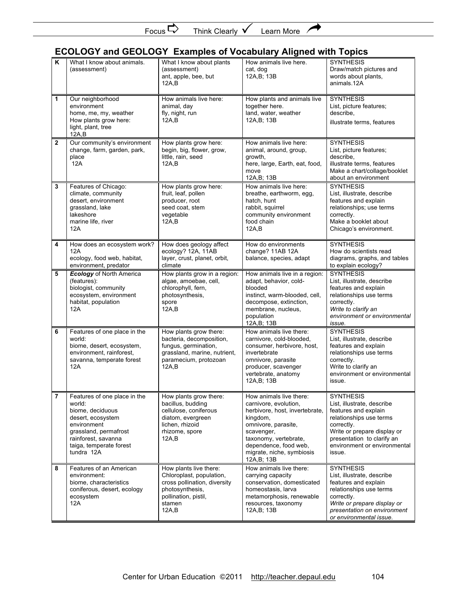Focus  $\Box$  Think Clearly  $\checkmark$  Learn More

### **ECOLOGY and GEOLOGY Examples of Vocabulary Aligned with Topics**

| Κ              | What I know about animals.<br>(assessment)                                                                                                                                              | What I know about plants<br>(assessment)                                                                                                         | ----<br>How animals live here.<br>cat, dog                                                                                                                                                                                        | <b>SYNTHESIS</b><br>Draw/match pictures and                                                                                                                                                                            |
|----------------|-----------------------------------------------------------------------------------------------------------------------------------------------------------------------------------------|--------------------------------------------------------------------------------------------------------------------------------------------------|-----------------------------------------------------------------------------------------------------------------------------------------------------------------------------------------------------------------------------------|------------------------------------------------------------------------------------------------------------------------------------------------------------------------------------------------------------------------|
|                |                                                                                                                                                                                         | ant, apple, bee, but<br>12A,B                                                                                                                    | 12A, B; 13B                                                                                                                                                                                                                       | words about plants,<br>animals.12A                                                                                                                                                                                     |
| 1              | Our neighborhood<br>environment<br>home, me, my, weather<br>How plants grow here:<br>light, plant, tree<br>12A,B                                                                        | How animals live here:<br>animal, day<br>fly, night, run<br>12A,B                                                                                | How plants and animals live<br>together here.<br>land, water, weather<br>12A, B; 13B                                                                                                                                              | <b>SYNTHESIS</b><br>List, picture features;<br>describe.<br>illustrate terms, features                                                                                                                                 |
| $\overline{2}$ | Our community's environment<br>change, farm, garden, park,<br>place<br>12A                                                                                                              | How plants grow here:<br>begin, big, flower, grow,<br>little, rain, seed<br>12A,B                                                                | How animals live here:<br>animal, around, group,<br>growth,<br>here, large, Earth, eat, food,<br>move<br>12A,B; 13B                                                                                                               | <b>SYNTHESIS</b><br>List, picture features;<br>describe.<br>illustrate terms, features<br>Make a chart/collage/booklet<br>about an environment                                                                         |
| 3              | Features of Chicago:<br>climate, community<br>desert, environment<br>grassland, lake<br>lakeshore<br>marine life, river<br>12A                                                          | How plants grow here:<br>fruit, leaf, pollen<br>producer, root<br>seed coat, stem<br>vegetable<br>12A,B                                          | How animals live here:<br>breathe, earthworm, egg,<br>hatch, hunt<br>rabbit, squirrel<br>community environment<br>food chain<br>12A,B                                                                                             | <b>SYNTHESIS</b><br>List, illustrate, describe<br>features and explain<br>relationships; use terms<br>correctly.<br>Make a booklet about<br>Chicago's environment.                                                     |
| 4              | How does an ecosystem work?<br>12A<br>ecology, food web, habitat,<br>environment, predator                                                                                              | How does geology affect<br>ecology? 12A, 11AB<br>layer, crust, planet, orbit,<br>climate                                                         | How do environments<br>change? 11AB 12A<br>balance, species, adapt                                                                                                                                                                | <b>SYNTHESIS</b><br>How do scientists read<br>diagrams, graphs, and tables<br>to explain ecology?                                                                                                                      |
| 5              | <b>Ecology</b> of North America<br>(features):<br>biologist, community<br>ecosystem, environment<br>habitat, population<br>12A                                                          | How plants grow in a region:<br>algae, amoebae, cell,<br>chlorophyll, fern,<br>photosynthesis,<br>spore<br>12A,B                                 | How animals live in a region:<br>adapt, behavior, cold-<br>blooded<br>instinct, warm-blooded, cell,<br>decompose, extinction,<br>membrane, nucleus,<br>population<br>12A, B; 13B                                                  | <b>SYNTHESIS</b><br>List, illustrate, describe<br>features and explain<br>relationships use terms<br>correctly.<br>Write to clarify an<br>environment or environmental<br>issue.                                       |
| 6              | Features of one place in the<br>world:<br>biome, desert, ecosystem,<br>environment, rainforest,<br>savanna, temperate forest<br>12A                                                     | How plants grow there:<br>bacteria, decomposition,<br>fungus, germination,<br>grassland, marine, nutrient,<br>paramecium, protozoan<br>12A,B     | How animals live there:<br>carnivore, cold-blooded,<br>consumer, herbivore, host,<br>invertebrate<br>omnivore, parasite<br>producer, scavenger<br>vertebrate, anatomy<br>12A, B; 13B                                              | <b>SYNTHESIS</b><br>List, illustrate, describe<br>features and explain<br>relationships use terms<br>correctly.<br>Write to clarify an<br>environment or environmental<br>issue.                                       |
| 7              | Features of one place in the<br>world:<br>biome, deciduous<br>desert, ecosystem<br>environment<br>grassland, permafrost<br>rainforest, savanna<br>taiga, temperate forest<br>tundra 12A | How plants grow there:<br>bacillus, budding<br>cellulose, coniferous<br>diatom, evergreen<br>lichen, rhizoid<br>rhizome, spore<br>12A,B          | How animals live there:<br>carnivore, evolution,<br>herbivore, host, invertebrate,<br>kingdom,<br>omnivore, parasite,<br>scavenger,<br>taxonomy, vertebrate,<br>dependence, food web,<br>migrate, niche, symbiosis<br>12A, B; 13B | <b>SYNTHESIS</b><br>List, illustrate, describe<br>features and explain<br>relationships use terms<br>correctly.<br>Write or prepare display or<br>presentation to clarify an<br>environment or environmental<br>issue. |
| 8              | Features of an American<br>environment:<br>biome, characteristics<br>coniferous, desert, ecology<br>ecosystem<br>12A                                                                    | How plants live there:<br>Chloroplast, population,<br>cross pollination, diversity<br>photosynthesis,<br>pollination, pistil,<br>stamen<br>12A,B | How animals live there:<br>carrying capacity<br>conservation, domesticated<br>homeostasis, larva<br>metamorphosis, renewable<br>resources, taxonomy<br>12A, B; 13B                                                                | <b>SYNTHESIS</b><br>List, illustrate, describe<br>features and explain<br>relationships use terms<br>correctly.<br>Write or prepare display or<br>presentation on environment<br>or environmental issue.               |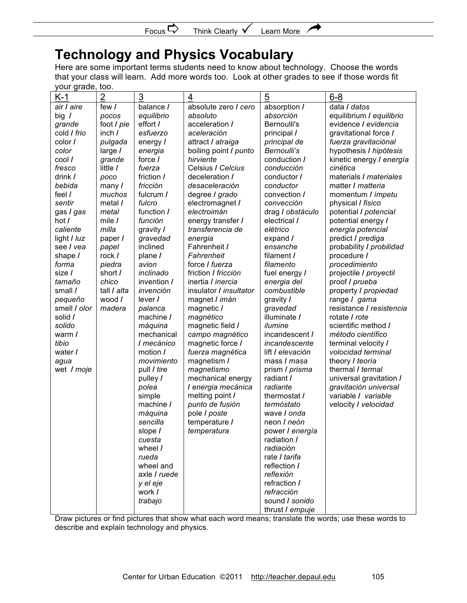# **Technology and Physics Vocabulary**

Here are some important terms students need to know about technology. Choose the words that your class will learn. Add more words too. Look at other grades to see if those words fit your grade, too.

Focus  $\overline{\mathbb{C}}$  Think Clearly  $\checkmark$  Learn More

| $\overline{2}$<br>$K-1$                                                                                                                                                                                                                                              |                                                                                                                                                                                   | 3                                                                                                                                                                                                                                                                                                                                                                                                                                                                                          | 4                                                                                                                                                                                                                                                                                                                                                                                                                                                                                                                                                                                                | 5                                                                                                                                                                                                                                                                                                                                                                                                                                                                                                                                                                                                                        | $6 - 8$                                                                                                                                                                                                                                                                                                                                                                                                                                                                                                                                                                                                                                                  |
|----------------------------------------------------------------------------------------------------------------------------------------------------------------------------------------------------------------------------------------------------------------------|-----------------------------------------------------------------------------------------------------------------------------------------------------------------------------------|--------------------------------------------------------------------------------------------------------------------------------------------------------------------------------------------------------------------------------------------------------------------------------------------------------------------------------------------------------------------------------------------------------------------------------------------------------------------------------------------|--------------------------------------------------------------------------------------------------------------------------------------------------------------------------------------------------------------------------------------------------------------------------------------------------------------------------------------------------------------------------------------------------------------------------------------------------------------------------------------------------------------------------------------------------------------------------------------------------|--------------------------------------------------------------------------------------------------------------------------------------------------------------------------------------------------------------------------------------------------------------------------------------------------------------------------------------------------------------------------------------------------------------------------------------------------------------------------------------------------------------------------------------------------------------------------------------------------------------------------|----------------------------------------------------------------------------------------------------------------------------------------------------------------------------------------------------------------------------------------------------------------------------------------------------------------------------------------------------------------------------------------------------------------------------------------------------------------------------------------------------------------------------------------------------------------------------------------------------------------------------------------------------------|
| air / aire                                                                                                                                                                                                                                                           | few $\prime$                                                                                                                                                                      | $\overline{$ balance /                                                                                                                                                                                                                                                                                                                                                                                                                                                                     | absolute zero / cero                                                                                                                                                                                                                                                                                                                                                                                                                                                                                                                                                                             | absorption /                                                                                                                                                                                                                                                                                                                                                                                                                                                                                                                                                                                                             | data / datos                                                                                                                                                                                                                                                                                                                                                                                                                                                                                                                                                                                                                                             |
| big $\prime$                                                                                                                                                                                                                                                         | pocos                                                                                                                                                                             | equilibrio                                                                                                                                                                                                                                                                                                                                                                                                                                                                                 | absoluto                                                                                                                                                                                                                                                                                                                                                                                                                                                                                                                                                                                         | absorción                                                                                                                                                                                                                                                                                                                                                                                                                                                                                                                                                                                                                | equilibrium / equilibrio                                                                                                                                                                                                                                                                                                                                                                                                                                                                                                                                                                                                                                 |
| grande                                                                                                                                                                                                                                                               | foot / pie                                                                                                                                                                        | effort /                                                                                                                                                                                                                                                                                                                                                                                                                                                                                   | acceleration /                                                                                                                                                                                                                                                                                                                                                                                                                                                                                                                                                                                   | <b>Bernoulli's</b>                                                                                                                                                                                                                                                                                                                                                                                                                                                                                                                                                                                                       | evidence / evidencia                                                                                                                                                                                                                                                                                                                                                                                                                                                                                                                                                                                                                                     |
| cold / frio                                                                                                                                                                                                                                                          | inch/                                                                                                                                                                             | esfuerzo                                                                                                                                                                                                                                                                                                                                                                                                                                                                                   | aceleración                                                                                                                                                                                                                                                                                                                                                                                                                                                                                                                                                                                      | principal /                                                                                                                                                                                                                                                                                                                                                                                                                                                                                                                                                                                                              | gravitational force /                                                                                                                                                                                                                                                                                                                                                                                                                                                                                                                                                                                                                                    |
| color /                                                                                                                                                                                                                                                              | pulgada                                                                                                                                                                           | energy /                                                                                                                                                                                                                                                                                                                                                                                                                                                                                   | attract / atraiga                                                                                                                                                                                                                                                                                                                                                                                                                                                                                                                                                                                | principal de                                                                                                                                                                                                                                                                                                                                                                                                                                                                                                                                                                                                             | fuerza gravitaciónal                                                                                                                                                                                                                                                                                                                                                                                                                                                                                                                                                                                                                                     |
| color                                                                                                                                                                                                                                                                | large /                                                                                                                                                                           | energia                                                                                                                                                                                                                                                                                                                                                                                                                                                                                    | boiling point I punto                                                                                                                                                                                                                                                                                                                                                                                                                                                                                                                                                                            | Bernoulli's                                                                                                                                                                                                                                                                                                                                                                                                                                                                                                                                                                                                              | hypothesis / hipótesis                                                                                                                                                                                                                                                                                                                                                                                                                                                                                                                                                                                                                                   |
|                                                                                                                                                                                                                                                                      | grande                                                                                                                                                                            |                                                                                                                                                                                                                                                                                                                                                                                                                                                                                            |                                                                                                                                                                                                                                                                                                                                                                                                                                                                                                                                                                                                  |                                                                                                                                                                                                                                                                                                                                                                                                                                                                                                                                                                                                                          |                                                                                                                                                                                                                                                                                                                                                                                                                                                                                                                                                                                                                                                          |
| fresco                                                                                                                                                                                                                                                               |                                                                                                                                                                                   |                                                                                                                                                                                                                                                                                                                                                                                                                                                                                            |                                                                                                                                                                                                                                                                                                                                                                                                                                                                                                                                                                                                  |                                                                                                                                                                                                                                                                                                                                                                                                                                                                                                                                                                                                                          | cinética                                                                                                                                                                                                                                                                                                                                                                                                                                                                                                                                                                                                                                                 |
|                                                                                                                                                                                                                                                                      |                                                                                                                                                                                   |                                                                                                                                                                                                                                                                                                                                                                                                                                                                                            |                                                                                                                                                                                                                                                                                                                                                                                                                                                                                                                                                                                                  | conductor /                                                                                                                                                                                                                                                                                                                                                                                                                                                                                                                                                                                                              |                                                                                                                                                                                                                                                                                                                                                                                                                                                                                                                                                                                                                                                          |
|                                                                                                                                                                                                                                                                      |                                                                                                                                                                                   |                                                                                                                                                                                                                                                                                                                                                                                                                                                                                            |                                                                                                                                                                                                                                                                                                                                                                                                                                                                                                                                                                                                  |                                                                                                                                                                                                                                                                                                                                                                                                                                                                                                                                                                                                                          |                                                                                                                                                                                                                                                                                                                                                                                                                                                                                                                                                                                                                                                          |
|                                                                                                                                                                                                                                                                      |                                                                                                                                                                                   |                                                                                                                                                                                                                                                                                                                                                                                                                                                                                            |                                                                                                                                                                                                                                                                                                                                                                                                                                                                                                                                                                                                  |                                                                                                                                                                                                                                                                                                                                                                                                                                                                                                                                                                                                                          |                                                                                                                                                                                                                                                                                                                                                                                                                                                                                                                                                                                                                                                          |
|                                                                                                                                                                                                                                                                      |                                                                                                                                                                                   |                                                                                                                                                                                                                                                                                                                                                                                                                                                                                            |                                                                                                                                                                                                                                                                                                                                                                                                                                                                                                                                                                                                  |                                                                                                                                                                                                                                                                                                                                                                                                                                                                                                                                                                                                                          |                                                                                                                                                                                                                                                                                                                                                                                                                                                                                                                                                                                                                                                          |
|                                                                                                                                                                                                                                                                      |                                                                                                                                                                                   |                                                                                                                                                                                                                                                                                                                                                                                                                                                                                            |                                                                                                                                                                                                                                                                                                                                                                                                                                                                                                                                                                                                  |                                                                                                                                                                                                                                                                                                                                                                                                                                                                                                                                                                                                                          |                                                                                                                                                                                                                                                                                                                                                                                                                                                                                                                                                                                                                                                          |
|                                                                                                                                                                                                                                                                      |                                                                                                                                                                                   |                                                                                                                                                                                                                                                                                                                                                                                                                                                                                            |                                                                                                                                                                                                                                                                                                                                                                                                                                                                                                                                                                                                  |                                                                                                                                                                                                                                                                                                                                                                                                                                                                                                                                                                                                                          |                                                                                                                                                                                                                                                                                                                                                                                                                                                                                                                                                                                                                                                          |
|                                                                                                                                                                                                                                                                      |                                                                                                                                                                                   |                                                                                                                                                                                                                                                                                                                                                                                                                                                                                            |                                                                                                                                                                                                                                                                                                                                                                                                                                                                                                                                                                                                  |                                                                                                                                                                                                                                                                                                                                                                                                                                                                                                                                                                                                                          |                                                                                                                                                                                                                                                                                                                                                                                                                                                                                                                                                                                                                                                          |
|                                                                                                                                                                                                                                                                      |                                                                                                                                                                                   |                                                                                                                                                                                                                                                                                                                                                                                                                                                                                            |                                                                                                                                                                                                                                                                                                                                                                                                                                                                                                                                                                                                  |                                                                                                                                                                                                                                                                                                                                                                                                                                                                                                                                                                                                                          |                                                                                                                                                                                                                                                                                                                                                                                                                                                                                                                                                                                                                                                          |
|                                                                                                                                                                                                                                                                      |                                                                                                                                                                                   |                                                                                                                                                                                                                                                                                                                                                                                                                                                                                            |                                                                                                                                                                                                                                                                                                                                                                                                                                                                                                                                                                                                  |                                                                                                                                                                                                                                                                                                                                                                                                                                                                                                                                                                                                                          |                                                                                                                                                                                                                                                                                                                                                                                                                                                                                                                                                                                                                                                          |
|                                                                                                                                                                                                                                                                      |                                                                                                                                                                                   |                                                                                                                                                                                                                                                                                                                                                                                                                                                                                            |                                                                                                                                                                                                                                                                                                                                                                                                                                                                                                                                                                                                  |                                                                                                                                                                                                                                                                                                                                                                                                                                                                                                                                                                                                                          |                                                                                                                                                                                                                                                                                                                                                                                                                                                                                                                                                                                                                                                          |
|                                                                                                                                                                                                                                                                      |                                                                                                                                                                                   |                                                                                                                                                                                                                                                                                                                                                                                                                                                                                            |                                                                                                                                                                                                                                                                                                                                                                                                                                                                                                                                                                                                  |                                                                                                                                                                                                                                                                                                                                                                                                                                                                                                                                                                                                                          |                                                                                                                                                                                                                                                                                                                                                                                                                                                                                                                                                                                                                                                          |
|                                                                                                                                                                                                                                                                      |                                                                                                                                                                                   |                                                                                                                                                                                                                                                                                                                                                                                                                                                                                            |                                                                                                                                                                                                                                                                                                                                                                                                                                                                                                                                                                                                  |                                                                                                                                                                                                                                                                                                                                                                                                                                                                                                                                                                                                                          |                                                                                                                                                                                                                                                                                                                                                                                                                                                                                                                                                                                                                                                          |
|                                                                                                                                                                                                                                                                      |                                                                                                                                                                                   |                                                                                                                                                                                                                                                                                                                                                                                                                                                                                            |                                                                                                                                                                                                                                                                                                                                                                                                                                                                                                                                                                                                  |                                                                                                                                                                                                                                                                                                                                                                                                                                                                                                                                                                                                                          |                                                                                                                                                                                                                                                                                                                                                                                                                                                                                                                                                                                                                                                          |
|                                                                                                                                                                                                                                                                      |                                                                                                                                                                                   |                                                                                                                                                                                                                                                                                                                                                                                                                                                                                            |                                                                                                                                                                                                                                                                                                                                                                                                                                                                                                                                                                                                  |                                                                                                                                                                                                                                                                                                                                                                                                                                                                                                                                                                                                                          |                                                                                                                                                                                                                                                                                                                                                                                                                                                                                                                                                                                                                                                          |
|                                                                                                                                                                                                                                                                      |                                                                                                                                                                                   |                                                                                                                                                                                                                                                                                                                                                                                                                                                                                            |                                                                                                                                                                                                                                                                                                                                                                                                                                                                                                                                                                                                  |                                                                                                                                                                                                                                                                                                                                                                                                                                                                                                                                                                                                                          |                                                                                                                                                                                                                                                                                                                                                                                                                                                                                                                                                                                                                                                          |
|                                                                                                                                                                                                                                                                      |                                                                                                                                                                                   |                                                                                                                                                                                                                                                                                                                                                                                                                                                                                            |                                                                                                                                                                                                                                                                                                                                                                                                                                                                                                                                                                                                  |                                                                                                                                                                                                                                                                                                                                                                                                                                                                                                                                                                                                                          |                                                                                                                                                                                                                                                                                                                                                                                                                                                                                                                                                                                                                                                          |
|                                                                                                                                                                                                                                                                      |                                                                                                                                                                                   |                                                                                                                                                                                                                                                                                                                                                                                                                                                                                            |                                                                                                                                                                                                                                                                                                                                                                                                                                                                                                                                                                                                  |                                                                                                                                                                                                                                                                                                                                                                                                                                                                                                                                                                                                                          |                                                                                                                                                                                                                                                                                                                                                                                                                                                                                                                                                                                                                                                          |
|                                                                                                                                                                                                                                                                      |                                                                                                                                                                                   |                                                                                                                                                                                                                                                                                                                                                                                                                                                                                            |                                                                                                                                                                                                                                                                                                                                                                                                                                                                                                                                                                                                  |                                                                                                                                                                                                                                                                                                                                                                                                                                                                                                                                                                                                                          |                                                                                                                                                                                                                                                                                                                                                                                                                                                                                                                                                                                                                                                          |
|                                                                                                                                                                                                                                                                      |                                                                                                                                                                                   |                                                                                                                                                                                                                                                                                                                                                                                                                                                                                            |                                                                                                                                                                                                                                                                                                                                                                                                                                                                                                                                                                                                  |                                                                                                                                                                                                                                                                                                                                                                                                                                                                                                                                                                                                                          |                                                                                                                                                                                                                                                                                                                                                                                                                                                                                                                                                                                                                                                          |
|                                                                                                                                                                                                                                                                      |                                                                                                                                                                                   |                                                                                                                                                                                                                                                                                                                                                                                                                                                                                            |                                                                                                                                                                                                                                                                                                                                                                                                                                                                                                                                                                                                  |                                                                                                                                                                                                                                                                                                                                                                                                                                                                                                                                                                                                                          |                                                                                                                                                                                                                                                                                                                                                                                                                                                                                                                                                                                                                                                          |
|                                                                                                                                                                                                                                                                      |                                                                                                                                                                                   |                                                                                                                                                                                                                                                                                                                                                                                                                                                                                            |                                                                                                                                                                                                                                                                                                                                                                                                                                                                                                                                                                                                  |                                                                                                                                                                                                                                                                                                                                                                                                                                                                                                                                                                                                                          |                                                                                                                                                                                                                                                                                                                                                                                                                                                                                                                                                                                                                                                          |
|                                                                                                                                                                                                                                                                      |                                                                                                                                                                                   |                                                                                                                                                                                                                                                                                                                                                                                                                                                                                            |                                                                                                                                                                                                                                                                                                                                                                                                                                                                                                                                                                                                  |                                                                                                                                                                                                                                                                                                                                                                                                                                                                                                                                                                                                                          |                                                                                                                                                                                                                                                                                                                                                                                                                                                                                                                                                                                                                                                          |
|                                                                                                                                                                                                                                                                      |                                                                                                                                                                                   |                                                                                                                                                                                                                                                                                                                                                                                                                                                                                            |                                                                                                                                                                                                                                                                                                                                                                                                                                                                                                                                                                                                  |                                                                                                                                                                                                                                                                                                                                                                                                                                                                                                                                                                                                                          |                                                                                                                                                                                                                                                                                                                                                                                                                                                                                                                                                                                                                                                          |
|                                                                                                                                                                                                                                                                      |                                                                                                                                                                                   |                                                                                                                                                                                                                                                                                                                                                                                                                                                                                            |                                                                                                                                                                                                                                                                                                                                                                                                                                                                                                                                                                                                  |                                                                                                                                                                                                                                                                                                                                                                                                                                                                                                                                                                                                                          |                                                                                                                                                                                                                                                                                                                                                                                                                                                                                                                                                                                                                                                          |
|                                                                                                                                                                                                                                                                      |                                                                                                                                                                                   |                                                                                                                                                                                                                                                                                                                                                                                                                                                                                            |                                                                                                                                                                                                                                                                                                                                                                                                                                                                                                                                                                                                  |                                                                                                                                                                                                                                                                                                                                                                                                                                                                                                                                                                                                                          |                                                                                                                                                                                                                                                                                                                                                                                                                                                                                                                                                                                                                                                          |
|                                                                                                                                                                                                                                                                      |                                                                                                                                                                                   |                                                                                                                                                                                                                                                                                                                                                                                                                                                                                            |                                                                                                                                                                                                                                                                                                                                                                                                                                                                                                                                                                                                  |                                                                                                                                                                                                                                                                                                                                                                                                                                                                                                                                                                                                                          |                                                                                                                                                                                                                                                                                                                                                                                                                                                                                                                                                                                                                                                          |
|                                                                                                                                                                                                                                                                      |                                                                                                                                                                                   |                                                                                                                                                                                                                                                                                                                                                                                                                                                                                            |                                                                                                                                                                                                                                                                                                                                                                                                                                                                                                                                                                                                  |                                                                                                                                                                                                                                                                                                                                                                                                                                                                                                                                                                                                                          |                                                                                                                                                                                                                                                                                                                                                                                                                                                                                                                                                                                                                                                          |
|                                                                                                                                                                                                                                                                      |                                                                                                                                                                                   |                                                                                                                                                                                                                                                                                                                                                                                                                                                                                            |                                                                                                                                                                                                                                                                                                                                                                                                                                                                                                                                                                                                  |                                                                                                                                                                                                                                                                                                                                                                                                                                                                                                                                                                                                                          |                                                                                                                                                                                                                                                                                                                                                                                                                                                                                                                                                                                                                                                          |
|                                                                                                                                                                                                                                                                      |                                                                                                                                                                                   |                                                                                                                                                                                                                                                                                                                                                                                                                                                                                            |                                                                                                                                                                                                                                                                                                                                                                                                                                                                                                                                                                                                  |                                                                                                                                                                                                                                                                                                                                                                                                                                                                                                                                                                                                                          |                                                                                                                                                                                                                                                                                                                                                                                                                                                                                                                                                                                                                                                          |
|                                                                                                                                                                                                                                                                      |                                                                                                                                                                                   |                                                                                                                                                                                                                                                                                                                                                                                                                                                                                            |                                                                                                                                                                                                                                                                                                                                                                                                                                                                                                                                                                                                  |                                                                                                                                                                                                                                                                                                                                                                                                                                                                                                                                                                                                                          |                                                                                                                                                                                                                                                                                                                                                                                                                                                                                                                                                                                                                                                          |
|                                                                                                                                                                                                                                                                      |                                                                                                                                                                                   |                                                                                                                                                                                                                                                                                                                                                                                                                                                                                            |                                                                                                                                                                                                                                                                                                                                                                                                                                                                                                                                                                                                  |                                                                                                                                                                                                                                                                                                                                                                                                                                                                                                                                                                                                                          |                                                                                                                                                                                                                                                                                                                                                                                                                                                                                                                                                                                                                                                          |
|                                                                                                                                                                                                                                                                      |                                                                                                                                                                                   |                                                                                                                                                                                                                                                                                                                                                                                                                                                                                            |                                                                                                                                                                                                                                                                                                                                                                                                                                                                                                                                                                                                  |                                                                                                                                                                                                                                                                                                                                                                                                                                                                                                                                                                                                                          |                                                                                                                                                                                                                                                                                                                                                                                                                                                                                                                                                                                                                                                          |
|                                                                                                                                                                                                                                                                      |                                                                                                                                                                                   |                                                                                                                                                                                                                                                                                                                                                                                                                                                                                            |                                                                                                                                                                                                                                                                                                                                                                                                                                                                                                                                                                                                  |                                                                                                                                                                                                                                                                                                                                                                                                                                                                                                                                                                                                                          |                                                                                                                                                                                                                                                                                                                                                                                                                                                                                                                                                                                                                                                          |
|                                                                                                                                                                                                                                                                      |                                                                                                                                                                                   |                                                                                                                                                                                                                                                                                                                                                                                                                                                                                            |                                                                                                                                                                                                                                                                                                                                                                                                                                                                                                                                                                                                  |                                                                                                                                                                                                                                                                                                                                                                                                                                                                                                                                                                                                                          |                                                                                                                                                                                                                                                                                                                                                                                                                                                                                                                                                                                                                                                          |
|                                                                                                                                                                                                                                                                      |                                                                                                                                                                                   |                                                                                                                                                                                                                                                                                                                                                                                                                                                                                            |                                                                                                                                                                                                                                                                                                                                                                                                                                                                                                                                                                                                  |                                                                                                                                                                                                                                                                                                                                                                                                                                                                                                                                                                                                                          |                                                                                                                                                                                                                                                                                                                                                                                                                                                                                                                                                                                                                                                          |
|                                                                                                                                                                                                                                                                      |                                                                                                                                                                                   |                                                                                                                                                                                                                                                                                                                                                                                                                                                                                            |                                                                                                                                                                                                                                                                                                                                                                                                                                                                                                                                                                                                  |                                                                                                                                                                                                                                                                                                                                                                                                                                                                                                                                                                                                                          |                                                                                                                                                                                                                                                                                                                                                                                                                                                                                                                                                                                                                                                          |
|                                                                                                                                                                                                                                                                      |                                                                                                                                                                                   |                                                                                                                                                                                                                                                                                                                                                                                                                                                                                            |                                                                                                                                                                                                                                                                                                                                                                                                                                                                                                                                                                                                  |                                                                                                                                                                                                                                                                                                                                                                                                                                                                                                                                                                                                                          |                                                                                                                                                                                                                                                                                                                                                                                                                                                                                                                                                                                                                                                          |
|                                                                                                                                                                                                                                                                      |                                                                                                                                                                                   |                                                                                                                                                                                                                                                                                                                                                                                                                                                                                            |                                                                                                                                                                                                                                                                                                                                                                                                                                                                                                                                                                                                  |                                                                                                                                                                                                                                                                                                                                                                                                                                                                                                                                                                                                                          |                                                                                                                                                                                                                                                                                                                                                                                                                                                                                                                                                                                                                                                          |
| cool /<br>drink /<br>bebida<br>feel /<br>sentir<br>gas / gas<br>hot /<br>caliente<br>light / luz<br>see / vea<br>shape /<br>forma<br>size /<br>tamaño<br>small /<br>pequeño<br>smell / olor<br>solid /<br>solido<br>warm /<br>tibio<br>water /<br>agua<br>wet / moje | little /<br>poco<br>many $\prime$<br>muchos<br>metal /<br>metal<br>mile /<br>milla<br>paper /<br>papel<br>rock /<br>piedra<br>short /<br>chico<br>tall / alta<br>wood /<br>madera | force /<br>fuerza<br>friction /<br>fricción<br>fulcrum /<br>fulcro<br>function /<br>función<br>gravity /<br>gravedad<br>inclined<br>plane /<br>avion<br>inclinado<br>invention /<br>invención<br>lever /<br>palanca<br>machine /<br>máquina<br>mechanical<br>I mecánico<br>motion /<br>movimiento<br>pull / tire<br>pulley /<br>polea<br>simple<br>machine /<br>máquina<br>sencilla<br>slope /<br>cuesta<br>wheel /<br>rueda<br>wheel and<br>axle / ruede<br>y el eje<br>work /<br>trabajo | hirviente<br>Celsius / Celcius<br>deceleration /<br>desaceleración<br>degree I grado<br>electromagnet /<br>electroimán<br>energy transfer /<br>transferencia de<br>energia<br>Fahrenheit /<br>Fahrenheit<br>force / fuerza<br>friction I fricción<br>inertia <i>I inercia</i><br>insulator I insultator<br>magnet / imán<br>magnetic /<br>magnético<br>magnetic field /<br>campo magnético<br>magnetic force /<br>fuerza magnética<br>magnetism /<br>magnetismo<br>mechanical energy<br>I energia mecánica<br>melting point /<br>punto de fusión<br>pole / poste<br>temperature /<br>temperatura | conduction /<br>conducción<br>conductor<br>convection /<br>convección<br>drag / obstáculo<br>electrical /<br>elétrico<br>expand /<br>ensanche<br>filament /<br>filamento<br>fuel energy /<br>energia del<br>combustible<br>gravity /<br>gravedad<br>illuminate /<br>ilumine<br>incandescent /<br>incandescente<br>lift / elevación<br>mass I masa<br>prism / prisma<br>radiant /<br>radiante<br>thermostat /<br>termóstato<br>wave I onda<br>neon / neón<br>power / energía<br>radiation /<br>radiación<br>rate / tarifa<br>reflection /<br>reflexión<br>refraction /<br>refracción<br>sound / sonido<br>thrust / empuje | kinetic energy / energía<br>materials <i>I materiales</i><br>matter I matteria<br>momentum / impetu<br>physical / fisico<br>potential / potencial<br>potential energy /<br>energia potencial<br>predict I prediga<br>probability I probilidad<br>procedure /<br>procedimiento<br>projectile I proyectil<br>proof / prueba<br>property I propiedad<br>range / gama<br>resistance I resistencia<br>rotate <i>I rote</i><br>scientific method /<br>método científico<br>terminal velocity /<br>volocidad terminal<br>theory I teoría<br>thermal / termal<br>universal gravitation /<br>gravitación universal<br>variable / variable<br>velocity / velocidad |

Draw pictures or find pictures that show what each word means; translate the words; use these words to describe and explain technology and physics.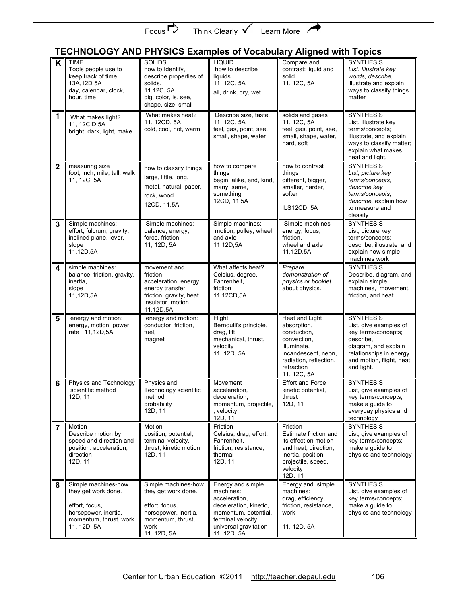| ٠ |  |
|---|--|

#### **TECHNOLOGY AND PHYSICS Examples of Vocabulary Aligned with Topics**

| Κ              | <b>TIME</b><br>Tools people use to<br>keep track of time.<br>13A, 12D 5A<br>day, calendar, clock,<br>hour, time               | <b>SOLIDS</b><br>how to Identify,<br>describe properties of<br>solids.<br>11,12C, 5A<br>big, color, is, see,<br>shape, size, small  | $\ddotsc$<br><b>LIQUID</b><br>how to describe<br>liquids<br>11, 12C, 5A<br>all, drink, dry, wet                                                                 | Compare and<br>contrast: liquid and<br>solid<br>11, 12C, 5A                                                                                                     | <b>SYNTHESIS</b><br>List. Illustrate key<br>words; describe,<br>illustrate and explain<br>ways to classify things<br>matter                                                 |
|----------------|-------------------------------------------------------------------------------------------------------------------------------|-------------------------------------------------------------------------------------------------------------------------------------|-----------------------------------------------------------------------------------------------------------------------------------------------------------------|-----------------------------------------------------------------------------------------------------------------------------------------------------------------|-----------------------------------------------------------------------------------------------------------------------------------------------------------------------------|
| 1              | What makes light?<br>11, 12C, D, 5A<br>bright, dark, light, make                                                              | What makes heat?<br>11, 12CD, 5A<br>cold, cool, hot, warm                                                                           | Describe size, taste,<br>11, 12C, 5A<br>feel, gas, point, see,<br>small, shape, water                                                                           | solids and gases<br>11, 12C, 5A<br>feel, gas, point, see,<br>small, shape, water,<br>hard, soft                                                                 | <b>SYNTHESIS</b><br>List. Illustrate key<br>terms/concepts;<br>Illustrate, and explain<br>ways to classify matter;<br>explain what makes<br>heat and light.                 |
| $\mathbf{2}$   | measuring size<br>foot, inch, mile, tall, walk<br>11, 12C, 5A                                                                 | how to classify things<br>large, little, long,<br>metal, natural, paper,<br>rock, wood<br>12CD, 11,5A                               | how to compare<br>things<br>begin, alike, end, kind,<br>many, same,<br>something<br>12CD, 11,5A                                                                 | how to contrast<br>things<br>different, bigger,<br>smaller, harder,<br>softer<br>ILS12CD, 5A                                                                    | <b>SYNTHESIS</b><br>List, picture key<br>terms/concepts;<br>describe key<br>terms/concepts;<br>describe, explain how<br>to measure and<br>classify                          |
| 3              | Simple machines:<br>effort, fulcrum, gravity,<br>inclined plane, lever,<br>slope<br>11,12D,5A                                 | Simple machines:<br>balance, energy,<br>force, friction,<br>11, 12D, 5A                                                             | Simple machines:<br>motion, pulley, wheel<br>and axle<br>11,12D,5A                                                                                              | Simple machines<br>energy, focus,<br>friction,<br>wheel and axle<br>11,12D,5A                                                                                   | <b>SYNTHESIS</b><br>List, picture key<br>terms/concepts;<br>describe, illustrate and<br>explain how simple<br>machines work                                                 |
| 4              | simple machines:<br>balance, friction, gravity,<br>inertia,<br>slope<br>11,12D,5A                                             | movement and<br>friction:<br>acceleration, energy,<br>energy transfer,<br>friction, gravity, heat<br>insulator, motion<br>11,12D,5A | What affects heat?<br>Celsius, degree,<br>Fahrenheit,<br>friction<br>11,12CD,5A                                                                                 | Prepare<br>demonstration of<br>physics or booklet<br>about physics.                                                                                             | <b>SYNTHESIS</b><br>Describe, diagram, and<br>explain simple<br>machines, movement,<br>friction, and heat                                                                   |
| 5              | energy and motion:<br>energy, motion, power,<br>rate 11,12D,5A                                                                | energy and motion:<br>conductor, friction,<br>fuel,<br>magnet                                                                       | Flight<br>Bernoulli's principle,<br>drag, lift,<br>mechanical, thrust,<br>velocity<br>11, 12D, 5A                                                               | <b>Heat and Light</b><br>absorption,<br>conduction,<br>convection,<br>illuminate,<br>incandescent, neon,<br>radiation, reflection,<br>refraction<br>11, 12C, 5A | <b>SYNTHESIS</b><br>List, give examples of<br>key terms/concepts;<br>describe,<br>diagram, and explain<br>relationships in energy<br>and motion, flight, heat<br>and light. |
| 6              | Physics and Technology<br>scientific method<br>12D, 11                                                                        | Physics and<br>Technology scientific<br>method<br>probability<br>12D, 11                                                            | Movement<br>acceleration,<br>deceleration,<br>momentum, projectile,<br>, velocity<br>12D, 11                                                                    | <b>Effort and Force</b><br>kinetic potential,<br>thrust<br>12D, 11                                                                                              | <b>SYNTHESIS</b><br>List, give examples of<br>key terms/concepts;<br>make a guide to<br>everyday physics and<br>technology                                                  |
| $\overline{7}$ | Motion<br>Describe motion by<br>speed and direction and<br>position: acceleration,<br>direction<br>12D, 11                    | Motion<br>position, potential,<br>terminal velocity,<br>thrust, kinetic motion<br>12D, 11                                           | Friction<br>Celsius, drag, effort,<br>Fahrenheit,<br>friction, resistance,<br>thermal<br>12D, 11                                                                | Friction<br>Estimate friction and<br>its effect on motion<br>and heat; direction,<br>inertia, position,<br>projectile, speed,<br>velocity<br>12D, 11            | <b>SYNTHESIS</b><br>List, give examples of<br>key terms/concepts;<br>make a quide to<br>physics and technology                                                              |
| 8              | Simple machines-how<br>they get work done.<br>effort, focus,<br>horsepower, inertia,<br>momentum, thrust, work<br>11, 12D, 5A | Simple machines-how<br>they get work done.<br>effort, focus,<br>horsepower, inertia,<br>momentum, thrust,<br>work<br>11, 12D, 5A    | Energy and simple<br>machines:<br>acceleration,<br>deceleration, kinetic,<br>momentum, potential,<br>terminal velocity,<br>universal gravitation<br>11, 12D, 5A | Energy and simple<br>machines:<br>drag, efficiency,<br>friction, resistance,<br>work<br>11, 12D, 5A                                                             | <b>SYNTHESIS</b><br>List, give examples of<br>key terms/concepts;<br>make a guide to<br>physics and technology                                                              |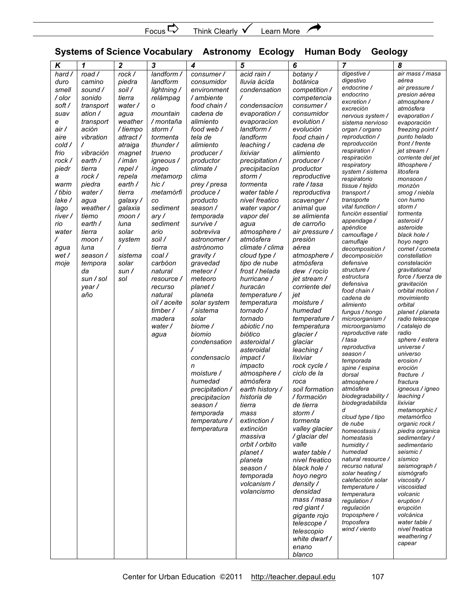Focus  $\overrightarrow{L}$  Think Clearly  $\checkmark$  Learn More

## **Systems of Science Vocabulary Astronomy Ecology Human Body Geology**

| $\kappa$ | $\boldsymbol{\mathcal{L}}$ | 2         | $\boldsymbol{3}$ | 4               | 5               | 6              | $\overline{7}$               | 8                                 |
|----------|----------------------------|-----------|------------------|-----------------|-----------------|----------------|------------------------------|-----------------------------------|
|          |                            |           |                  |                 |                 |                |                              |                                   |
| hard /   | road /                     | rock /    | landform /       | consumer/       | acid rain /     | botany /       | digestive /                  | air mass / masa<br>aérea          |
| duro     | camino                     | piedra    | landform         | consumidor      | Iluvia ácida    | botánica       | digestivo<br>endocrine /     | air pressure /                    |
| smell    | sound /                    | soil /    | lightning /      | environment     | condensation    | competition /  | endocrino                    | presion aérea                     |
| / olor   | sonido                     | tierra    | relámpag         | / ambiente      | 7               | competencia    | excretion /                  | atmosphere /                      |
| soft /   | transport                  | water /   | ο                | food chain /    | condensacion    | consumer /     | excreción                    | atmósfera                         |
| suav     | ation /                    | agua      | mountain         | cadena de       | evaporation /   | consumidor     | nervous system /             | evaporation /                     |
| е        | transport                  | weather   | / montaña        | alimiento       | evaporacion     | evolution /    | sistema nervioso             | evaporación                       |
| air /    | ación                      | / tiempo  | storm /          | food web /      | landform /      | evolución      | organ / organo               | freezing point /                  |
| aire     | vibration                  | attract / | tormenta         | tela de         | landform        | food chain /   | reproduction /               | punto helado                      |
| cold /   | $\prime$                   | atraiga   | thunder /        | alimiento       | leaching /      | cadena de      | reproducción                 | front / frente                    |
| frio     | vibración                  | magnet    | trueno           | producer /      | lixiviar        | alimiento      | respiration /                | jet stream /<br>corriente del jet |
| rock /   | earth /                    | / imán    | igneous /        | productor       | precipitation / | producer /     | respiración<br>respiratory   | lithosphere /                     |
| piedr    | tierra                     | repel /   | íngeo            | climate /       | precipitacion   | productor      | system / sistema             | litosfera                         |
| а        | rock /                     | repela    | metamorp         | clima           | storm /         | reproductive   | respiratorio                 | monsoon /                         |
| warm     | piedra                     | earth /   | hic /            | prey / presa    | tormenta        | rate / tasa    | tissue / tejido              | monzón                            |
| / tibio  | water /                    | tierra    | metamórfi        | produce /       | water table /   | reproductiva   | transport /                  | smog / niebla                     |
| lake /   | agua                       | galaxy /  | CO               | producto        | nivel freatico  | scavenger /    | transporte                   | con humo                          |
| lago     | weather /                  | galaxia   | sediment         | season /        | water vapor /   | animal que     | vital function /             | storm /                           |
| river /  | tiemo                      | moon /    | ary/             | temporada       | vapor del       | se alimienta   | función essential            | tormenta                          |
| rio      | earth /                    | luna      | sediment         | survive /       | agua            | de carroño     | appendage /<br>apéndice      | asteroid /<br>asteroide           |
| water    | tierra                     | solar     | ario             | sobreviva       | atmosphere /    | air pressure / | camouflage /                 | black hole /                      |
|          | moon /                     | system    | soil /           | astronomer /    | atmósfera       | presión        | camuflaje                    | hoyo negro                        |
| agua     | luna                       | $\prime$  | tierra           | astrónomo       | climate / clima | aérea          | decomposition /              | comet / cometa                    |
| wet /    | season /                   | sistema   | coal /           | gravity /       | cloud type /    | atmosphere /   | decomposición                | constellation                     |
| moje     | tempora                    | solar     | carbóon          | gravedad        | tipo de nube    | atmósfera      | defensive                    | constelación                      |
|          | da                         | sun/      | natural          | meteor/         | frost / helada  | dew / rocio    | structure /                  | gravitational                     |
|          | sun / sol                  | sol       | resource /       | meteoro         | hurricane /     | jet stream /   | estructura                   | force / fuerza de                 |
|          | year/                      |           | recurso          | planet /        | huracán         | corriente del  | defensiva                    | gravitación                       |
|          | año                        |           | natural          | planeta         | temperature /   | jet            | food chain /<br>cadena de    | orbital motion /<br>movimiento    |
|          |                            |           | oil / aceite     | solar system    | temperatura     | moisture /     | alimiento                    | orbital                           |
|          |                            |           | timber /         | / sistema       | tornado /       | humedad        | fungus / hongo               | planet / planeta                  |
|          |                            |           | madera           | solar           | tornado         | temperature /  | microorganism /              | radio telescope                   |
|          |                            |           | water /          | biome /         | abiotic / no    | temperatura    | microorganismo               | / catalejo de                     |
|          |                            |           | agua             | biomio          | biótico         | glacier/       | reproductive rate            | radio                             |
|          |                            |           |                  | condensation    | asteroidal /    | glaciar        | / tasa                       | sphere / estera                   |
|          |                            |           |                  |                 | asteroidal      | leaching /     | reproductiva                 | universe /                        |
|          |                            |           |                  | condensacío     | impact /        | lixiviar       | season /<br>temporada        | universo                          |
|          |                            |           |                  | n               | impacto         | rock cycle /   | spine / espina               | erosion /<br>eroción              |
|          |                            |           |                  | moisture /      | atmosphere /    | ciclo de la    | dorsal                       | fracture /                        |
|          |                            |           |                  | humedad         | atmósfera       | roca           | atmosphere /                 | fractura                          |
|          |                            |           |                  | precipitation / | earth history / | soil formation | atmósfera                    | igneous / ígneo                   |
|          |                            |           |                  | precipitacion   | historia de     | / formación    | biodegradability /           | leaching /                        |
|          |                            |           |                  | season /        | tierra          | de tierra      | biodegradabilida             | lixiviar                          |
|          |                            |           |                  | temporada       | mass            | storm /        |                              | metamorphic /                     |
|          |                            |           |                  | temperature /   | extinction /    | tormenta       | cloud type / tipo<br>de nube | metamórfico                       |
|          |                            |           |                  | temperatura     | extinción       | valley glacier | homeostasis /                | organic rock /<br>piedra organica |
|          |                            |           |                  |                 | massiva         | / glaciar del  | homestasis                   | sedimentary /                     |
|          |                            |           |                  |                 | orbit / orbito  | valle          | humidity /                   | sedimentario                      |
|          |                            |           |                  |                 | planet /        | water table /  | humedad                      | seismic /                         |
|          |                            |           |                  |                 | planeta         | nivel freatico | natural resource /           | sísmico                           |
|          |                            |           |                  |                 | season /        | black hole /   | recurso natural              | seismograph /                     |
|          |                            |           |                  |                 | temporada       | hoyo negro     | solar heating /              | sismógrafo                        |
|          |                            |           |                  |                 | volcanism /     | density /      | calefacción solar            | viscosity /                       |
|          |                            |           |                  |                 | volancismo      | densidad       | temperature /<br>temperatura | viscosidad<br>volcanic            |
|          |                            |           |                  |                 |                 | mass / masa    | regulation /                 | eruption /                        |
|          |                            |           |                  |                 |                 | red giant /    | regulación                   | erupción                          |
|          |                            |           |                  |                 |                 | gigante rojo   | troposphere /                | volcánica                         |
|          |                            |           |                  |                 |                 | telescope /    | troposfera                   | water table /                     |
|          |                            |           |                  |                 |                 | telescopio     | wind / viento                | nivel freatica                    |
|          |                            |           |                  |                 |                 | white dwarf /  |                              | weathering /                      |
|          |                            |           |                  |                 |                 | enano          |                              | capear                            |
|          |                            |           |                  |                 |                 | blanco         |                              |                                   |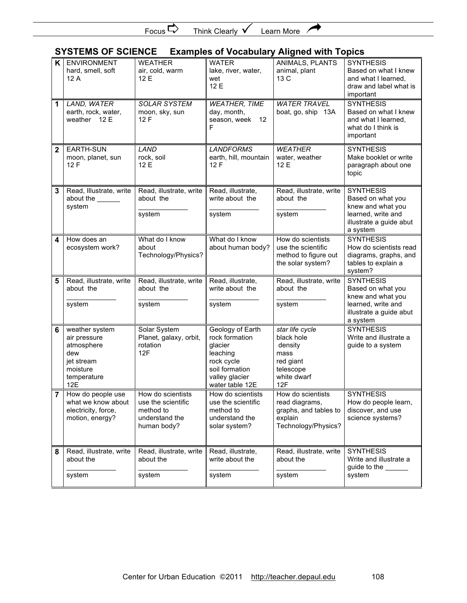| Focus $\mathord{\mathsf L\!\! V}$<br>Think Clearly $\sqrt{}$<br>Learn More |  |
|----------------------------------------------------------------------------|--|
|----------------------------------------------------------------------------|--|

### **SYSTEMS OF SCIENCE Examples of Vocabulary Aligned with Topics**

| K            | <b>ENVIRONMENT</b><br>hard, smell, soft<br>12 A                                                     | <b>WEATHER</b><br>air, cold, warm<br>12 E                                             | <b>WATER</b><br>lake, river, water,<br>wet<br>12 E                                                                             | ANIMALS, PLANTS<br>animal, plant<br>13 C                                                         | <b>SYNTHESIS</b><br>Based on what I knew<br>and what I learned.<br>draw and label what is                               |
|--------------|-----------------------------------------------------------------------------------------------------|---------------------------------------------------------------------------------------|--------------------------------------------------------------------------------------------------------------------------------|--------------------------------------------------------------------------------------------------|-------------------------------------------------------------------------------------------------------------------------|
| 1            | LAND, WATER<br>earth, rock, water,<br>weather 12 E                                                  | <b>SOLAR SYSTEM</b><br>moon, sky, sun<br>12F                                          | <b>WEATHER, TIME</b><br>day, month,<br>season, week 12<br>F                                                                    | <b>WATER TRAVEL</b><br>boat, go, ship 13A                                                        | important<br><b>SYNTHESIS</b><br>Based on what I knew<br>and what I learned,<br>what do I think is                      |
| $\mathbf{2}$ | <b>EARTH-SUN</b><br>moon, planet, sun                                                               | LAND<br>rock, soil                                                                    | <b>LANDFORMS</b><br>earth, hill, mountain                                                                                      | <b>WEATHER</b><br>water, weather                                                                 | important<br><b>SYNTHESIS</b><br>Make booklet or write                                                                  |
|              | 12 F                                                                                                | 12 E                                                                                  | 12F                                                                                                                            | 12 E                                                                                             | paragraph about one<br>topic                                                                                            |
| 3            | Read, Illustrate, write<br>about the ______<br>system                                               | Read, illustrate, write<br>about the<br>system                                        | Read, illustrate,<br>write about the<br>system                                                                                 | Read, illustrate, write<br>about the<br>system                                                   | <b>SYNTHESIS</b><br>Based on what you<br>knew and what you<br>learned, write and<br>illustrate a guide abut<br>a system |
| 4            | How does an<br>ecosystem work?                                                                      | What do I know<br>about<br>Technology/Physics?                                        | What do I know<br>about human body?                                                                                            | How do scientists<br>use the scientific<br>method to figure out<br>the solar system?             | <b>SYNTHESIS</b><br>How do scientists read<br>diagrams, graphs, and<br>tables to explain a<br>system?                   |
| 5            | Read, illustrate, write<br>about the<br>system                                                      | Read, illustrate, write<br>about the<br>system                                        | Read, illustrate,<br>write about the<br>system                                                                                 | Read, illustrate, write<br>about the<br>system                                                   | <b>SYNTHESIS</b><br>Based on what you<br>knew and what you<br>learned, write and<br>illustrate a guide abut             |
| 6            | weather system<br>air pressure<br>atmosphere<br>dew<br>jet stream<br>moisture<br>temperature<br>12E | Solar System<br>Planet, galaxy, orbit,<br>rotation<br>12F                             | Geology of Earth<br>rock formation<br>glacier<br>leaching<br>rock cycle<br>soil formation<br>valley glacier<br>water table 12E | star life cycle<br>black hole<br>density<br>mass<br>red giant<br>telescope<br>white dwarf<br>12F | a system<br><b>SYNTHESIS</b><br>Write and illustrate a<br>guide to a system                                             |
| 7            | How do people use<br>what we know about<br>electricity, force,<br>motion, energy?                   | How do scientists<br>use the scientific<br>method to<br>understand the<br>human body? | How do scientists<br>use the scientific<br>method to<br>understand the<br>solar system?                                        | How do scientists<br>read diagrams,<br>graphs, and tables to<br>explain<br>Technology/Physics?   | <b>SYNTHESIS</b><br>How do people learn,<br>discover, and use<br>science systems?                                       |
| 8            | Read, illustrate, write<br>about the<br>system                                                      | Read, illustrate, write<br>about the<br>system                                        | Read, illustrate,<br>write about the<br>system                                                                                 | Read, illustrate, write<br>about the<br>system                                                   | <b>SYNTHESIS</b><br>Write and illustrate a<br>guide to the<br>system                                                    |